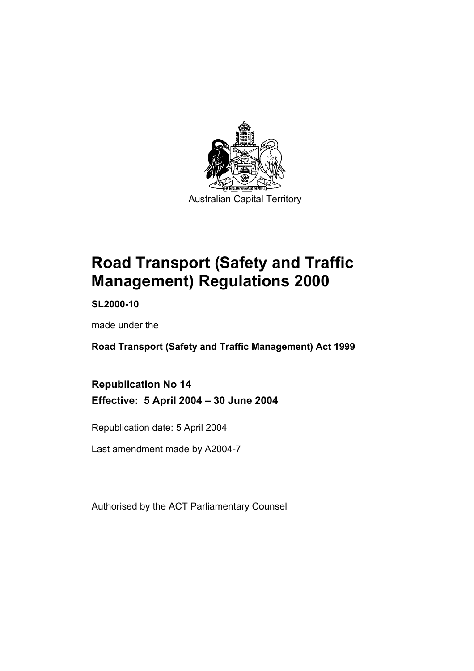

# **Road Transport (Safety and Traffic Management) Regulations 2000**

**SL2000-10** 

made under the

**Road Transport (Safety and Traffic Management) Act 1999** 

**Republication No 14 Effective: 5 April 2004 – 30 June 2004** 

Republication date: 5 April 2004

Last amendment made by A2004-7

Authorised by the ACT Parliamentary Counsel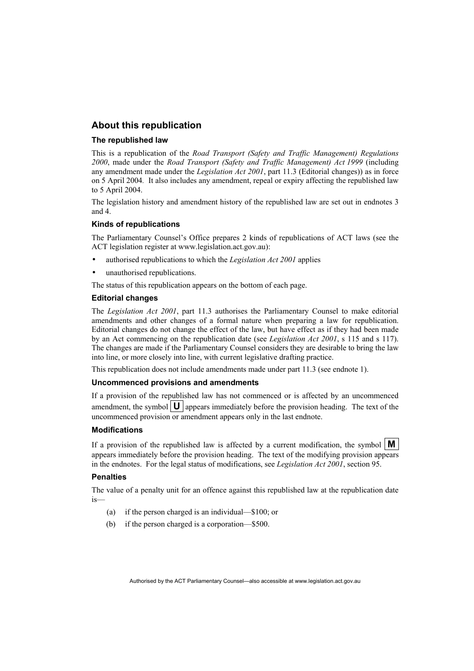#### **About this republication**

#### **The republished law**

This is a republication of the *Road Transport (Safety and Traffic Management) Regulations 2000*, made under the *Road Transport (Safety and Traffic Management) Act 1999* (including any amendment made under the *Legislation Act 2001*, part 11.3 (Editorial changes)) as in force on 5 April 2004*.* It also includes any amendment, repeal or expiry affecting the republished law to 5 April 2004.

The legislation history and amendment history of the republished law are set out in endnotes 3 and 4.

#### **Kinds of republications**

The Parliamentary Counsel's Office prepares 2 kinds of republications of ACT laws (see the ACT legislation register at www.legislation.act.gov.au):

- authorised republications to which the *Legislation Act 2001* applies
- unauthorised republications.

The status of this republication appears on the bottom of each page.

#### **Editorial changes**

The *Legislation Act 2001*, part 11.3 authorises the Parliamentary Counsel to make editorial amendments and other changes of a formal nature when preparing a law for republication. Editorial changes do not change the effect of the law, but have effect as if they had been made by an Act commencing on the republication date (see *Legislation Act 2001*, s 115 and s 117). The changes are made if the Parliamentary Counsel considers they are desirable to bring the law into line, or more closely into line, with current legislative drafting practice.

This republication does not include amendments made under part 11.3 (see endnote 1).

#### **Uncommenced provisions and amendments**

If a provision of the republished law has not commenced or is affected by an uncommenced amendment, the symbol  $\mathbf{U}$  appears immediately before the provision heading. The text of the uncommenced provision or amendment appears only in the last endnote.

#### **Modifications**

If a provision of the republished law is affected by a current modification, the symbol  $\mathbf{M}$ appears immediately before the provision heading. The text of the modifying provision appears in the endnotes. For the legal status of modifications, see *Legislation Act 2001*, section 95.

#### **Penalties**

The value of a penalty unit for an offence against this republished law at the republication date is—

- (a) if the person charged is an individual—\$100; or
- (b) if the person charged is a corporation—\$500.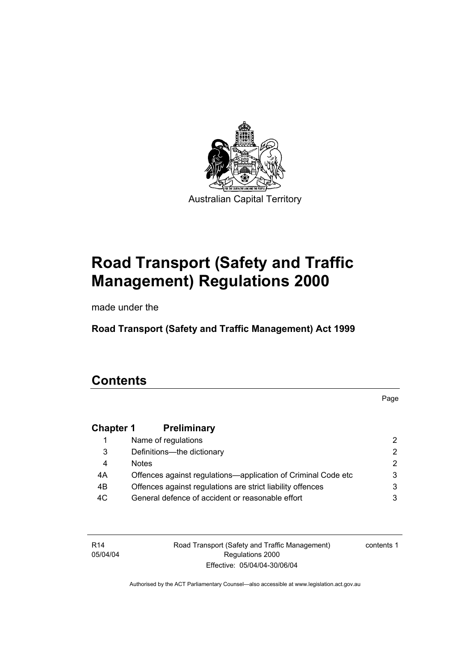

# **Road Transport (Safety and Traffic Management) Regulations 2000**

made under the

**Road Transport (Safety and Traffic Management) Act 1999** 

## **Contents**

Page

### **Chapter 1 Preliminary**

|     | Name of regulations                                           |               |
|-----|---------------------------------------------------------------|---------------|
| 3   | Definitions--- the dictionary                                 | 2.            |
| 4   | <b>Notes</b>                                                  | $\mathcal{P}$ |
| 4A  | Offences against regulations—application of Criminal Code etc | 3             |
| 4B  | Offences against regulations are strict liability offences    | 3             |
| 4C. | General defence of accident or reasonable effort              |               |

R14 05/04/04 Road Transport (Safety and Traffic Management) Regulations 2000 Effective: 05/04/04-30/06/04

contents 1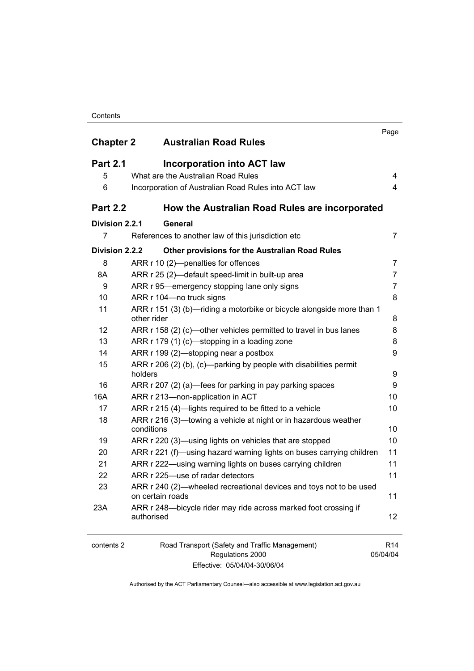#### **Contents**

| <b>Chapter 2</b> | <b>Australian Road Rules</b>                                                           | Page            |
|------------------|----------------------------------------------------------------------------------------|-----------------|
| <b>Part 2.1</b>  | <b>Incorporation into ACT law</b>                                                      |                 |
| 5                | What are the Australian Road Rules                                                     | 4               |
| 6                | Incorporation of Australian Road Rules into ACT law                                    | 4               |
| <b>Part 2.2</b>  | How the Australian Road Rules are incorporated                                         |                 |
| Division 2.2.1   | General                                                                                |                 |
| 7                | References to another law of this jurisdiction etc                                     | 7               |
| Division 2.2.2   | Other provisions for the Australian Road Rules                                         |                 |
| 8                | ARR r 10 (2)-penalties for offences                                                    | 7               |
| 8A               | ARR r 25 (2)—default speed-limit in built-up area                                      | 7               |
| 9                | ARR r 95—emergency stopping lane only signs                                            | 7               |
| 10               | ARR r 104-no truck signs                                                               | 8               |
| 11               | ARR r 151 (3) (b)-riding a motorbike or bicycle alongside more than 1<br>other rider   | 8               |
| 12               | ARR r 158 (2) (c)—other vehicles permitted to travel in bus lanes                      | 8               |
| 13               | ARR r 179 (1) (c)-stopping in a loading zone                                           | 8               |
| 14               | ARR r 199 (2)—stopping near a postbox                                                  | 9               |
| 15               | ARR r 206 (2) (b), (c)—parking by people with disabilities permit<br>holders           | 9               |
| 16               | ARR r 207 (2) (a)—fees for parking in pay parking spaces                               | 9               |
| 16A              | ARR r 213-non-application in ACT                                                       | 10              |
| 17               | ARR r 215 (4)-lights required to be fitted to a vehicle                                | 10              |
| 18               | ARR r 216 (3)-towing a vehicle at night or in hazardous weather<br>conditions          | 10              |
| 19               | ARR r 220 (3)—using lights on vehicles that are stopped                                | 10              |
| 20               | ARR r 221 (f)—using hazard warning lights on buses carrying children                   | 11              |
| 21               | ARR r 222—using warning lights on buses carrying children                              | 11              |
| 22               | ARR r 225-use of radar detectors                                                       | 11              |
| 23               | ARR r 240 (2)—wheeled recreational devices and toys not to be used<br>on certain roads | 11              |
| 23A              | ARR r 248-bicycle rider may ride across marked foot crossing if<br>authorised          | 12              |
| contents 2       | Road Transport (Safety and Traffic Management)                                         | R <sub>14</sub> |

Regulations 2000 Effective: 05/04/04-30/06/04 05/04/04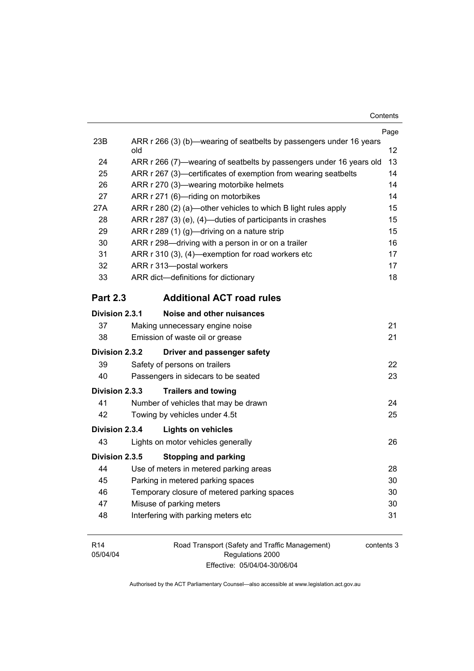|                 |                                                                            | Page |  |
|-----------------|----------------------------------------------------------------------------|------|--|
| 23B             | ARR r 266 (3) (b)—wearing of seatbelts by passengers under 16 years<br>old | 12   |  |
| 24              | ARR r 266 (7)—wearing of seatbelts by passengers under 16 years old        |      |  |
| 25              | ARR r 267 (3)—certificates of exemption from wearing seatbelts             |      |  |
| 26              | ARR r 270 (3)—wearing motorbike helmets                                    |      |  |
| 27              | ARR r 271 (6)-riding on motorbikes                                         | 14   |  |
| 27A             | ARR r 280 (2) (a)-other vehicles to which B light rules apply              | 15   |  |
| 28              | ARR r 287 (3) (e), (4)—duties of participants in crashes                   | 15   |  |
| 29              | ARR r 289 (1) (g)—driving on a nature strip                                | 15   |  |
| 30              | ARR r 298-driving with a person in or on a trailer                         | 16   |  |
| 31              | ARR r 310 (3), (4)—exemption for road workers etc                          | 17   |  |
| 32              | ARR r 313-postal workers                                                   | 17   |  |
| 33              | ARR dict-definitions for dictionary                                        | 18   |  |
| <b>Part 2.3</b> | <b>Additional ACT road rules</b>                                           |      |  |
| Division 2.3.1  | Noise and other nuisances                                                  |      |  |
| 37              | Making unnecessary engine noise                                            | 21   |  |
| 38              | Emission of waste oil or grease                                            | 21   |  |
| Division 2.3.2  | Driver and passenger safety                                                |      |  |
| 39              | Safety of persons on trailers                                              | 22   |  |
| 40              | Passengers in sidecars to be seated                                        | 23   |  |
| Division 2.3.3  | <b>Trailers and towing</b>                                                 |      |  |
| 41              | Number of vehicles that may be drawn                                       | 24   |  |
| 42              | Towing by vehicles under 4.5t                                              | 25   |  |
| Division 2.3.4  | <b>Lights on vehicles</b>                                                  |      |  |
| 43              | Lights on motor vehicles generally                                         | 26   |  |
| Division 2.3.5  | <b>Stopping and parking</b>                                                |      |  |
| 44              | Use of meters in metered parking areas                                     | 28   |  |
| 45              | Parking in metered parking spaces                                          | 30   |  |
| 46              | Temporary closure of metered parking spaces<br>30                          |      |  |
| 47              | 30<br>Misuse of parking meters                                             |      |  |
| 48              | Interfering with parking meters etc                                        | 31   |  |
|                 |                                                                            |      |  |

R14 05/04/04 Road Transport (Safety and Traffic Management) Regulations 2000 Effective: 05/04/04-30/06/04

contents 3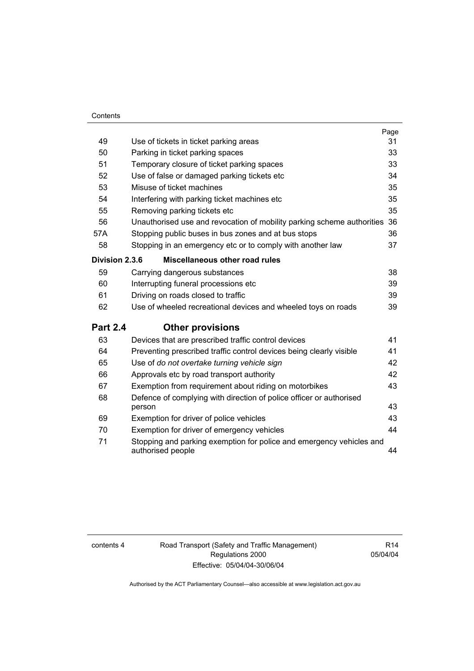#### **Contents**

|                 |                                                                                           | Page |
|-----------------|-------------------------------------------------------------------------------------------|------|
| 49              | Use of tickets in ticket parking areas                                                    | 31   |
| 50              | Parking in ticket parking spaces                                                          | 33   |
| 51              | Temporary closure of ticket parking spaces                                                | 33   |
| 52              | Use of false or damaged parking tickets etc                                               | 34   |
| 53              | Misuse of ticket machines                                                                 | 35   |
| 54              | Interfering with parking ticket machines etc                                              | 35   |
| 55              | Removing parking tickets etc                                                              | 35   |
| 56              | Unauthorised use and revocation of mobility parking scheme authorities 36                 |      |
| 57A             | Stopping public buses in bus zones and at bus stops                                       | 36   |
| 58              | Stopping in an emergency etc or to comply with another law                                | 37   |
| Division 2.3.6  | Miscellaneous other road rules                                                            |      |
| 59              | Carrying dangerous substances                                                             | 38   |
| 60              | Interrupting funeral processions etc                                                      | 39   |
| 61              | Driving on roads closed to traffic                                                        | 39   |
| 62              | Use of wheeled recreational devices and wheeled toys on roads                             | 39   |
| <b>Part 2.4</b> | <b>Other provisions</b>                                                                   |      |
| 63              | Devices that are prescribed traffic control devices                                       | 41   |
| 64              | Preventing prescribed traffic control devices being clearly visible                       | 41   |
| 65              | Use of do not overtake turning vehicle sign                                               | 42   |
| 66              | Approvals etc by road transport authority                                                 | 42   |
| 67              | Exemption from requirement about riding on motorbikes                                     | 43   |
| 68              | Defence of complying with direction of police officer or authorised<br>person             | 43   |
| 69              | Exemption for driver of police vehicles                                                   | 43   |
| 70              | Exemption for driver of emergency vehicles                                                | 44   |
| 71              | Stopping and parking exemption for police and emergency vehicles and<br>authorised people | 44   |

contents 4 Road Transport (Safety and Traffic Management) Regulations 2000 Effective: 05/04/04-30/06/04

R14 05/04/04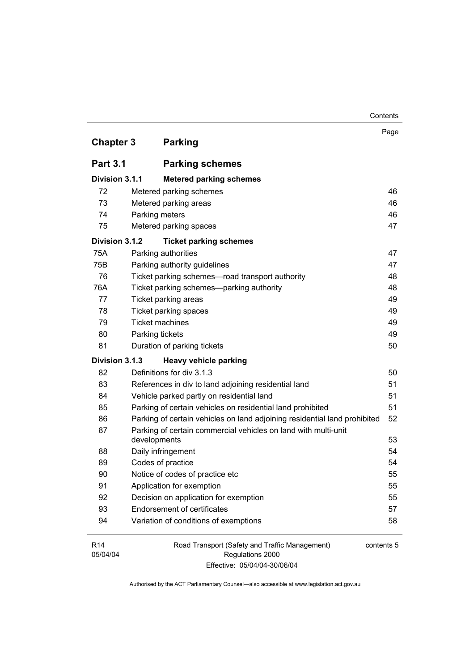|                             |                                                                                | Contents   |
|-----------------------------|--------------------------------------------------------------------------------|------------|
| <b>Chapter 3</b>            | <b>Parking</b>                                                                 | Page       |
|                             |                                                                                |            |
| <b>Part 3.1</b>             | <b>Parking schemes</b>                                                         |            |
| Division 3.1.1              | <b>Metered parking schemes</b>                                                 |            |
| 72                          | Metered parking schemes                                                        | 46         |
| 73                          | Metered parking areas                                                          | 46         |
| 74                          | Parking meters                                                                 | 46         |
| 75                          | Metered parking spaces                                                         | 47         |
| Division 3.1.2              | <b>Ticket parking schemes</b>                                                  |            |
| 75A                         | Parking authorities                                                            | 47         |
| 75B                         | Parking authority guidelines                                                   | 47         |
| 76                          | Ticket parking schemes-road transport authority                                | 48         |
| 76A                         | Ticket parking schemes-parking authority                                       | 48         |
| 77                          | Ticket parking areas                                                           | 49         |
| 78                          | Ticket parking spaces                                                          | 49         |
| 79                          | <b>Ticket machines</b>                                                         | 49         |
| 80                          | Parking tickets                                                                | 49         |
| 81                          | Duration of parking tickets                                                    | 50         |
| Division 3.1.3              | <b>Heavy vehicle parking</b>                                                   |            |
| 82                          | Definitions for div 3.1.3                                                      | 50         |
| 83                          | References in div to land adjoining residential land                           | 51         |
| 84                          | Vehicle parked partly on residential land                                      | 51         |
| 85                          | Parking of certain vehicles on residential land prohibited                     | 51         |
| 86                          | Parking of certain vehicles on land adjoining residential land prohibited      | 52         |
| 87                          | Parking of certain commercial vehicles on land with multi-unit<br>developments | 53         |
| 88                          | Daily infringement                                                             | 54         |
| 89                          | Codes of practice                                                              | 54         |
| 90                          | Notice of codes of practice etc                                                | 55         |
| 91                          | Application for exemption                                                      | 55         |
| 92                          | Decision on application for exemption                                          | 55         |
| 93                          | <b>Endorsement of certificates</b>                                             | 57         |
| 94                          | Variation of conditions of exemptions                                          | 58         |
| R <sub>14</sub><br>05/04/04 | Road Transport (Safety and Traffic Management)<br>Regulations 2000             | contents 5 |

Effective: 05/04/04-30/06/04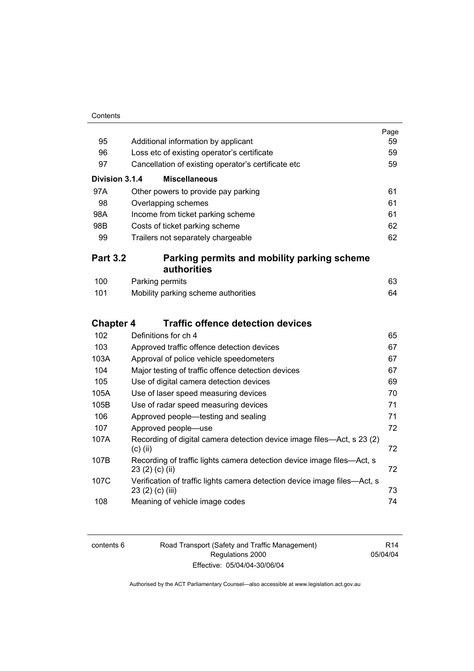| Contents |
|----------|
|          |

|                  |                                                                                               | Page<br>59 |  |  |
|------------------|-----------------------------------------------------------------------------------------------|------------|--|--|
| 95               | Additional information by applicant                                                           |            |  |  |
| 96               | Loss etc of existing operator's certificate                                                   |            |  |  |
| 97               | Cancellation of existing operator's certificate etc                                           |            |  |  |
| Division 3.1.4   | <b>Miscellaneous</b>                                                                          |            |  |  |
| 97A              | Other powers to provide pay parking                                                           | 61         |  |  |
| 98               | Overlapping schemes                                                                           | 61         |  |  |
| 98A              | Income from ticket parking scheme                                                             | 61         |  |  |
| 98B              | Costs of ticket parking scheme                                                                | 62         |  |  |
| 99               | Trailers not separately chargeable                                                            | 62         |  |  |
| <b>Part 3.2</b>  | Parking permits and mobility parking scheme                                                   |            |  |  |
|                  | authorities                                                                                   |            |  |  |
| 100              | Parking permits                                                                               | 63         |  |  |
| 101              | Mobility parking scheme authorities                                                           | 64         |  |  |
|                  | <b>Traffic offence detection devices</b>                                                      |            |  |  |
| <b>Chapter 4</b> |                                                                                               |            |  |  |
| 102              | Definitions for ch 4                                                                          | 65         |  |  |
| 103              | Approved traffic offence detection devices                                                    | 67         |  |  |
| 103A             | Approval of police vehicle speedometers                                                       | 67         |  |  |
| 104              | Major testing of traffic offence detection devices                                            | 67         |  |  |
| 105              | Use of digital camera detection devices                                                       | 69         |  |  |
| 105A             | Use of laser speed measuring devices                                                          | 70         |  |  |
| 105B             | Use of radar speed measuring devices                                                          | 71         |  |  |
| 106              | Approved people—testing and sealing                                                           | 71         |  |  |
| 107              | Approved people-use                                                                           | 72         |  |  |
| 107A             | Recording of digital camera detection device image files—Act, s 23 (2)<br>$(c)$ (ii)          | 72         |  |  |
| 107B             | Recording of traffic lights camera detection device image files—Act, s<br>23 (2) (c) (ii)     | 72         |  |  |
| 107C             | Verification of traffic lights camera detection device image files-Act, s<br>23 (2) (c) (iii) | 73         |  |  |
| 108              | Meaning of vehicle image codes                                                                | 74         |  |  |

| contents 6 |
|------------|
|------------|

6 Road Transport (Safety and Traffic Management) Regulations 2000 Effective: 05/04/04-30/06/04

R14 05/04/04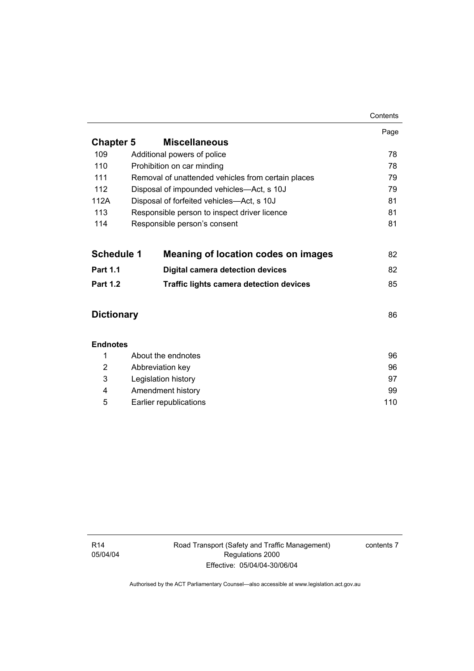|                   |                                                    | Contents |  |  |
|-------------------|----------------------------------------------------|----------|--|--|
|                   |                                                    | Page     |  |  |
| <b>Chapter 5</b>  | <b>Miscellaneous</b>                               |          |  |  |
| 109               | Additional powers of police                        | 78       |  |  |
| 110               | Prohibition on car minding                         | 78       |  |  |
| 111               | Removal of unattended vehicles from certain places |          |  |  |
| 112               | Disposal of impounded vehicles—Act, s 10J<br>79    |          |  |  |
| 112A              | Disposal of forfeited vehicles-Act, s 10J<br>81    |          |  |  |
| 113               | 81<br>Responsible person to inspect driver licence |          |  |  |
| 114               | Responsible person's consent                       | 81       |  |  |
|                   |                                                    |          |  |  |
| <b>Schedule 1</b> | <b>Meaning of location codes on images</b>         | 82       |  |  |
| <b>Part 1.1</b>   | <b>Digital camera detection devices</b>            |          |  |  |
| <b>Part 1.2</b>   | <b>Traffic lights camera detection devices</b>     |          |  |  |
|                   |                                                    |          |  |  |
| <b>Dictionary</b> |                                                    | 86       |  |  |
|                   |                                                    |          |  |  |
| <b>Endnotes</b>   |                                                    |          |  |  |
| 1                 | About the endnotes                                 |          |  |  |
| 2                 | Abbreviation key                                   | 96       |  |  |
| 3                 | Legislation history<br>97                          |          |  |  |
| 4                 | Amendment history<br>99                            |          |  |  |

5 Earlier republications 110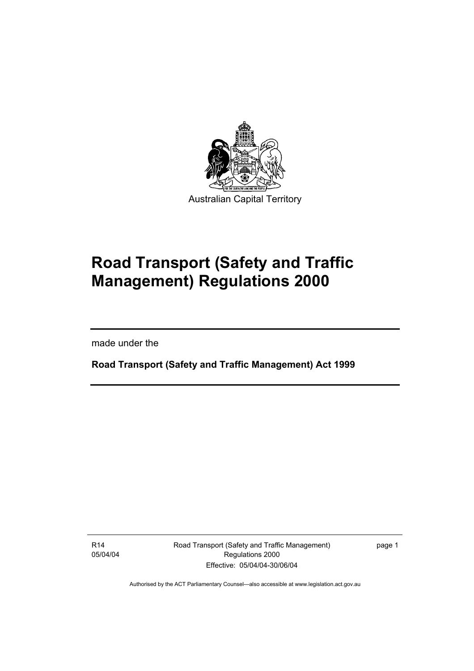

# **Road Transport (Safety and Traffic Management) Regulations 2000**

made under the

I

**Road Transport (Safety and Traffic Management) Act 1999** 

R14 05/04/04 Road Transport (Safety and Traffic Management) Regulations 2000 Effective: 05/04/04-30/06/04

page 1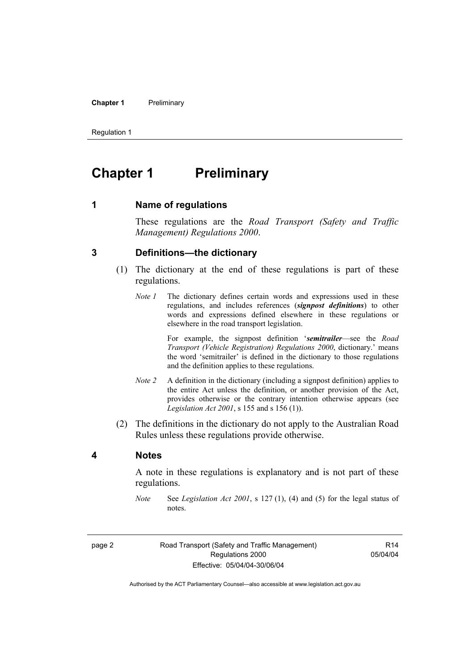#### **Chapter 1** Preliminary

Regulation 1

### **Chapter 1** Preliminary

**1 Name of regulations** 

These regulations are the *Road Transport (Safety and Traffic Management) Regulations 2000*.

#### **3 Definitions—the dictionary**

- (1) The dictionary at the end of these regulations is part of these regulations.
	- *Note 1* The dictionary defines certain words and expressions used in these regulations, and includes references (*signpost definitions*) to other words and expressions defined elsewhere in these regulations or elsewhere in the road transport legislation.

 For example, the signpost definition '*semitrailer*—see the *Road Transport (Vehicle Registration) Regulations 2000*, dictionary.' means the word 'semitrailer' is defined in the dictionary to those regulations and the definition applies to these regulations.

- *Note 2* A definition in the dictionary (including a signpost definition) applies to the entire Act unless the definition, or another provision of the Act, provides otherwise or the contrary intention otherwise appears (see *Legislation Act 2001*, s 155 and s 156 (1)).
- (2) The definitions in the dictionary do not apply to the Australian Road Rules unless these regulations provide otherwise.

#### **4 Notes**

A note in these regulations is explanatory and is not part of these regulations.

*Note* See *Legislation Act 2001*, s 127 (1), (4) and (5) for the legal status of notes.

page 2 Road Transport (Safety and Traffic Management) Regulations 2000 Effective: 05/04/04-30/06/04

R14 05/04/04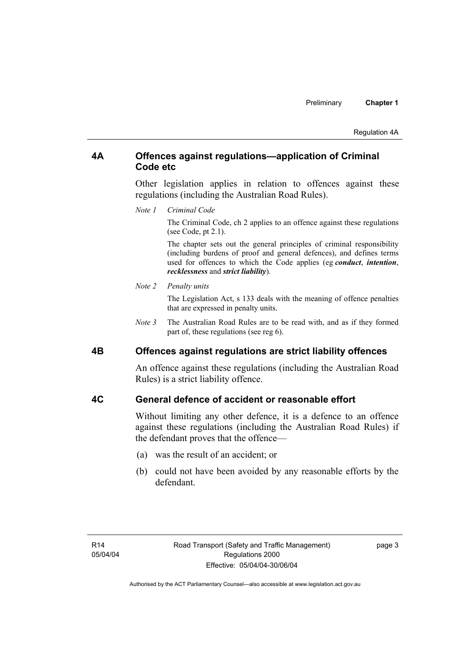#### **4A Offences against regulations—application of Criminal Code etc**

Other legislation applies in relation to offences against these regulations (including the Australian Road Rules).

*Note 1 Criminal Code*

The Criminal Code, ch 2 applies to an offence against these regulations (see Code, pt 2.1).

The chapter sets out the general principles of criminal responsibility (including burdens of proof and general defences), and defines terms used for offences to which the Code applies (eg *conduct*, *intention*, *recklessness* and *strict liability*).

#### *Note 2 Penalty units*

The Legislation Act, s 133 deals with the meaning of offence penalties that are expressed in penalty units.

*Note 3* The Australian Road Rules are to be read with, and as if they formed part of, these regulations (see reg 6).

#### **4B Offences against regulations are strict liability offences**

An offence against these regulations (including the Australian Road Rules) is a strict liability offence.

#### **4C General defence of accident or reasonable effort**

Without limiting any other defence, it is a defence to an offence against these regulations (including the Australian Road Rules) if the defendant proves that the offence—

- (a) was the result of an accident; or
- (b) could not have been avoided by any reasonable efforts by the defendant.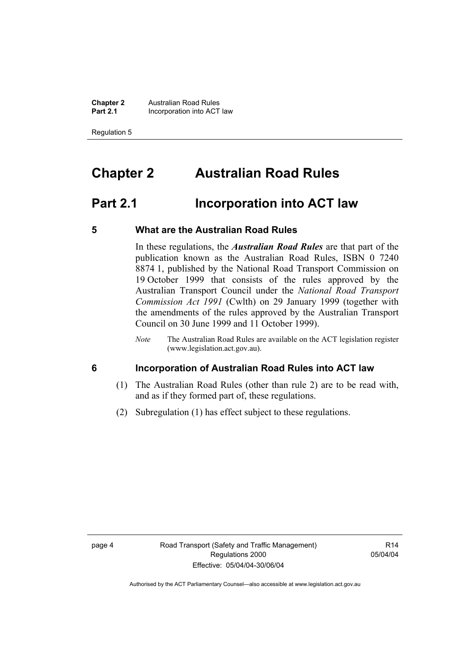**Chapter 2 Australian Road Rules**<br>**Part 2.1 Incorporation into ACT Incorporation into ACT law** 

Regulation 5

### **Chapter 2 Australian Road Rules**

### **Part 2.1 Incorporation into ACT law**

#### **5 What are the Australian Road Rules**

In these regulations, the *Australian Road Rules* are that part of the publication known as the Australian Road Rules, ISBN 0 7240 8874 1, published by the National Road Transport Commission on 19 October 1999 that consists of the rules approved by the Australian Transport Council under the *National Road Transport Commission Act 1991* (Cwlth) on 29 January 1999 (together with the amendments of the rules approved by the Australian Transport Council on 30 June 1999 and 11 October 1999).

#### **6 Incorporation of Australian Road Rules into ACT law**

- (1) The Australian Road Rules (other than rule 2) are to be read with, and as if they formed part of, these regulations.
- (2) Subregulation (1) has effect subject to these regulations.

R14 05/04/04

*Note* The Australian Road Rules are available on the ACT legislation register (www.legislation.act.gov.au).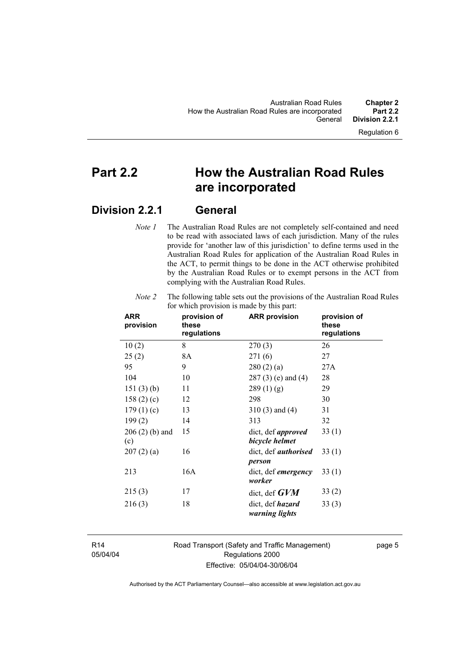### **Part 2.2 How the Australian Road Rules are incorporated**

### **Division 2.2.1 General**

*Note 1* The Australian Road Rules are not completely self-contained and need to be read with associated laws of each jurisdiction. Many of the rules provide for 'another law of this jurisdiction' to define terms used in the Australian Road Rules for application of the Australian Road Rules in the ACT, to permit things to be done in the ACT otherwise prohibited by the Australian Road Rules or to exempt persons in the ACT from complying with the Australian Road Rules.

| <b>ARR</b><br>provision | provision of<br>these<br>regulations | <b>ARR provision</b>                        | provision of<br>these<br>regulations |
|-------------------------|--------------------------------------|---------------------------------------------|--------------------------------------|
| 10(2)                   | 8                                    | 270(3)                                      | 26                                   |
| 25(2)                   | 8A                                   | 271(6)                                      | 27                                   |
| 95                      | 9                                    | 280(2)(a)                                   | 27A                                  |
| 104                     | 10                                   | $287(3)$ (e) and (4)                        | 28                                   |
| 151(3)(b)               | 11                                   | 289(1)(g)                                   | 29                                   |
| 158 $(2)$ $(c)$         | 12                                   | 298                                         | 30                                   |
| 179(1)(c)               | 13                                   | $310(3)$ and $(4)$                          | 31                                   |
| 199(2)                  | 14                                   | 313                                         | 32                                   |
| $206(2)$ (b) and<br>(c) | 15                                   | dict, def <i>approved</i><br>bicycle helmet | 33(1)                                |
| 207(2)(a)               | 16                                   | dict, def <i>authorised</i><br>person       | 33(1)                                |
| 213                     | 16A                                  | dict, def <i>emergency</i><br>worker        | 33(1)                                |
| 215(3)                  | 17                                   | dict, def $GVM$                             | 33(2)                                |
| 216(3)                  | 18                                   | dict, def <i>hazard</i><br>warning lights   | 33(3)                                |

*Note 2* The following table sets out the provisions of the Australian Road Rules for which provision is made by this part:

R14 05/04/04 Road Transport (Safety and Traffic Management) Regulations 2000 Effective: 05/04/04-30/06/04

page 5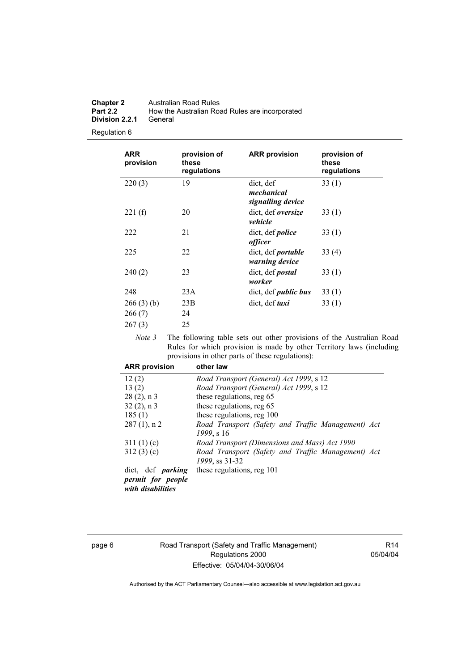| <b>Chapter 2</b> | Australian Road Rules                          |
|------------------|------------------------------------------------|
| <b>Part 2.2</b>  | How the Australian Road Rules are incorporated |
| Division 2.2.1   | General                                        |

#### Regulation 6

| <b>ARR</b><br>provision | provision of<br>these<br>regulations | <b>ARR provision</b>                         | provision of<br>these<br>regulations |
|-------------------------|--------------------------------------|----------------------------------------------|--------------------------------------|
| 220(3)                  | 19                                   | dict, def<br>mechanical<br>signalling device | 33(1)                                |
| 221(f)                  | 20                                   | dict, def oversize<br>vehicle                | 33(1)                                |
| 222                     | 21                                   | dict, def <i>police</i><br>officer           | 33(1)                                |
| 225                     | 22                                   | dict, def <i>portable</i><br>warning device  | 33(4)                                |
| 240(2)                  | 23                                   | dict, def <i>postal</i><br>worker            | 33(1)                                |
| 248                     | 23A                                  | dict, def <i>public bus</i>                  | 33 (1)                               |
| 266(3)(b)               | 23B                                  | dict, def <i>taxi</i>                        | 33(1)                                |
| 266(7)                  | 24                                   |                                              |                                      |
| 267(3)                  | 25                                   |                                              |                                      |

*Note 3* The following table sets out other provisions of the Australian Road Rules for which provision is made by other Territory laws (including provisions in other parts of these regulations):

| <b>ARR provision</b>     | other law                                          |
|--------------------------|----------------------------------------------------|
| 12(2)                    | Road Transport (General) Act 1999, s 12            |
| 13(2)                    | Road Transport (General) Act 1999, s 12            |
| $28(2)$ , n 3            | these regulations, reg 65                          |
| $32(2)$ , n 3            | these regulations, reg 65                          |
| 185(1)                   | these regulations, reg 100                         |
| $287(1)$ , n 2           | Road Transport (Safety and Traffic Management) Act |
|                          | 1999, s 16                                         |
| 311(1)(c)                | Road Transport (Dimensions and Mass) Act 1990      |
| 312(3)(c)                | Road Transport (Safety and Traffic Management) Act |
|                          | 1999, ss 31-32                                     |
| dict, def <i>parking</i> | these regulations, reg 101                         |
| permit for people        |                                                    |
| with disabilities        |                                                    |

#### page 6 Road Transport (Safety and Traffic Management) Regulations 2000 Effective: 05/04/04-30/06/04

R14 05/04/04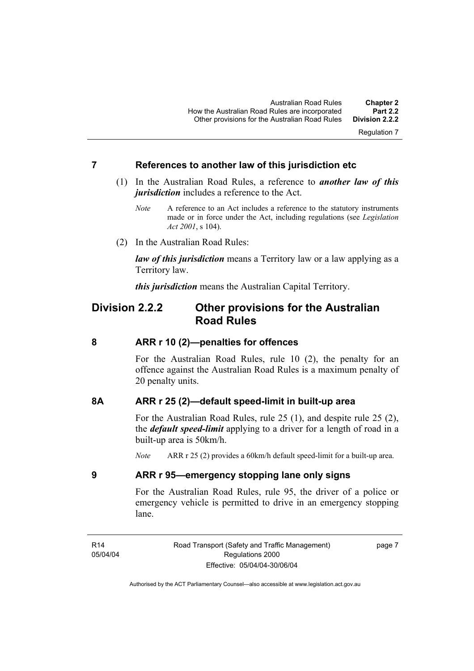Regulation 7

#### **7 References to another law of this jurisdiction etc**

- (1) In the Australian Road Rules, a reference to *another law of this jurisdiction* includes a reference to the Act.
	- *Note* A reference to an Act includes a reference to the statutory instruments made or in force under the Act, including regulations (see *Legislation Act 2001*, s 104).
- (2) In the Australian Road Rules:

*law of this jurisdiction* means a Territory law or a law applying as a Territory law.

*this jurisdiction* means the Australian Capital Territory.

### **Division 2.2.2 Other provisions for the Australian Road Rules**

#### **8 ARR r 10 (2)—penalties for offences**

For the Australian Road Rules, rule 10 (2), the penalty for an offence against the Australian Road Rules is a maximum penalty of 20 penalty units.

#### **8A ARR r 25 (2)—default speed-limit in built-up area**

For the Australian Road Rules, rule 25 (1), and despite rule 25 (2), the *default speed-limit* applying to a driver for a length of road in a built-up area is 50km/h.

*Note* ARR r 25 (2) provides a 60km/h default speed-limit for a built-up area.

#### **9 ARR r 95—emergency stopping lane only signs**

For the Australian Road Rules, rule 95, the driver of a police or emergency vehicle is permitted to drive in an emergency stopping lane.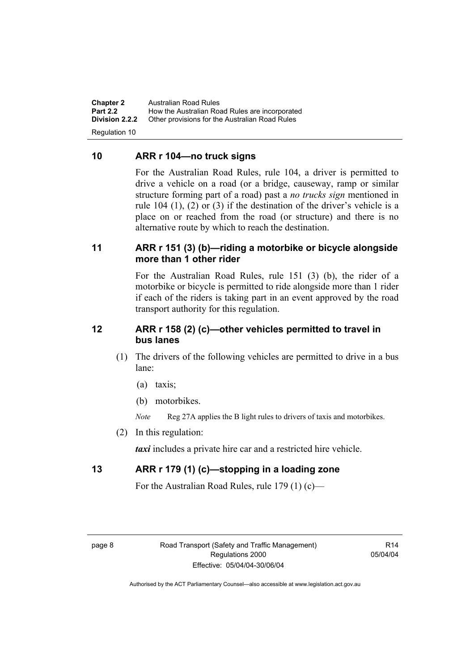**Chapter 2** Australian Road Rules<br>**Part 2.2** How the Australian Road **Part 2.2 How the Australian Road Rules are incorporated Division 2.2.2** Other provisions for the Australian Road Rules **Other provisions for the Australian Road Rules** 

Regulation 10

#### **10 ARR r 104—no truck signs**

For the Australian Road Rules, rule 104, a driver is permitted to drive a vehicle on a road (or a bridge, causeway, ramp or similar structure forming part of a road) past a *no trucks sign* mentioned in rule 104 (1), (2) or (3) if the destination of the driver's vehicle is a place on or reached from the road (or structure) and there is no alternative route by which to reach the destination.

#### **11 ARR r 151 (3) (b)—riding a motorbike or bicycle alongside more than 1 other rider**

For the Australian Road Rules, rule 151 (3) (b), the rider of a motorbike or bicycle is permitted to ride alongside more than 1 rider if each of the riders is taking part in an event approved by the road transport authority for this regulation.

#### **12 ARR r 158 (2) (c)—other vehicles permitted to travel in bus lanes**

- (1) The drivers of the following vehicles are permitted to drive in a bus lane:
	- (a) taxis;
	- (b) motorbikes.
	- *Note* Reg 27A applies the B light rules to drivers of taxis and motorbikes.
- (2) In this regulation:

*taxi* includes a private hire car and a restricted hire vehicle.

#### **13 ARR r 179 (1) (c)—stopping in a loading zone**

For the Australian Road Rules, rule 179 (1) (c)—

 $R14$ 05/04/04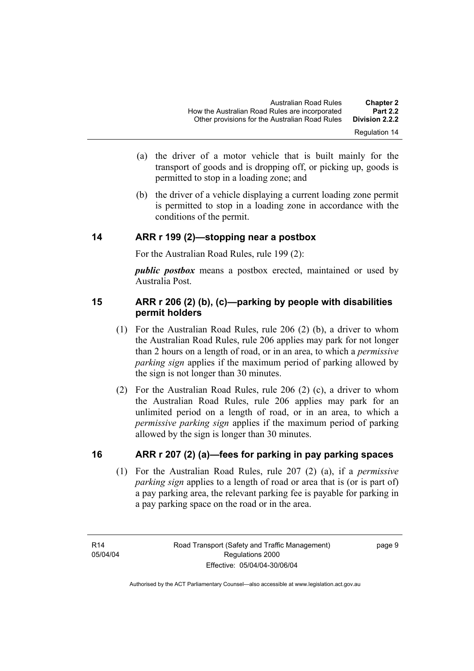- (a) the driver of a motor vehicle that is built mainly for the transport of goods and is dropping off, or picking up, goods is permitted to stop in a loading zone; and
- (b) the driver of a vehicle displaying a current loading zone permit is permitted to stop in a loading zone in accordance with the conditions of the permit.

#### **14 ARR r 199 (2)—stopping near a postbox**

For the Australian Road Rules, rule 199 (2):

*public postbox* means a postbox erected, maintained or used by Australia Post.

#### **15 ARR r 206 (2) (b), (c)—parking by people with disabilities permit holders**

- (1) For the Australian Road Rules, rule 206 (2) (b), a driver to whom the Australian Road Rules, rule 206 applies may park for not longer than 2 hours on a length of road, or in an area, to which a *permissive parking sign* applies if the maximum period of parking allowed by the sign is not longer than 30 minutes.
- (2) For the Australian Road Rules, rule 206 (2) (c), a driver to whom the Australian Road Rules, rule 206 applies may park for an unlimited period on a length of road, or in an area, to which a *permissive parking sign* applies if the maximum period of parking allowed by the sign is longer than 30 minutes.

#### **16 ARR r 207 (2) (a)—fees for parking in pay parking spaces**

 (1) For the Australian Road Rules, rule 207 (2) (a), if a *permissive parking sign* applies to a length of road or area that is (or is part of) a pay parking area, the relevant parking fee is payable for parking in a pay parking space on the road or in the area.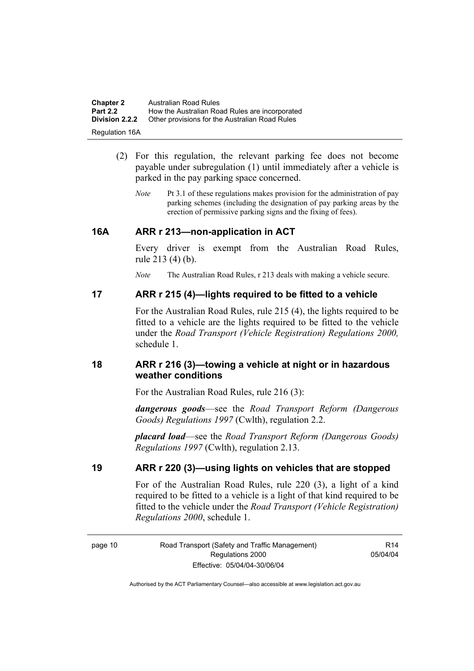| <b>Chapter 2</b>      | <b>Australian Road Rules</b>                   |
|-----------------------|------------------------------------------------|
| <b>Part 2.2</b>       | How the Australian Road Rules are incorporated |
| <b>Division 2.2.2</b> | Other provisions for the Australian Road Rules |
| <b>Regulation 16A</b> |                                                |

- (2) For this regulation, the relevant parking fee does not become payable under subregulation (1) until immediately after a vehicle is parked in the pay parking space concerned.
	- *Note* Pt 3.1 of these regulations makes provision for the administration of pay parking schemes (including the designation of pay parking areas by the erection of permissive parking signs and the fixing of fees).

#### **16A ARR r 213—non-application in ACT**

Every driver is exempt from the Australian Road Rules, rule 213 (4) (b).

*Note* The Australian Road Rules, r 213 deals with making a vehicle secure.

#### **17 ARR r 215 (4)—lights required to be fitted to a vehicle**

For the Australian Road Rules, rule 215 (4), the lights required to be fitted to a vehicle are the lights required to be fitted to the vehicle under the *Road Transport (Vehicle Registration) Regulations 2000,*  schedule 1.

#### **18 ARR r 216 (3)—towing a vehicle at night or in hazardous weather conditions**

For the Australian Road Rules, rule 216 (3):

*dangerous goods*—see the *Road Transport Reform (Dangerous Goods) Regulations 1997* (Cwlth), regulation 2.2.

*placard load*—see the *Road Transport Reform (Dangerous Goods) Regulations 1997* (Cwlth), regulation 2.13.

#### **19 ARR r 220 (3)—using lights on vehicles that are stopped**

For of the Australian Road Rules, rule 220 (3), a light of a kind required to be fitted to a vehicle is a light of that kind required to be fitted to the vehicle under the *Road Transport (Vehicle Registration) Regulations 2000*, schedule 1.

R14 05/04/04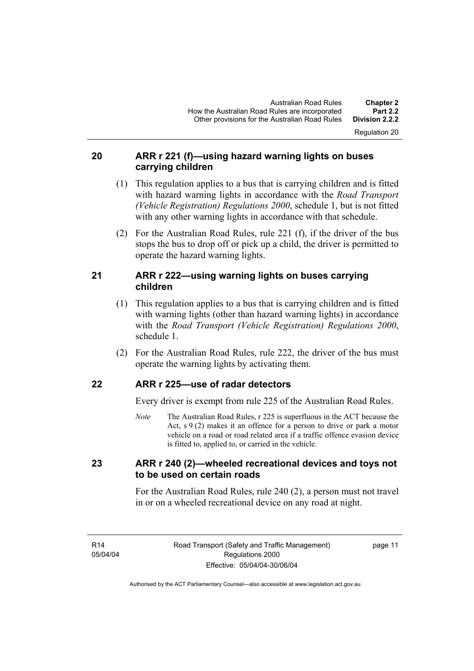Regulation 20

#### **20 ARR r 221 (f)—using hazard warning lights on buses carrying children**

- (1) This regulation applies to a bus that is carrying children and is fitted with hazard warning lights in accordance with the *Road Transport (Vehicle Registration) Regulations 2000*, schedule 1, but is not fitted with any other warning lights in accordance with that schedule.
- (2) For the Australian Road Rules, rule 221 (f), if the driver of the bus stops the bus to drop off or pick up a child, the driver is permitted to operate the hazard warning lights.

#### **21 ARR r 222—using warning lights on buses carrying children**

- (1) This regulation applies to a bus that is carrying children and is fitted with warning lights (other than hazard warning lights) in accordance with the *Road Transport (Vehicle Registration) Regulations 2000*, schedule 1.
- (2) For the Australian Road Rules, rule 222, the driver of the bus must operate the warning lights by activating them.

#### **22 ARR r 225—use of radar detectors**

Every driver is exempt from rule 225 of the Australian Road Rules.

*Note* The Australian Road Rules, r 225 is superfluous in the ACT because the Act,  $s \theta(2)$  makes it an offence for a person to drive or park a motor vehicle on a road or road related area if a traffic offence evasion device is fitted to, applied to, or carried in the vehicle.

#### **23 ARR r 240 (2)—wheeled recreational devices and toys not to be used on certain roads**

For the Australian Road Rules, rule 240 (2), a person must not travel in or on a wheeled recreational device on any road at night.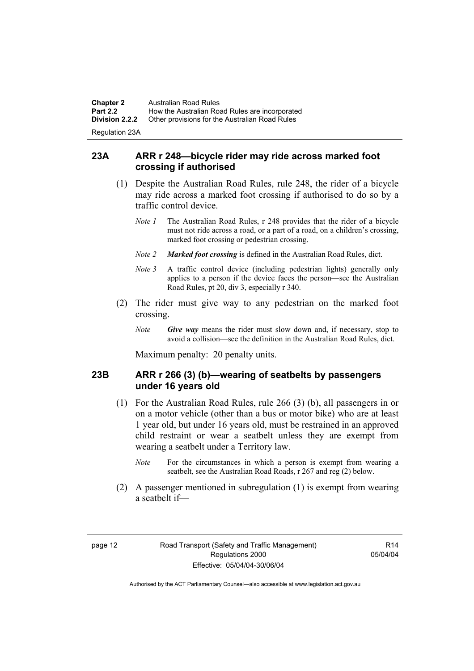**Chapter 2** Australian Road Rules<br>**Part 2.2** How the Australian Road **Part 2.2 How the Australian Road Rules are incorporated Division 2.2.2** Other provisions for the Australian Road Rules **Other provisions for the Australian Road Rules** Regulation 23A

**23A ARR r 248—bicycle rider may ride across marked foot crossing if authorised** 

- (1) Despite the Australian Road Rules, rule 248, the rider of a bicycle may ride across a marked foot crossing if authorised to do so by a traffic control device.
	- *Note 1* The Australian Road Rules, r 248 provides that the rider of a bicycle must not ride across a road, or a part of a road, on a children's crossing, marked foot crossing or pedestrian crossing.
	- *Note 2 Marked foot crossing* is defined in the Australian Road Rules, dict.
	- *Note 3* A traffic control device (including pedestrian lights) generally only applies to a person if the device faces the person—see the Australian Road Rules, pt 20, div 3, especially r 340.
- (2) The rider must give way to any pedestrian on the marked foot crossing.
	- *Note Give way* means the rider must slow down and, if necessary, stop to avoid a collision—see the definition in the Australian Road Rules, dict.

Maximum penalty: 20 penalty units.

#### **23B ARR r 266 (3) (b)—wearing of seatbelts by passengers under 16 years old**

- (1) For the Australian Road Rules, rule 266 (3) (b), all passengers in or on a motor vehicle (other than a bus or motor bike) who are at least 1 year old, but under 16 years old, must be restrained in an approved child restraint or wear a seatbelt unless they are exempt from wearing a seatbelt under a Territory law.
	- *Note* For the circumstances in which a person is exempt from wearing a seatbelt, see the Australian Road Roads, r 267 and reg (2) below.
- (2) A passenger mentioned in subregulation (1) is exempt from wearing a seatbelt if—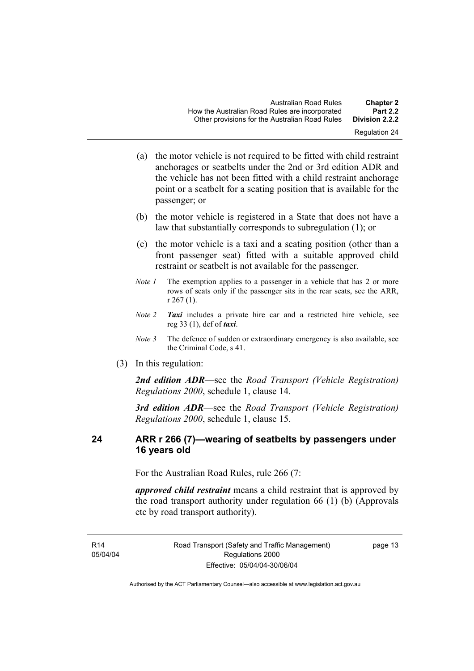- (a) the motor vehicle is not required to be fitted with child restraint anchorages or seatbelts under the 2nd or 3rd edition ADR and the vehicle has not been fitted with a child restraint anchorage point or a seatbelt for a seating position that is available for the passenger; or
- (b) the motor vehicle is registered in a State that does not have a law that substantially corresponds to subregulation (1); or
- (c) the motor vehicle is a taxi and a seating position (other than a front passenger seat) fitted with a suitable approved child restraint or seatbelt is not available for the passenger.
- *Note 1* The exemption applies to a passenger in a vehicle that has 2 or more rows of seats only if the passenger sits in the rear seats, see the ARR, r 267 (1).
- *Note 2 Taxi* includes a private hire car and a restricted hire vehicle, see reg 33 (1), def of *taxi*.
- *Note 3* The defence of sudden or extraordinary emergency is also available, see the Criminal Code, s 41.
- (3) In this regulation:

*2nd edition ADR*—see the *Road Transport (Vehicle Registration) Regulations 2000*, schedule 1, clause 14.

*3rd edition ADR*—see the *Road Transport (Vehicle Registration) Regulations 2000*, schedule 1, clause 15.

#### **24 ARR r 266 (7)—wearing of seatbelts by passengers under 16 years old**

For the Australian Road Rules, rule 266 (7:

*approved child restraint* means a child restraint that is approved by the road transport authority under regulation 66 (1) (b) (Approvals etc by road transport authority).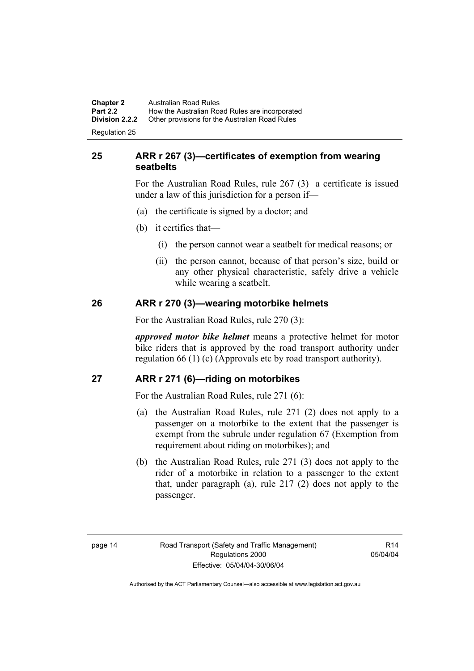**Chapter 2** Australian Road Rules<br>**Part 2.2** How the Australian Road **Part 2.2 How the Australian Road Rules are incorporated Division 2.2.2** Other provisions for the Australian Road Rules **Other provisions for the Australian Road Rules** 

Regulation 25

#### **25 ARR r 267 (3)—certificates of exemption from wearing seatbelts**

For the Australian Road Rules, rule 267 (3) a certificate is issued under a law of this jurisdiction for a person if—

- (a) the certificate is signed by a doctor; and
- (b) it certifies that—
	- (i) the person cannot wear a seatbelt for medical reasons; or
	- (ii) the person cannot, because of that person's size, build or any other physical characteristic, safely drive a vehicle while wearing a seatbelt.

#### **26 ARR r 270 (3)—wearing motorbike helmets**

For the Australian Road Rules, rule 270 (3):

*approved motor bike helmet* means a protective helmet for motor bike riders that is approved by the road transport authority under regulation 66 (1) (c) (Approvals etc by road transport authority).

#### **27 ARR r 271 (6)—riding on motorbikes**

For the Australian Road Rules, rule 271 (6):

- (a) the Australian Road Rules, rule 271 (2) does not apply to a passenger on a motorbike to the extent that the passenger is exempt from the subrule under regulation 67 (Exemption from requirement about riding on motorbikes); and
- (b) the Australian Road Rules, rule 271 (3) does not apply to the rider of a motorbike in relation to a passenger to the extent that, under paragraph (a), rule 217 (2) does not apply to the passenger.

 $R14$ 05/04/04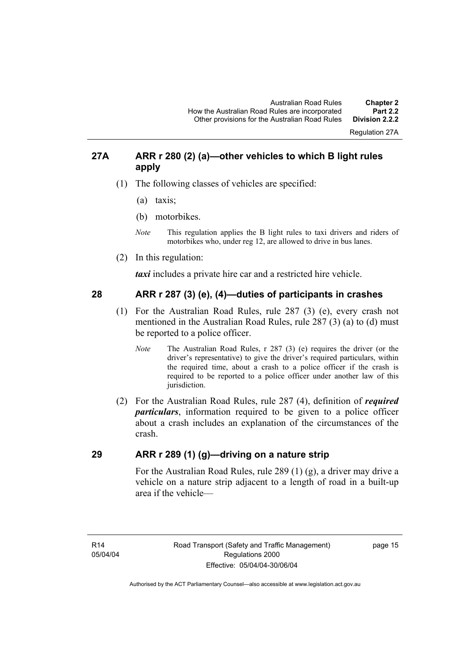Regulation 27A

#### **27A ARR r 280 (2) (a)—other vehicles to which B light rules apply**

- (1) The following classes of vehicles are specified:
	- (a) taxis;
	- (b) motorbikes.
	- *Note* This regulation applies the B light rules to taxi drivers and riders of motorbikes who, under reg 12, are allowed to drive in bus lanes.
- (2) In this regulation:

*taxi* includes a private hire car and a restricted hire vehicle.

#### **28 ARR r 287 (3) (e), (4)—duties of participants in crashes**

- (1) For the Australian Road Rules, rule 287 (3) (e), every crash not mentioned in the Australian Road Rules, rule 287 (3) (a) to (d) must be reported to a police officer.
	- *Note* The Australian Road Rules, r 287 (3) (e) requires the driver (or the driver's representative) to give the driver's required particulars, within the required time, about a crash to a police officer if the crash is required to be reported to a police officer under another law of this jurisdiction.
- (2) For the Australian Road Rules, rule 287 (4), definition of *required particulars*, information required to be given to a police officer about a crash includes an explanation of the circumstances of the crash.

#### **29 ARR r 289 (1) (g)—driving on a nature strip**

For the Australian Road Rules, rule 289 (1) (g), a driver may drive a vehicle on a nature strip adjacent to a length of road in a built-up area if the vehicle—

R14 05/04/04 page 15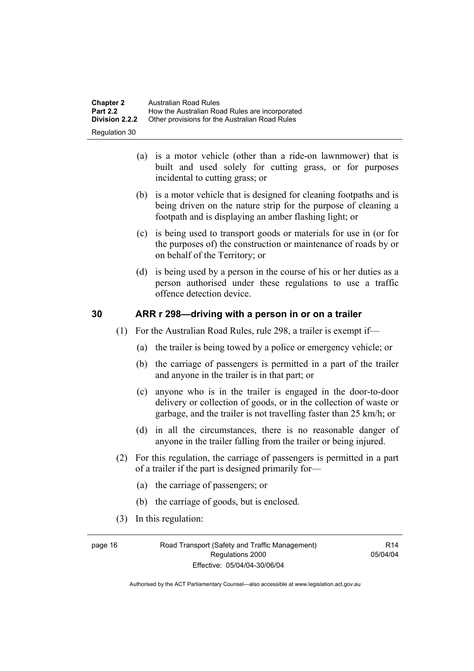| <b>Chapter 2</b> | Australian Road Rules                          |
|------------------|------------------------------------------------|
| <b>Part 2.2</b>  | How the Australian Road Rules are incorporated |
| Division 2.2.2   | Other provisions for the Australian Road Rules |
| Regulation 30    |                                                |

- (a) is a motor vehicle (other than a ride-on lawnmower) that is built and used solely for cutting grass, or for purposes incidental to cutting grass; or
- (b) is a motor vehicle that is designed for cleaning footpaths and is being driven on the nature strip for the purpose of cleaning a footpath and is displaying an amber flashing light; or
- (c) is being used to transport goods or materials for use in (or for the purposes of) the construction or maintenance of roads by or on behalf of the Territory; or
- (d) is being used by a person in the course of his or her duties as a person authorised under these regulations to use a traffic offence detection device.

#### **30 ARR r 298—driving with a person in or on a trailer**

- (1) For the Australian Road Rules, rule 298, a trailer is exempt if—
	- (a) the trailer is being towed by a police or emergency vehicle; or
	- (b) the carriage of passengers is permitted in a part of the trailer and anyone in the trailer is in that part; or
	- (c) anyone who is in the trailer is engaged in the door-to-door delivery or collection of goods, or in the collection of waste or garbage, and the trailer is not travelling faster than 25 km/h; or
	- (d) in all the circumstances, there is no reasonable danger of anyone in the trailer falling from the trailer or being injured.
- (2) For this regulation, the carriage of passengers is permitted in a part of a trailer if the part is designed primarily for—
	- (a) the carriage of passengers; or
	- (b) the carriage of goods, but is enclosed.
- (3) In this regulation:

page 16 Road Transport (Safety and Traffic Management) Regulations 2000 Effective: 05/04/04-30/06/04

 $R14$ 05/04/04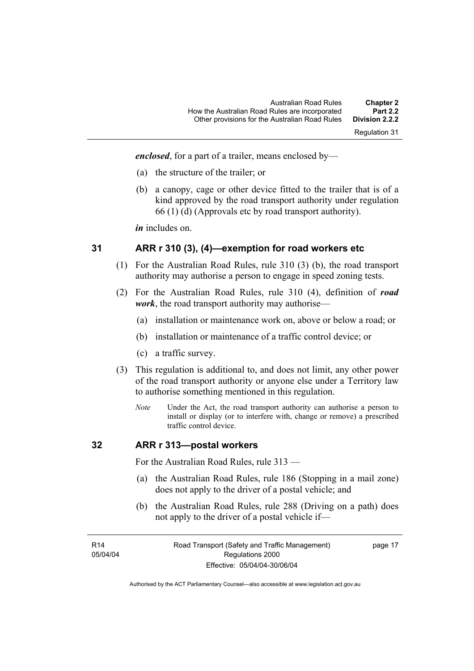Regulation 31

*enclosed*, for a part of a trailer, means enclosed by—

- (a) the structure of the trailer; or
- (b) a canopy, cage or other device fitted to the trailer that is of a kind approved by the road transport authority under regulation 66 (1) (d) (Approvals etc by road transport authority).

*in* includes on.

#### **31 ARR r 310 (3), (4)—exemption for road workers etc**

- (1) For the Australian Road Rules, rule 310 (3) (b), the road transport authority may authorise a person to engage in speed zoning tests.
- (2) For the Australian Road Rules, rule 310 (4), definition of *road work*, the road transport authority may authorise—
	- (a) installation or maintenance work on, above or below a road; or
	- (b) installation or maintenance of a traffic control device; or
	- (c) a traffic survey.
- (3) This regulation is additional to, and does not limit, any other power of the road transport authority or anyone else under a Territory law to authorise something mentioned in this regulation.
	- *Note* Under the Act, the road transport authority can authorise a person to install or display (or to interfere with, change or remove) a prescribed traffic control device.

#### **32 ARR r 313—postal workers**

For the Australian Road Rules, rule 313 —

- (a) the Australian Road Rules, rule 186 (Stopping in a mail zone) does not apply to the driver of a postal vehicle; and
- (b) the Australian Road Rules, rule 288 (Driving on a path) does not apply to the driver of a postal vehicle if—

R14 05/04/04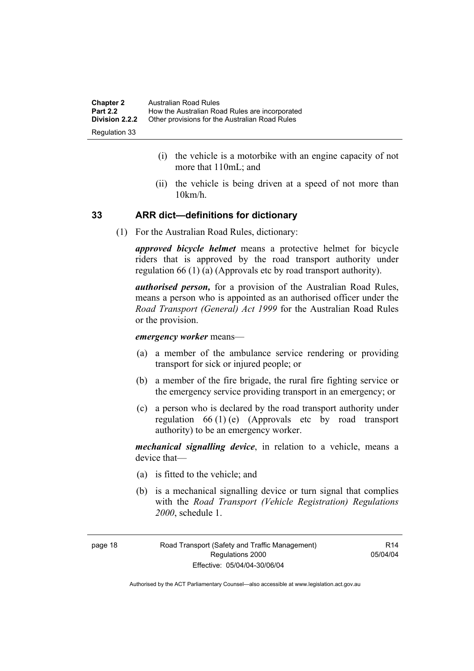| <b>Chapter 2</b> | Australian Road Rules                          |
|------------------|------------------------------------------------|
| <b>Part 2.2</b>  | How the Australian Road Rules are incorporated |
| Division 2.2.2   | Other provisions for the Australian Road Rules |
| Regulation 33    |                                                |

- (i) the vehicle is a motorbike with an engine capacity of not more that 110mL; and
- (ii) the vehicle is being driven at a speed of not more than 10km/h.

#### **33 ARR dict—definitions for dictionary**

(1) For the Australian Road Rules, dictionary:

*approved bicycle helmet* means a protective helmet for bicycle riders that is approved by the road transport authority under regulation 66 (1) (a) (Approvals etc by road transport authority).

*authorised person,* for a provision of the Australian Road Rules, means a person who is appointed as an authorised officer under the *Road Transport (General) Act 1999* for the Australian Road Rules or the provision.

#### *emergency worker* means—

- (a) a member of the ambulance service rendering or providing transport for sick or injured people; or
- (b) a member of the fire brigade, the rural fire fighting service or the emergency service providing transport in an emergency; or
- (c) a person who is declared by the road transport authority under regulation 66 (1) (e) (Approvals etc by road transport authority) to be an emergency worker.

*mechanical signalling device*, in relation to a vehicle, means a device that—

- (a) is fitted to the vehicle; and
- (b) is a mechanical signalling device or turn signal that complies with the *Road Transport (Vehicle Registration) Regulations 2000*, schedule 1.

page 18 Road Transport (Safety and Traffic Management) Regulations 2000 Effective: 05/04/04-30/06/04

 $R14$ 05/04/04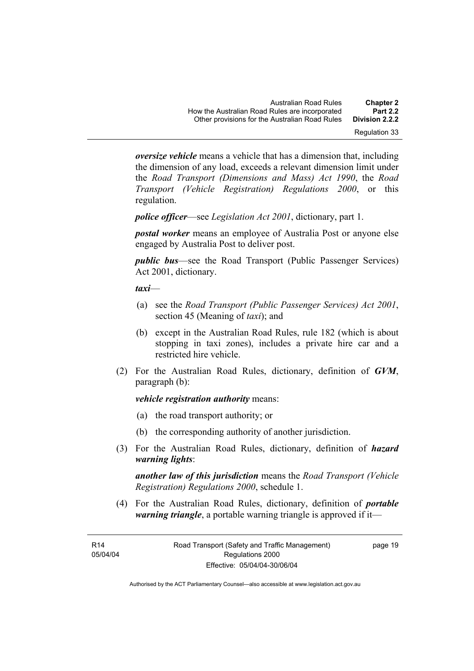*oversize vehicle* means a vehicle that has a dimension that, including the dimension of any load, exceeds a relevant dimension limit under the *Road Transport (Dimensions and Mass) Act 1990*, the *Road Transport (Vehicle Registration) Regulations 2000*, or this regulation.

*police officer*—see *Legislation Act 2001*, dictionary, part 1.

*postal worker* means an employee of Australia Post or anyone else engaged by Australia Post to deliver post.

*public bus*—see the Road Transport (Public Passenger Services) Act 2001, dictionary.

*taxi*—

- (a) see the *Road Transport (Public Passenger Services) Act 2001*, section 45 (Meaning of *taxi*); and
- (b) except in the Australian Road Rules, rule 182 (which is about stopping in taxi zones), includes a private hire car and a restricted hire vehicle.
- (2) For the Australian Road Rules, dictionary, definition of *GVM*, paragraph (b):

*vehicle registration authority* means:

- (a) the road transport authority; or
- (b) the corresponding authority of another jurisdiction.
- (3) For the Australian Road Rules, dictionary, definition of *hazard warning lights*:

*another law of this jurisdiction* means the *Road Transport (Vehicle Registration) Regulations 2000*, schedule 1.

 (4) For the Australian Road Rules, dictionary, definition of *portable warning triangle*, a portable warning triangle is approved if it—

R14 05/04/04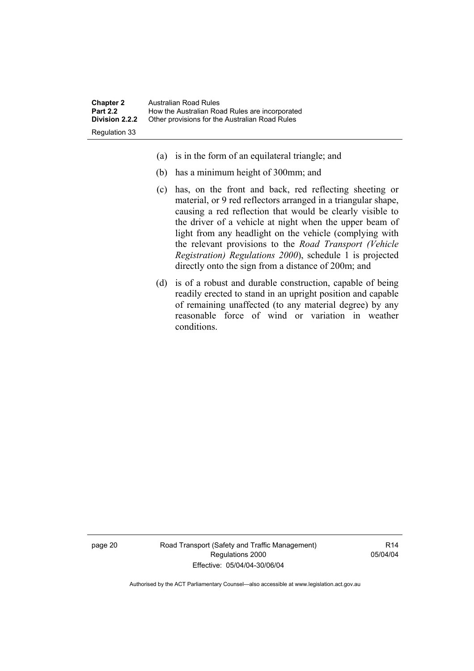| <b>Chapter 2</b>                         | Australian Road Rules                                                                            |
|------------------------------------------|--------------------------------------------------------------------------------------------------|
| <b>Part 2.2</b><br><b>Division 2.2.2</b> | How the Australian Road Rules are incorporated<br>Other provisions for the Australian Road Rules |
| Regulation 33                            |                                                                                                  |

- (a) is in the form of an equilateral triangle; and
- (b) has a minimum height of 300mm; and
- (c) has, on the front and back, red reflecting sheeting or material, or 9 red reflectors arranged in a triangular shape, causing a red reflection that would be clearly visible to the driver of a vehicle at night when the upper beam of light from any headlight on the vehicle (complying with the relevant provisions to the *Road Transport (Vehicle Registration) Regulations 2000*), schedule 1 is projected directly onto the sign from a distance of 200m; and
- (d) is of a robust and durable construction, capable of being readily erected to stand in an upright position and capable of remaining unaffected (to any material degree) by any reasonable force of wind or variation in weather conditions.

page 20 Road Transport (Safety and Traffic Management) Regulations 2000 Effective: 05/04/04-30/06/04

R14 05/04/04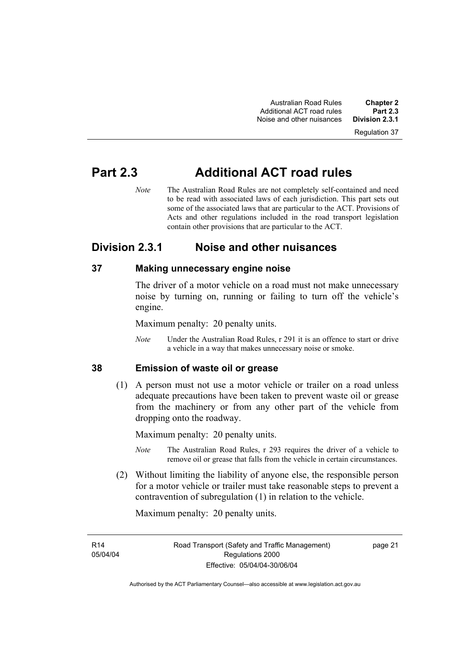Australian Road Rules **Chapter 2**  Additional ACT road rules **Part 2.3**  Noise and other nuisances

Regulation 37

### **Part 2.3 Additional ACT road rules**

*Note* The Australian Road Rules are not completely self-contained and need to be read with associated laws of each jurisdiction. This part sets out some of the associated laws that are particular to the ACT. Provisions of Acts and other regulations included in the road transport legislation contain other provisions that are particular to the ACT.

### **Division 2.3.1 Noise and other nuisances**

#### **37 Making unnecessary engine noise**

The driver of a motor vehicle on a road must not make unnecessary noise by turning on, running or failing to turn off the vehicle's engine.

Maximum penalty: 20 penalty units.

*Note* Under the Australian Road Rules, r 291 it is an offence to start or drive a vehicle in a way that makes unnecessary noise or smoke.

#### **38 Emission of waste oil or grease**

 (1) A person must not use a motor vehicle or trailer on a road unless adequate precautions have been taken to prevent waste oil or grease from the machinery or from any other part of the vehicle from dropping onto the roadway.

Maximum penalty: 20 penalty units.

- *Note* The Australian Road Rules, r 293 requires the driver of a vehicle to remove oil or grease that falls from the vehicle in certain circumstances.
- (2) Without limiting the liability of anyone else, the responsible person for a motor vehicle or trailer must take reasonable steps to prevent a contravention of subregulation (1) in relation to the vehicle.

Maximum penalty: 20 penalty units.

R14 05/04/04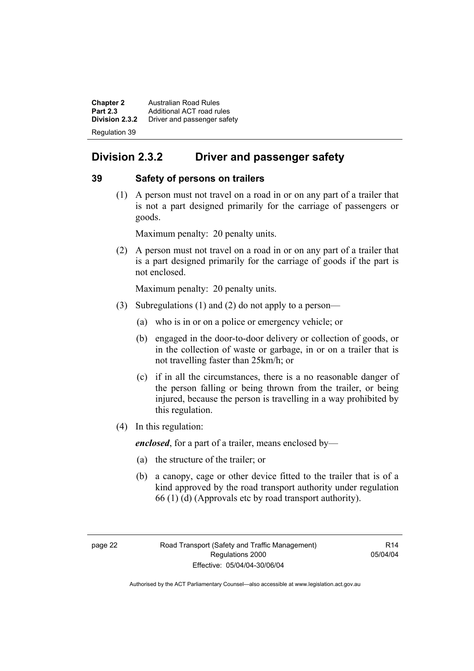**Chapter 2 Australian Road Rules**<br>**Part 2.3 Additional ACT road rules Part 2.3** Additional ACT road rules<br>**Division 2.3.2** Driver and passenger safe **Division 2.3.2** Driver and passenger safety Regulation 39

### **Division 2.3.2 Driver and passenger safety**

#### **39 Safety of persons on trailers**

 (1) A person must not travel on a road in or on any part of a trailer that is not a part designed primarily for the carriage of passengers or goods.

Maximum penalty: 20 penalty units.

 (2) A person must not travel on a road in or on any part of a trailer that is a part designed primarily for the carriage of goods if the part is not enclosed.

Maximum penalty: 20 penalty units.

- (3) Subregulations (1) and (2) do not apply to a person—
	- (a) who is in or on a police or emergency vehicle; or
	- (b) engaged in the door-to-door delivery or collection of goods, or in the collection of waste or garbage, in or on a trailer that is not travelling faster than 25km/h; or
	- (c) if in all the circumstances, there is a no reasonable danger of the person falling or being thrown from the trailer, or being injured, because the person is travelling in a way prohibited by this regulation.
- (4) In this regulation:

*enclosed*, for a part of a trailer, means enclosed by—

- (a) the structure of the trailer; or
- (b) a canopy, cage or other device fitted to the trailer that is of a kind approved by the road transport authority under regulation 66 (1) (d) (Approvals etc by road transport authority).

 $R14$ 05/04/04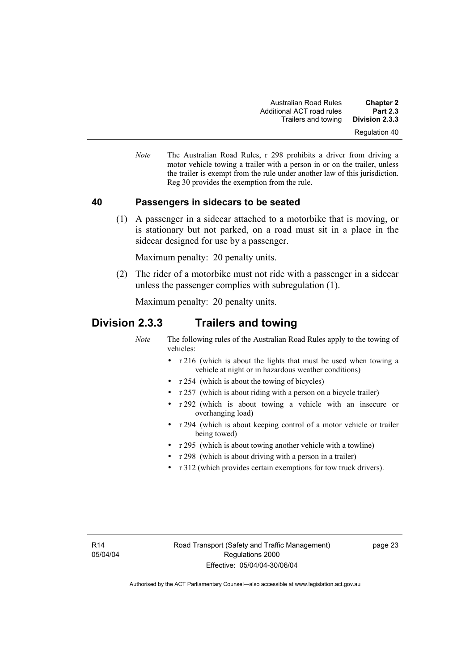*Note* The Australian Road Rules, r 298 prohibits a driver from driving a motor vehicle towing a trailer with a person in or on the trailer, unless the trailer is exempt from the rule under another law of this jurisdiction. Reg 30 provides the exemption from the rule.

#### **40 Passengers in sidecars to be seated**

 (1) A passenger in a sidecar attached to a motorbike that is moving, or is stationary but not parked, on a road must sit in a place in the sidecar designed for use by a passenger.

Maximum penalty: 20 penalty units.

 (2) The rider of a motorbike must not ride with a passenger in a sidecar unless the passenger complies with subregulation (1).

Maximum penalty: 20 penalty units.

#### **Division 2.3.3 Trailers and towing**

*Note* The following rules of the Australian Road Rules apply to the towing of vehicles:

- r 216 (which is about the lights that must be used when towing a vehicle at night or in hazardous weather conditions)
- r 254 (which is about the towing of bicycles)
- r 257 (which is about riding with a person on a bicycle trailer)
- r 292 (which is about towing a vehicle with an insecure or overhanging load)
- r 294 (which is about keeping control of a motor vehicle or trailer being towed)
- r 295 (which is about towing another vehicle with a towline)
- r 298 (which is about driving with a person in a trailer)
- r 312 (which provides certain exemptions for tow truck drivers).

page 23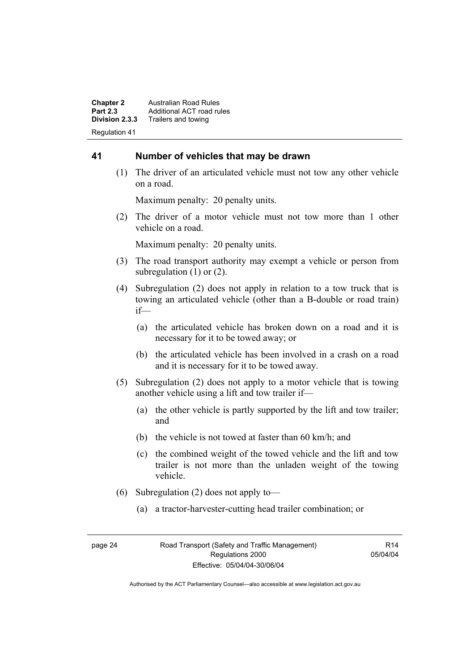**Chapter 2 Australian Road Rules**<br>**Part 2.3 Additional ACT road rules Part 2.3** Additional ACT road rules<br>**Division 2.3.3** Trailers and towing **Division 2.3.3** Trailers and towing Regulation 41

#### **41 Number of vehicles that may be drawn**

 (1) The driver of an articulated vehicle must not tow any other vehicle on a road.

Maximum penalty: 20 penalty units.

 (2) The driver of a motor vehicle must not tow more than 1 other vehicle on a road.

Maximum penalty: 20 penalty units.

- (3) The road transport authority may exempt a vehicle or person from subregulation (1) or (2).
- (4) Subregulation (2) does not apply in relation to a tow truck that is towing an articulated vehicle (other than a B-double or road train) if—
	- (a) the articulated vehicle has broken down on a road and it is necessary for it to be towed away; or
	- (b) the articulated vehicle has been involved in a crash on a road and it is necessary for it to be towed away.
- (5) Subregulation (2) does not apply to a motor vehicle that is towing another vehicle using a lift and tow trailer if—
	- (a) the other vehicle is partly supported by the lift and tow trailer; and
	- (b) the vehicle is not towed at faster than 60 km/h; and
	- (c) the combined weight of the towed vehicle and the lift and tow trailer is not more than the unladen weight of the towing vehicle.
- (6) Subregulation (2) does not apply to—
	- (a) a tractor-harvester-cutting head trailer combination; or

R14 05/04/04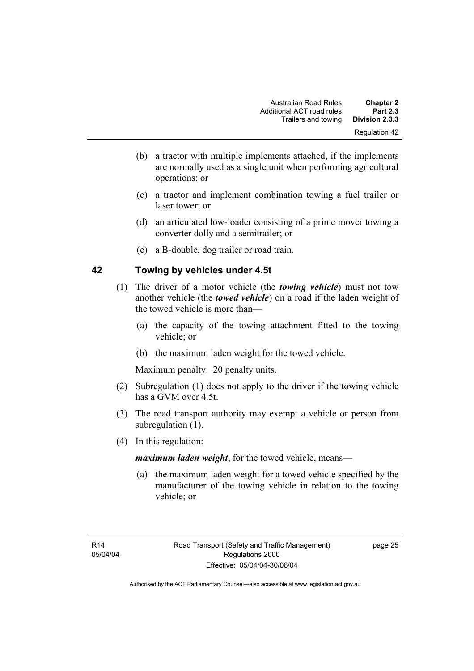- (b) a tractor with multiple implements attached, if the implements are normally used as a single unit when performing agricultural operations; or
- (c) a tractor and implement combination towing a fuel trailer or laser tower; or
- (d) an articulated low-loader consisting of a prime mover towing a converter dolly and a semitrailer; or
- (e) a B-double, dog trailer or road train.

#### **42 Towing by vehicles under 4.5t**

- (1) The driver of a motor vehicle (the *towing vehicle*) must not tow another vehicle (the *towed vehicle*) on a road if the laden weight of the towed vehicle is more than—
	- (a) the capacity of the towing attachment fitted to the towing vehicle; or
	- (b) the maximum laden weight for the towed vehicle.

Maximum penalty: 20 penalty units.

- (2) Subregulation (1) does not apply to the driver if the towing vehicle has a GVM over 4.5t.
- (3) The road transport authority may exempt a vehicle or person from subregulation  $(1)$ .
- (4) In this regulation:

*maximum laden weight*, for the towed vehicle, means—

 (a) the maximum laden weight for a towed vehicle specified by the manufacturer of the towing vehicle in relation to the towing vehicle; or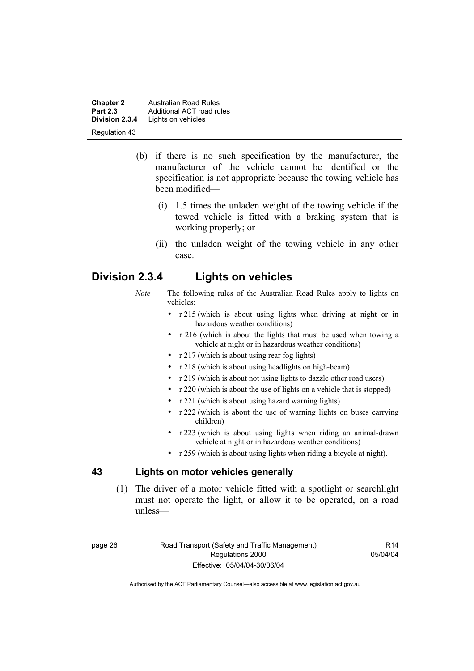**Chapter 2 Australian Road Rules**<br>**Part 2.3 Additional ACT road rules Part 2.3** Additional ACT road rules<br>**Division 2.3.4** Lights on vehicles Lights on vehicles Regulation 43

- (b) if there is no such specification by the manufacturer, the manufacturer of the vehicle cannot be identified or the specification is not appropriate because the towing vehicle has been modified—
	- (i) 1.5 times the unladen weight of the towing vehicle if the towed vehicle is fitted with a braking system that is working properly; or
	- (ii) the unladen weight of the towing vehicle in any other case.

#### **Division 2.3.4 Lights on vehicles**

- *Note* The following rules of the Australian Road Rules apply to lights on vehicles:
	- r 215 (which is about using lights when driving at night or in hazardous weather conditions)
	- r 216 (which is about the lights that must be used when towing a vehicle at night or in hazardous weather conditions)
	- r 217 (which is about using rear fog lights)
	- r 218 (which is about using headlights on high-beam)
	- r 219 (which is about not using lights to dazzle other road users)
	- r 220 (which is about the use of lights on a vehicle that is stopped)
	- r 221 (which is about using hazard warning lights)
	- r 222 (which is about the use of warning lights on buses carrying children)
	- r 223 (which is about using lights when riding an animal-drawn vehicle at night or in hazardous weather conditions)
	- r 259 (which is about using lights when riding a bicycle at night).

#### **43 Lights on motor vehicles generally**

 (1) The driver of a motor vehicle fitted with a spotlight or searchlight must not operate the light, or allow it to be operated, on a road unless—

page 26 Road Transport (Safety and Traffic Management) Regulations 2000 Effective: 05/04/04-30/06/04

R14 05/04/04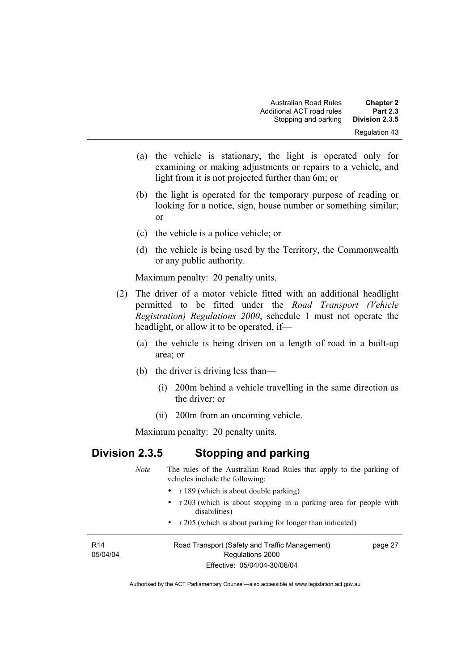- (a) the vehicle is stationary, the light is operated only for examining or making adjustments or repairs to a vehicle, and light from it is not projected further than 6m; or
- (b) the light is operated for the temporary purpose of reading or looking for a notice, sign, house number or something similar; or
- (c) the vehicle is a police vehicle; or
- (d) the vehicle is being used by the Territory, the Commonwealth or any public authority.

Maximum penalty: 20 penalty units.

- (2) The driver of a motor vehicle fitted with an additional headlight permitted to be fitted under the *Road Transport (Vehicle Registration) Regulations 2000*, schedule 1 must not operate the headlight, or allow it to be operated, if—
	- (a) the vehicle is being driven on a length of road in a built-up area; or
	- (b) the driver is driving less than—
		- (i) 200m behind a vehicle travelling in the same direction as the driver; or
		- (ii) 200m from an oncoming vehicle.

Maximum penalty: 20 penalty units.

# **Division 2.3.5 Stopping and parking**

|                             | <b>Note</b>                              | The rules of the Australian Road Rules that apply to the parking of<br>vehicles include the following: |  |  |
|-----------------------------|------------------------------------------|--------------------------------------------------------------------------------------------------------|--|--|
|                             | • $r189$ (which is about double parking) |                                                                                                        |  |  |
|                             |                                          | • $\tau$ 203 (which is about stopping in a parking area for people with<br>disabilities)               |  |  |
|                             |                                          | • $r \ge 205$ (which is about parking for longer than indicated)                                       |  |  |
| R <sub>14</sub><br>05/04/04 |                                          | Road Transport (Safety and Traffic Management)<br>page 27<br>Regulations 2000                          |  |  |
|                             |                                          | Effective: 05/04/04-30/06/04                                                                           |  |  |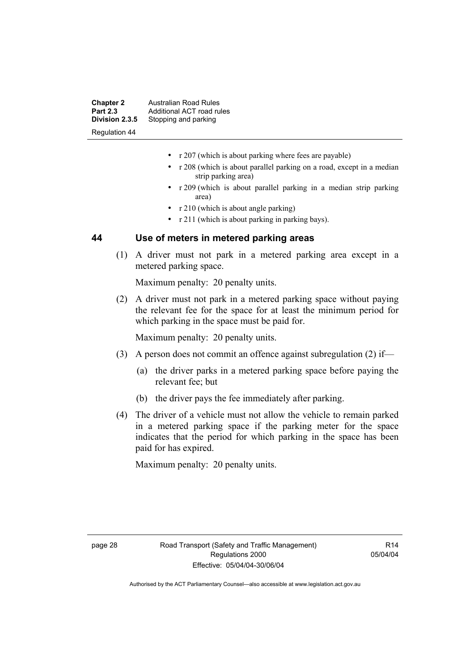| <b>Chapter 2</b>     | <b>Australian Road Rules</b> |
|----------------------|------------------------------|
| <b>Part 2.3</b>      | Additional ACT road rules    |
| Division 2.3.5       | Stopping and parking         |
| <b>Regulation 44</b> |                              |

- r 207 (which is about parking where fees are payable)
- r 208 (which is about parallel parking on a road, except in a median strip parking area)
- r 209 (which is about parallel parking in a median strip parking area)
- r 210 (which is about angle parking)
- r 211 (which is about parking in parking bays).

#### **44 Use of meters in metered parking areas**

 (1) A driver must not park in a metered parking area except in a metered parking space.

Maximum penalty: 20 penalty units.

 (2) A driver must not park in a metered parking space without paying the relevant fee for the space for at least the minimum period for which parking in the space must be paid for.

Maximum penalty: 20 penalty units.

- (3) A person does not commit an offence against subregulation (2) if—
	- (a) the driver parks in a metered parking space before paying the relevant fee; but
	- (b) the driver pays the fee immediately after parking.
- (4) The driver of a vehicle must not allow the vehicle to remain parked in a metered parking space if the parking meter for the space indicates that the period for which parking in the space has been paid for has expired.

Maximum penalty: 20 penalty units.

 $R14$ 05/04/04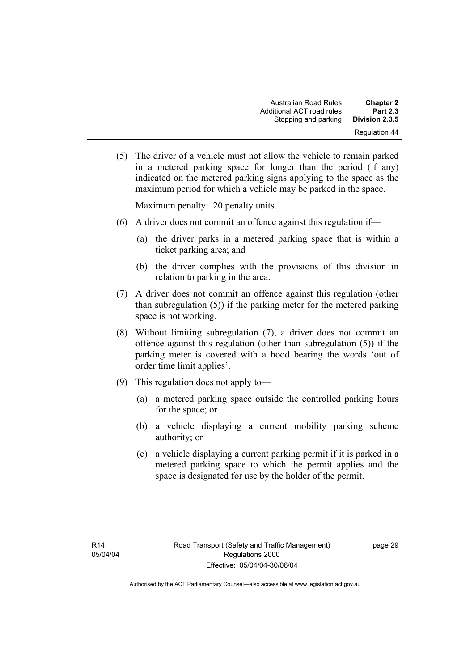(5) The driver of a vehicle must not allow the vehicle to remain parked in a metered parking space for longer than the period (if any) indicated on the metered parking signs applying to the space as the maximum period for which a vehicle may be parked in the space.

Maximum penalty: 20 penalty units.

- (6) A driver does not commit an offence against this regulation if—
	- (a) the driver parks in a metered parking space that is within a ticket parking area; and
	- (b) the driver complies with the provisions of this division in relation to parking in the area.
- (7) A driver does not commit an offence against this regulation (other than subregulation (5)) if the parking meter for the metered parking space is not working.
- (8) Without limiting subregulation (7), a driver does not commit an offence against this regulation (other than subregulation (5)) if the parking meter is covered with a hood bearing the words 'out of order time limit applies'.
- (9) This regulation does not apply to—
	- (a) a metered parking space outside the controlled parking hours for the space; or
	- (b) a vehicle displaying a current mobility parking scheme authority; or
	- (c) a vehicle displaying a current parking permit if it is parked in a metered parking space to which the permit applies and the space is designated for use by the holder of the permit.

page 29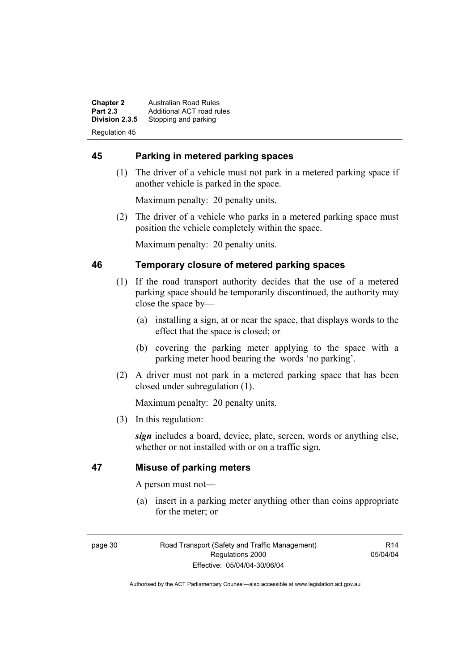**Chapter 2 Australian Road Rules**<br>**Part 2.3 Additional ACT road rules Part 2.3** Additional ACT road rules<br>**Division 2.3.5** Stopping and parking Stopping and parking Regulation 45

#### **45 Parking in metered parking spaces**

 (1) The driver of a vehicle must not park in a metered parking space if another vehicle is parked in the space.

Maximum penalty: 20 penalty units.

 (2) The driver of a vehicle who parks in a metered parking space must position the vehicle completely within the space.

Maximum penalty: 20 penalty units.

#### **46 Temporary closure of metered parking spaces**

- (1) If the road transport authority decides that the use of a metered parking space should be temporarily discontinued, the authority may close the space by—
	- (a) installing a sign, at or near the space, that displays words to the effect that the space is closed; or
	- (b) covering the parking meter applying to the space with a parking meter hood bearing the words 'no parking'.
- (2) A driver must not park in a metered parking space that has been closed under subregulation (1).

Maximum penalty: 20 penalty units.

(3) In this regulation:

*sign* includes a board, device, plate, screen, words or anything else, whether or not installed with or on a traffic sign.

#### **47 Misuse of parking meters**

A person must not—

 (a) insert in a parking meter anything other than coins appropriate for the meter; or

page 30 Road Transport (Safety and Traffic Management) Regulations 2000 Effective: 05/04/04-30/06/04

R14 05/04/04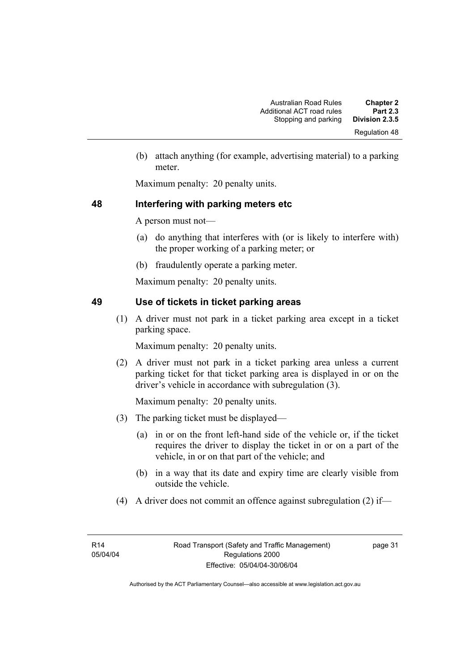(b) attach anything (for example, advertising material) to a parking meter.

Maximum penalty: 20 penalty units.

# **48 Interfering with parking meters etc**

A person must not—

- (a) do anything that interferes with (or is likely to interfere with) the proper working of a parking meter; or
- (b) fraudulently operate a parking meter.

Maximum penalty: 20 penalty units.

# **49 Use of tickets in ticket parking areas**

 (1) A driver must not park in a ticket parking area except in a ticket parking space.

Maximum penalty: 20 penalty units.

 (2) A driver must not park in a ticket parking area unless a current parking ticket for that ticket parking area is displayed in or on the driver's vehicle in accordance with subregulation (3).

Maximum penalty: 20 penalty units.

- (3) The parking ticket must be displayed—
	- (a) in or on the front left-hand side of the vehicle or, if the ticket requires the driver to display the ticket in or on a part of the vehicle, in or on that part of the vehicle; and
	- (b) in a way that its date and expiry time are clearly visible from outside the vehicle.
- (4) A driver does not commit an offence against subregulation (2) if—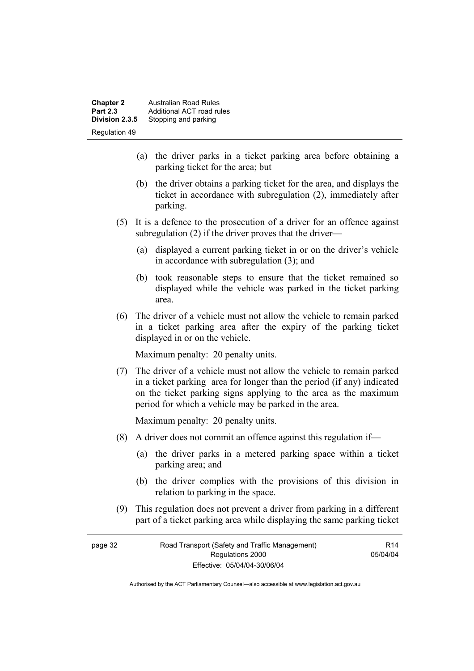| <b>Chapter 2</b><br><b>Part 2.3</b> | <b>Australian Road Rules</b><br>Additional ACT road rules |
|-------------------------------------|-----------------------------------------------------------|
| Division 2.3.5                      | Stopping and parking                                      |
| <b>Regulation 49</b>                |                                                           |

- (a) the driver parks in a ticket parking area before obtaining a parking ticket for the area; but
- (b) the driver obtains a parking ticket for the area, and displays the ticket in accordance with subregulation (2), immediately after parking.
- (5) It is a defence to the prosecution of a driver for an offence against subregulation (2) if the driver proves that the driver—
	- (a) displayed a current parking ticket in or on the driver's vehicle in accordance with subregulation (3); and
	- (b) took reasonable steps to ensure that the ticket remained so displayed while the vehicle was parked in the ticket parking area.
- (6) The driver of a vehicle must not allow the vehicle to remain parked in a ticket parking area after the expiry of the parking ticket displayed in or on the vehicle.

Maximum penalty: 20 penalty units.

 (7) The driver of a vehicle must not allow the vehicle to remain parked in a ticket parking area for longer than the period (if any) indicated on the ticket parking signs applying to the area as the maximum period for which a vehicle may be parked in the area.

Maximum penalty: 20 penalty units.

- (8) A driver does not commit an offence against this regulation if—
	- (a) the driver parks in a metered parking space within a ticket parking area; and
	- (b) the driver complies with the provisions of this division in relation to parking in the space.

R14 05/04/04

 (9) This regulation does not prevent a driver from parking in a different part of a ticket parking area while displaying the same parking ticket

| page 32 | Road Transport (Safety and Traffic Management) |
|---------|------------------------------------------------|
|         | Regulations 2000                               |
|         | Effective: 05/04/04-30/06/04                   |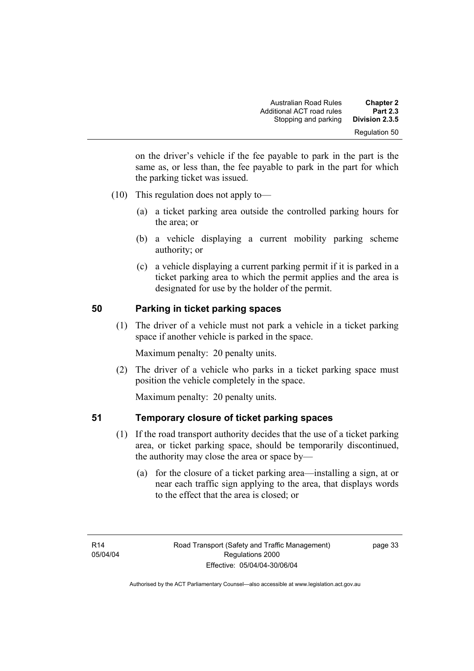on the driver's vehicle if the fee payable to park in the part is the same as, or less than, the fee payable to park in the part for which the parking ticket was issued.

- (10) This regulation does not apply to—
	- (a) a ticket parking area outside the controlled parking hours for the area; or
	- (b) a vehicle displaying a current mobility parking scheme authority; or
	- (c) a vehicle displaying a current parking permit if it is parked in a ticket parking area to which the permit applies and the area is designated for use by the holder of the permit.

# **50 Parking in ticket parking spaces**

 (1) The driver of a vehicle must not park a vehicle in a ticket parking space if another vehicle is parked in the space.

Maximum penalty: 20 penalty units.

 (2) The driver of a vehicle who parks in a ticket parking space must position the vehicle completely in the space.

Maximum penalty: 20 penalty units.

# **51 Temporary closure of ticket parking spaces**

- (1) If the road transport authority decides that the use of a ticket parking area, or ticket parking space, should be temporarily discontinued, the authority may close the area or space by—
	- (a) for the closure of a ticket parking area—installing a sign, at or near each traffic sign applying to the area, that displays words to the effect that the area is closed; or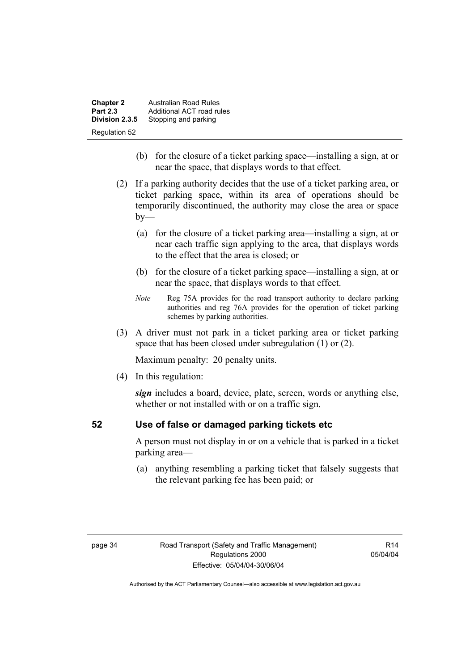| <b>Chapter 2</b> | <b>Australian Road Rules</b> |
|------------------|------------------------------|
| <b>Part 2.3</b>  | Additional ACT road rules    |
| Division 2.3.5   | Stopping and parking         |
| Regulation 52    |                              |

- (b) for the closure of a ticket parking space—installing a sign, at or near the space, that displays words to that effect.
- (2) If a parking authority decides that the use of a ticket parking area, or ticket parking space, within its area of operations should be temporarily discontinued, the authority may close the area or space  $by-$ 
	- (a) for the closure of a ticket parking area—installing a sign, at or near each traffic sign applying to the area, that displays words to the effect that the area is closed; or
	- (b) for the closure of a ticket parking space—installing a sign, at or near the space, that displays words to that effect.
	- *Note* Reg 75A provides for the road transport authority to declare parking authorities and reg 76A provides for the operation of ticket parking schemes by parking authorities.
- (3) A driver must not park in a ticket parking area or ticket parking space that has been closed under subregulation (1) or (2).

Maximum penalty: 20 penalty units.

(4) In this regulation:

*sign* includes a board, device, plate, screen, words or anything else, whether or not installed with or on a traffic sign.

# **52 Use of false or damaged parking tickets etc**

A person must not display in or on a vehicle that is parked in a ticket parking area—

 (a) anything resembling a parking ticket that falsely suggests that the relevant parking fee has been paid; or

R14 05/04/04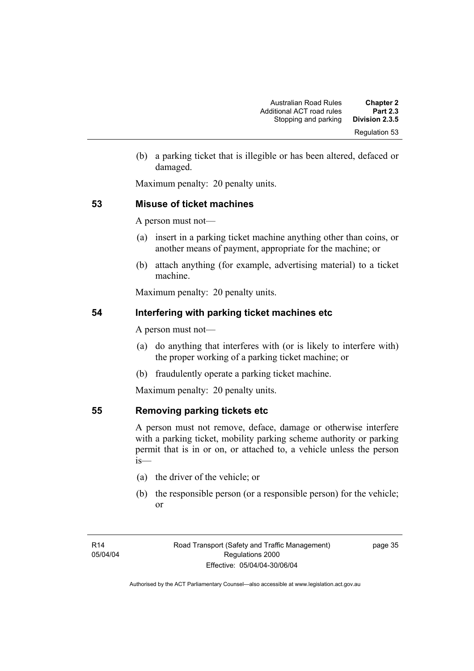(b) a parking ticket that is illegible or has been altered, defaced or damaged.

Maximum penalty: 20 penalty units.

# **53 Misuse of ticket machines**

A person must not—

- (a) insert in a parking ticket machine anything other than coins, or another means of payment, appropriate for the machine; or
- (b) attach anything (for example, advertising material) to a ticket machine.

Maximum penalty: 20 penalty units.

# **54 Interfering with parking ticket machines etc**

A person must not—

- (a) do anything that interferes with (or is likely to interfere with) the proper working of a parking ticket machine; or
- (b) fraudulently operate a parking ticket machine.

Maximum penalty: 20 penalty units.

# **55 Removing parking tickets etc**

A person must not remove, deface, damage or otherwise interfere with a parking ticket, mobility parking scheme authority or parking permit that is in or on, or attached to, a vehicle unless the person is—

- (a) the driver of the vehicle; or
- (b) the responsible person (or a responsible person) for the vehicle; or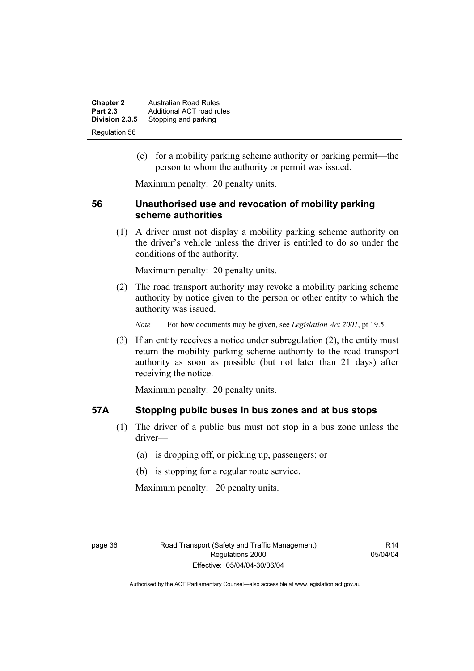| <b>Chapter 2</b><br><b>Part 2.3</b> | <b>Australian Road Rules</b><br>Additional ACT road rules |
|-------------------------------------|-----------------------------------------------------------|
| Division 2.3.5                      | Stopping and parking                                      |
| Regulation 56                       |                                                           |

 (c) for a mobility parking scheme authority or parking permit—the person to whom the authority or permit was issued.

Maximum penalty: 20 penalty units.

#### **56 Unauthorised use and revocation of mobility parking scheme authorities**

 (1) A driver must not display a mobility parking scheme authority on the driver's vehicle unless the driver is entitled to do so under the conditions of the authority.

Maximum penalty: 20 penalty units.

 (2) The road transport authority may revoke a mobility parking scheme authority by notice given to the person or other entity to which the authority was issued.

*Note* For how documents may be given, see *Legislation Act 2001*, pt 19.5.

 (3) If an entity receives a notice under subregulation (2), the entity must return the mobility parking scheme authority to the road transport authority as soon as possible (but not later than 21 days) after receiving the notice.

Maximum penalty: 20 penalty units.

#### **57A Stopping public buses in bus zones and at bus stops**

- (1) The driver of a public bus must not stop in a bus zone unless the driver—
	- (a) is dropping off, or picking up, passengers; or
	- (b) is stopping for a regular route service.

Maximum penalty: 20 penalty units.

 $R14$ 05/04/04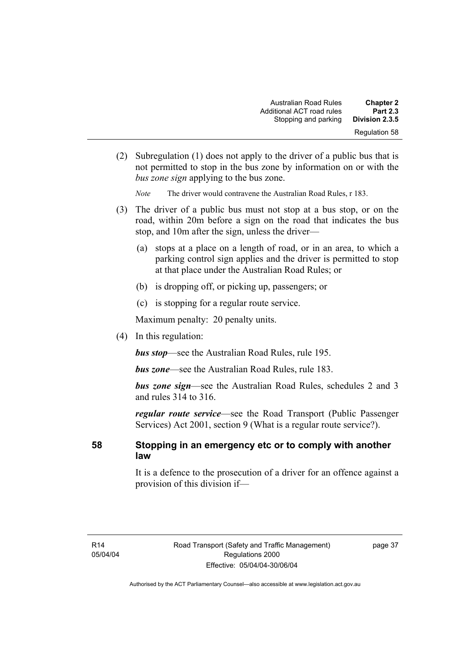| <b>Chapter 2</b> | <b>Australian Road Rules</b> |
|------------------|------------------------------|
| <b>Part 2.3</b>  | Additional ACT road rules    |
| Division 2.3.5   | Stopping and parking         |
| Regulation 58    |                              |

 (2) Subregulation (1) does not apply to the driver of a public bus that is not permitted to stop in the bus zone by information on or with the *bus zone sign* applying to the bus zone.

*Note* The driver would contravene the Australian Road Rules, r 183.

- (3) The driver of a public bus must not stop at a bus stop, or on the road, within 20m before a sign on the road that indicates the bus stop, and 10m after the sign, unless the driver—
	- (a) stops at a place on a length of road, or in an area, to which a parking control sign applies and the driver is permitted to stop at that place under the Australian Road Rules; or
	- (b) is dropping off, or picking up, passengers; or
	- (c) is stopping for a regular route service.

Maximum penalty: 20 penalty units.

(4) In this regulation:

*bus stop*—see the Australian Road Rules, rule 195.

*bus zone*—see the Australian Road Rules, rule 183.

*bus zone sign*—see the Australian Road Rules, schedules 2 and 3 and rules 314 to 316.

*regular route service*—see the Road Transport (Public Passenger Services) Act 2001, section 9 (What is a regular route service?).

#### **58 Stopping in an emergency etc or to comply with another law**

It is a defence to the prosecution of a driver for an offence against a provision of this division if—

page 37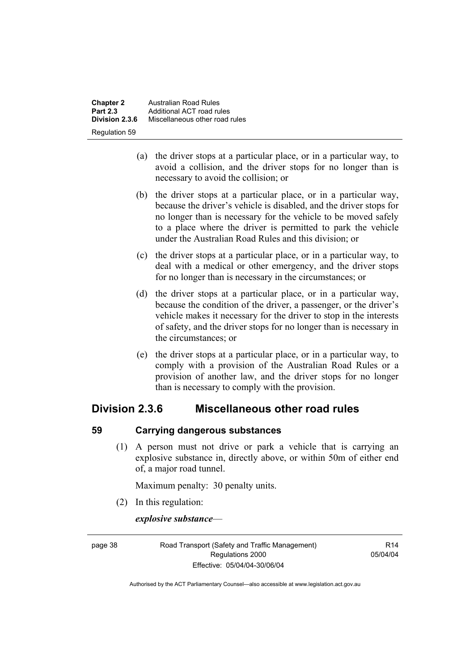**Chapter 2 Australian Road Rules**<br>**Part 2.3 Additional ACT road rules Part 2.3** Additional ACT road rules<br>**Division 2.3.6** Miscellaneous other road **Division 2.3.6** Miscellaneous other road rules Regulation 59

- (a) the driver stops at a particular place, or in a particular way, to avoid a collision, and the driver stops for no longer than is necessary to avoid the collision; or
- (b) the driver stops at a particular place, or in a particular way, because the driver's vehicle is disabled, and the driver stops for no longer than is necessary for the vehicle to be moved safely to a place where the driver is permitted to park the vehicle under the Australian Road Rules and this division; or
- (c) the driver stops at a particular place, or in a particular way, to deal with a medical or other emergency, and the driver stops for no longer than is necessary in the circumstances; or
- (d) the driver stops at a particular place, or in a particular way, because the condition of the driver, a passenger, or the driver's vehicle makes it necessary for the driver to stop in the interests of safety, and the driver stops for no longer than is necessary in the circumstances; or
- (e) the driver stops at a particular place, or in a particular way, to comply with a provision of the Australian Road Rules or a provision of another law, and the driver stops for no longer than is necessary to comply with the provision.

# **Division 2.3.6 Miscellaneous other road rules**

# **59 Carrying dangerous substances**

 (1) A person must not drive or park a vehicle that is carrying an explosive substance in, directly above, or within 50m of either end of, a major road tunnel.

Maximum penalty: 30 penalty units.

(2) In this regulation:

*explosive substance*—

page 38 Road Transport (Safety and Traffic Management) Regulations 2000 Effective: 05/04/04-30/06/04

 $R14$ 05/04/04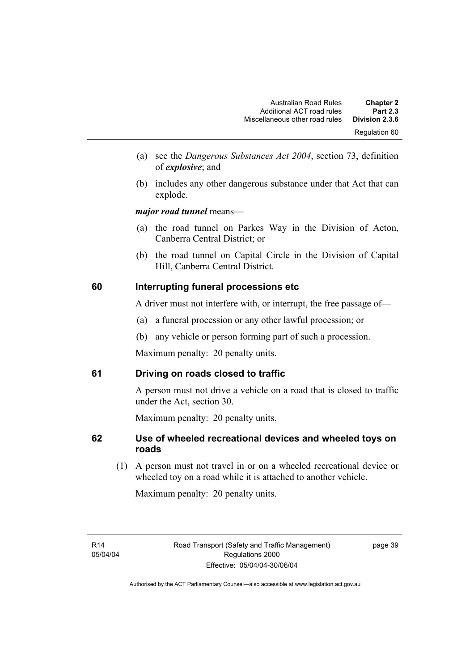- (a) see the *Dangerous Substances Act 2004*, section 73, definition of *explosive*; and
- (b) includes any other dangerous substance under that Act that can explode.

*major road tunnel* means—

- (a) the road tunnel on Parkes Way in the Division of Acton, Canberra Central District; or
- (b) the road tunnel on Capital Circle in the Division of Capital Hill, Canberra Central District.

# **60 Interrupting funeral processions etc**

A driver must not interfere with, or interrupt, the free passage of—

- (a) a funeral procession or any other lawful procession; or
- (b) any vehicle or person forming part of such a procession.

Maximum penalty: 20 penalty units.

# **61 Driving on roads closed to traffic**

A person must not drive a vehicle on a road that is closed to traffic under the Act, section 30.

Maximum penalty: 20 penalty units.

# **62 Use of wheeled recreational devices and wheeled toys on roads**

 (1) A person must not travel in or on a wheeled recreational device or wheeled toy on a road while it is attached to another vehicle.

Maximum penalty: 20 penalty units.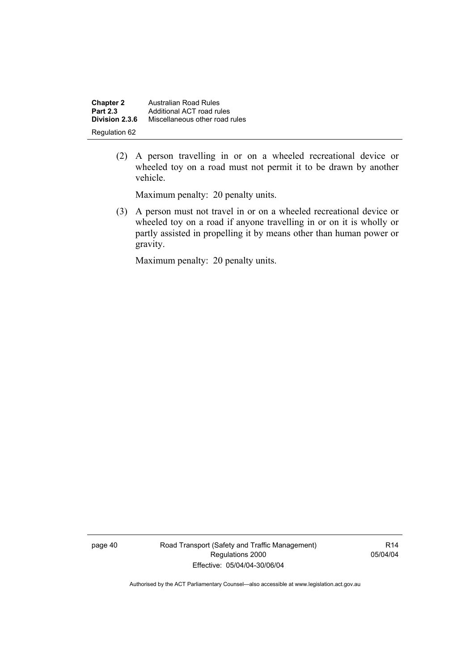| <b>Chapter 2</b> | <b>Australian Road Rules</b>   |
|------------------|--------------------------------|
| <b>Part 2.3</b>  | Additional ACT road rules      |
| Division 2.3.6   | Miscellaneous other road rules |
| Regulation 62    |                                |

 (2) A person travelling in or on a wheeled recreational device or wheeled toy on a road must not permit it to be drawn by another vehicle.

Maximum penalty: 20 penalty units.

 (3) A person must not travel in or on a wheeled recreational device or wheeled toy on a road if anyone travelling in or on it is wholly or partly assisted in propelling it by means other than human power or gravity.

Maximum penalty: 20 penalty units.

page 40 Road Transport (Safety and Traffic Management) Regulations 2000 Effective: 05/04/04-30/06/04

R14 05/04/04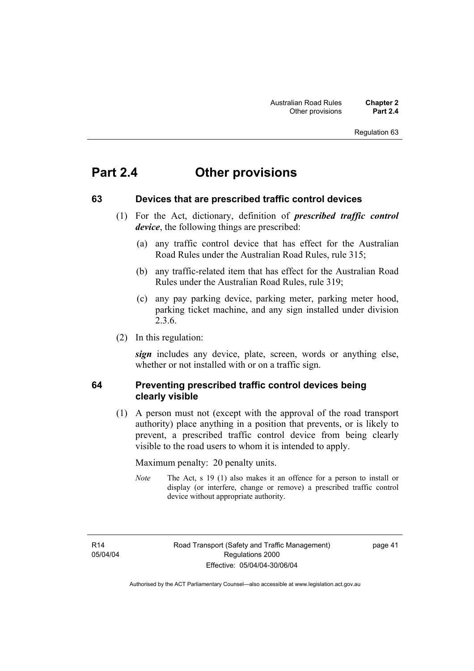# Regulation 63

# **Part 2.4 Other provisions**

#### **63 Devices that are prescribed traffic control devices**

- (1) For the Act, dictionary, definition of *prescribed traffic control device*, the following things are prescribed:
	- (a) any traffic control device that has effect for the Australian Road Rules under the Australian Road Rules, rule 315;
	- (b) any traffic-related item that has effect for the Australian Road Rules under the Australian Road Rules, rule 319;
	- (c) any pay parking device, parking meter, parking meter hood, parking ticket machine, and any sign installed under division 2.3.6.
- (2) In this regulation:

*sign* includes any device, plate, screen, words or anything else, whether or not installed with or on a traffic sign.

#### **64 Preventing prescribed traffic control devices being clearly visible**

 (1) A person must not (except with the approval of the road transport authority) place anything in a position that prevents, or is likely to prevent, a prescribed traffic control device from being clearly visible to the road users to whom it is intended to apply.

Maximum penalty: 20 penalty units.

*Note* The Act, s 19 (1) also makes it an offence for a person to install or display (or interfere, change or remove) a prescribed traffic control device without appropriate authority.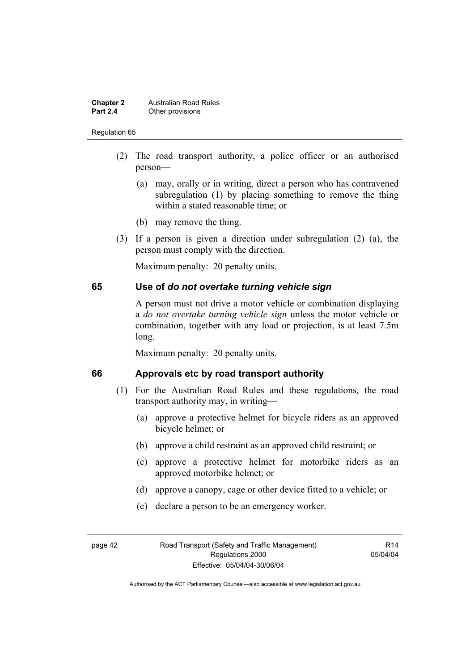#### **Chapter 2 Australian Road Rules**<br>**Part 2.4 Other provisions Other provisions**

#### Regulation 65

- (2) The road transport authority, a police officer or an authorised person—
	- (a) may, orally or in writing, direct a person who has contravened subregulation (1) by placing something to remove the thing within a stated reasonable time; or
	- (b) may remove the thing.
- (3) If a person is given a direction under subregulation (2) (a), the person must comply with the direction.

Maximum penalty: 20 penalty units.

#### **65 Use of** *do not overtake turning vehicle sign*

A person must not drive a motor vehicle or combination displaying a *do not overtake turning vehicle sign* unless the motor vehicle or combination, together with any load or projection, is at least 7.5m long.

Maximum penalty: 20 penalty units.

# **66 Approvals etc by road transport authority**

- (1) For the Australian Road Rules and these regulations, the road transport authority may, in writing—
	- (a) approve a protective helmet for bicycle riders as an approved bicycle helmet; or
	- (b) approve a child restraint as an approved child restraint; or
	- (c) approve a protective helmet for motorbike riders as an approved motorbike helmet; or
	- (d) approve a canopy, cage or other device fitted to a vehicle; or
	- (e) declare a person to be an emergency worker.

R14 05/04/04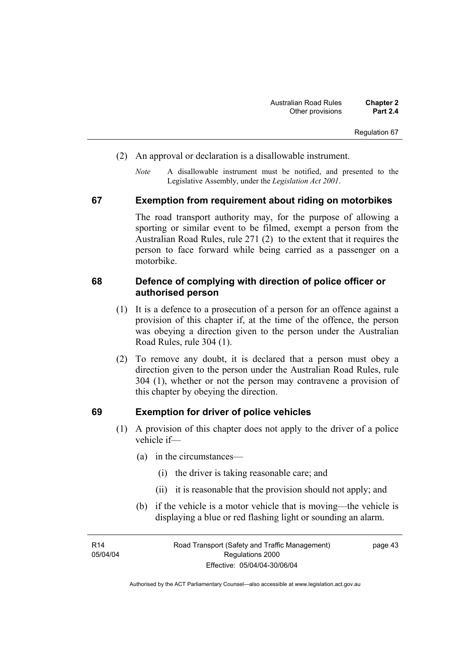Regulation 67

- (2) An approval or declaration is a disallowable instrument.
	- *Note* A disallowable instrument must be notified, and presented to the Legislative Assembly, under the *Legislation Act 2001*.

#### **67 Exemption from requirement about riding on motorbikes**

The road transport authority may, for the purpose of allowing a sporting or similar event to be filmed, exempt a person from the Australian Road Rules, rule 271 (2) to the extent that it requires the person to face forward while being carried as a passenger on a motorbike.

#### **68 Defence of complying with direction of police officer or authorised person**

- (1) It is a defence to a prosecution of a person for an offence against a provision of this chapter if, at the time of the offence, the person was obeying a direction given to the person under the Australian Road Rules, rule 304 (1).
- (2) To remove any doubt, it is declared that a person must obey a direction given to the person under the Australian Road Rules, rule 304 (1), whether or not the person may contravene a provision of this chapter by obeying the direction.

#### **69 Exemption for driver of police vehicles**

- (1) A provision of this chapter does not apply to the driver of a police vehicle if—
	- (a) in the circumstances—
		- (i) the driver is taking reasonable care; and
		- (ii) it is reasonable that the provision should not apply; and
	- (b) if the vehicle is a motor vehicle that is moving—the vehicle is displaying a blue or red flashing light or sounding an alarm.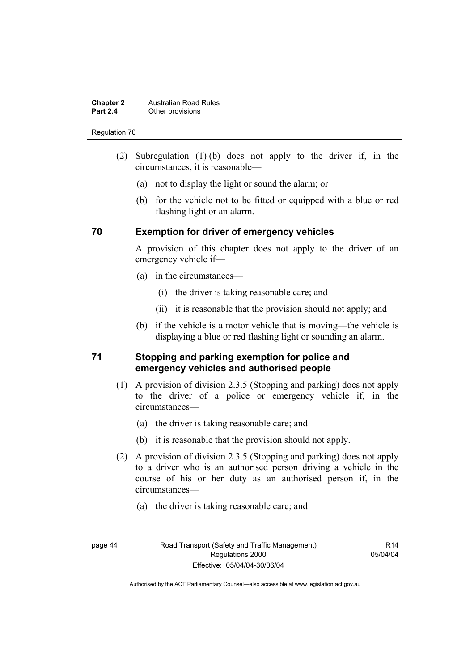#### **Chapter 2 Australian Road Rules**<br>**Part 2.4 Other provisions Other provisions**

#### Regulation 70

- (2) Subregulation (1) (b) does not apply to the driver if, in the circumstances, it is reasonable—
	- (a) not to display the light or sound the alarm; or
	- (b) for the vehicle not to be fitted or equipped with a blue or red flashing light or an alarm.

### **70 Exemption for driver of emergency vehicles**

A provision of this chapter does not apply to the driver of an emergency vehicle if—

- (a) in the circumstances—
	- (i) the driver is taking reasonable care; and
	- (ii) it is reasonable that the provision should not apply; and
- (b) if the vehicle is a motor vehicle that is moving—the vehicle is displaying a blue or red flashing light or sounding an alarm.

#### **71 Stopping and parking exemption for police and emergency vehicles and authorised people**

- (1) A provision of division 2.3.5 (Stopping and parking) does not apply to the driver of a police or emergency vehicle if, in the circumstances—
	- (a) the driver is taking reasonable care; and
	- (b) it is reasonable that the provision should not apply.
- (2) A provision of division 2.3.5 (Stopping and parking) does not apply to a driver who is an authorised person driving a vehicle in the course of his or her duty as an authorised person if, in the circumstances—
	- (a) the driver is taking reasonable care; and
- 

 $R14$ 05/04/04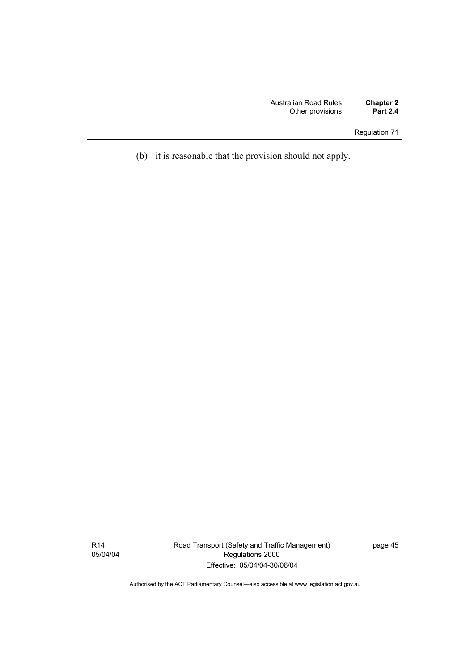Regulation 71

(b) it is reasonable that the provision should not apply.

R14 05/04/04 Road Transport (Safety and Traffic Management) Regulations 2000 Effective: 05/04/04-30/06/04

page 45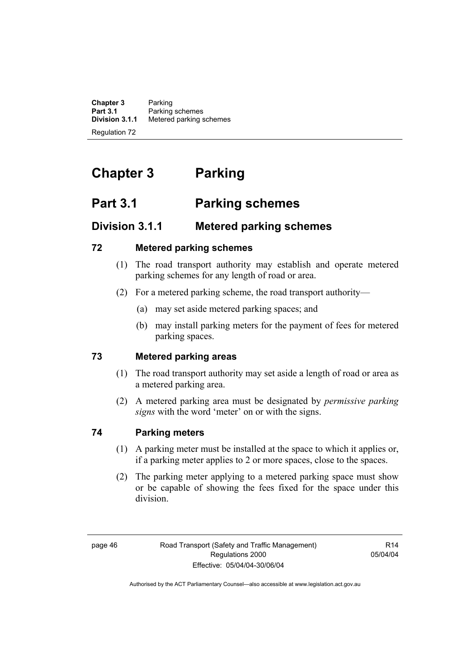**Chapter 3** Parking<br>**Part 3.1** Parking **Part 3.1** Parking schemes<br>**Division 3.1.1** Metered parking s **Division 3.1.1** Metered parking schemes Regulation 72

# **Chapter 3 Parking**

# **Part 3.1 Parking schemes**

# **Division 3.1.1 Metered parking schemes**

# **72 Metered parking schemes**

- (1) The road transport authority may establish and operate metered parking schemes for any length of road or area.
- (2) For a metered parking scheme, the road transport authority—
	- (a) may set aside metered parking spaces; and
	- (b) may install parking meters for the payment of fees for metered parking spaces.

# **73 Metered parking areas**

- (1) The road transport authority may set aside a length of road or area as a metered parking area.
- (2) A metered parking area must be designated by *permissive parking signs* with the word 'meter' on or with the signs.

# **74 Parking meters**

- (1) A parking meter must be installed at the space to which it applies or, if a parking meter applies to 2 or more spaces, close to the spaces.
- (2) The parking meter applying to a metered parking space must show or be capable of showing the fees fixed for the space under this division.

R14 05/04/04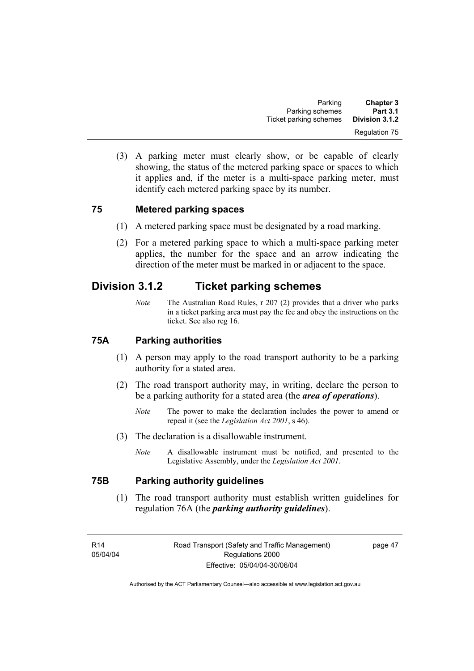(3) A parking meter must clearly show, or be capable of clearly showing, the status of the metered parking space or spaces to which it applies and, if the meter is a multi-space parking meter, must identify each metered parking space by its number.

# **75 Metered parking spaces**

- (1) A metered parking space must be designated by a road marking.
- (2) For a metered parking space to which a multi-space parking meter applies, the number for the space and an arrow indicating the direction of the meter must be marked in or adjacent to the space.

# **Division 3.1.2 Ticket parking schemes**

*Note* The Australian Road Rules, r 207 (2) provides that a driver who parks in a ticket parking area must pay the fee and obey the instructions on the ticket. See also reg 16.

#### **75A Parking authorities**

- (1) A person may apply to the road transport authority to be a parking authority for a stated area.
- (2) The road transport authority may, in writing, declare the person to be a parking authority for a stated area (the *area of operations*).
	- *Note* The power to make the declaration includes the power to amend or repeal it (see the *Legislation Act 2001*, s 46).
- (3) The declaration is a disallowable instrument.
	- *Note* A disallowable instrument must be notified, and presented to the Legislative Assembly, under the *Legislation Act 2001*.

# **75B Parking authority guidelines**

 (1) The road transport authority must establish written guidelines for regulation 76A (the *parking authority guidelines*).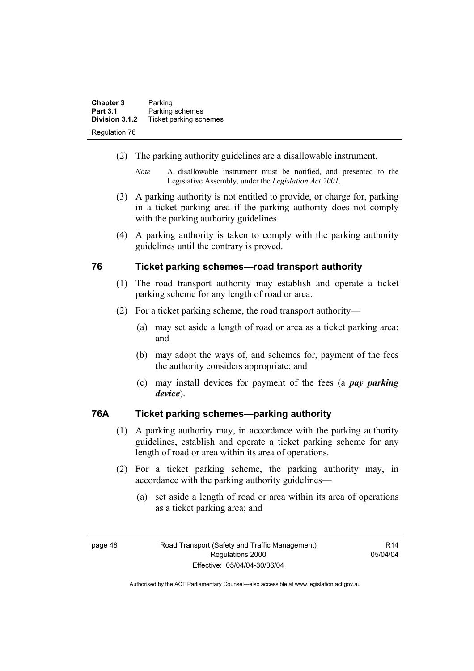| <b>Chapter 3</b> | Parking                |
|------------------|------------------------|
| <b>Part 3.1</b>  | Parking schemes        |
| Division 3.1.2   | Ticket parking schemes |
| Regulation 76    |                        |

- (2) The parking authority guidelines are a disallowable instrument.
	- *Note* A disallowable instrument must be notified, and presented to the Legislative Assembly, under the *Legislation Act 2001*.
- (3) A parking authority is not entitled to provide, or charge for, parking in a ticket parking area if the parking authority does not comply with the parking authority guidelines.
- (4) A parking authority is taken to comply with the parking authority guidelines until the contrary is proved.

#### **76 Ticket parking schemes—road transport authority**

- (1) The road transport authority may establish and operate a ticket parking scheme for any length of road or area.
- (2) For a ticket parking scheme, the road transport authority—
	- (a) may set aside a length of road or area as a ticket parking area; and
	- (b) may adopt the ways of, and schemes for, payment of the fees the authority considers appropriate; and
	- (c) may install devices for payment of the fees (a *pay parking device*).

# **76A Ticket parking schemes—parking authority**

- (1) A parking authority may, in accordance with the parking authority guidelines, establish and operate a ticket parking scheme for any length of road or area within its area of operations.
- (2) For a ticket parking scheme, the parking authority may, in accordance with the parking authority guidelines—
	- (a) set aside a length of road or area within its area of operations as a ticket parking area; and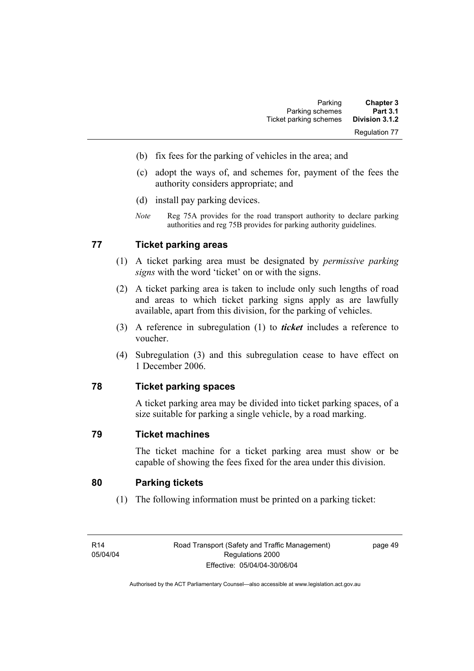- (b) fix fees for the parking of vehicles in the area; and
- (c) adopt the ways of, and schemes for, payment of the fees the authority considers appropriate; and
- (d) install pay parking devices.
- *Note* Reg 75A provides for the road transport authority to declare parking authorities and reg 75B provides for parking authority guidelines.

# **77 Ticket parking areas**

- (1) A ticket parking area must be designated by *permissive parking signs* with the word 'ticket' on or with the signs.
- (2) A ticket parking area is taken to include only such lengths of road and areas to which ticket parking signs apply as are lawfully available, apart from this division, for the parking of vehicles.
- (3) A reference in subregulation (1) to *ticket* includes a reference to voucher.
- (4) Subregulation (3) and this subregulation cease to have effect on 1 December 2006.

#### **78 Ticket parking spaces**

A ticket parking area may be divided into ticket parking spaces, of a size suitable for parking a single vehicle, by a road marking.

#### **79 Ticket machines**

The ticket machine for a ticket parking area must show or be capable of showing the fees fixed for the area under this division.

#### **80 Parking tickets**

(1) The following information must be printed on a parking ticket: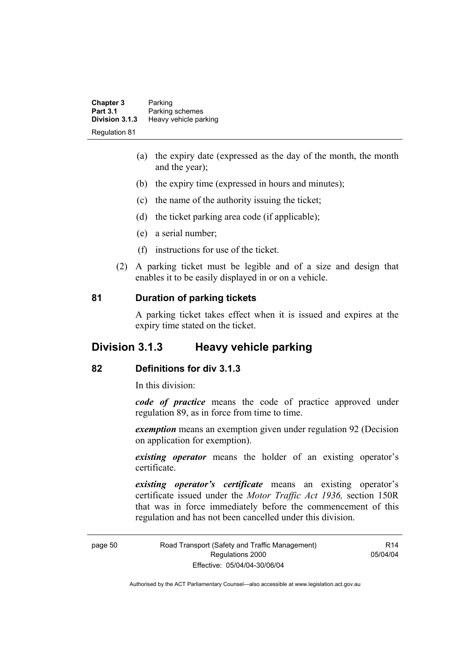| <b>Chapter 3</b>     | Parking               |
|----------------------|-----------------------|
| <b>Part 3.1</b>      | Parking schemes       |
| Division 3.1.3       | Heavy vehicle parking |
| <b>Regulation 81</b> |                       |

- (a) the expiry date (expressed as the day of the month, the month and the year);
- (b) the expiry time (expressed in hours and minutes);
- (c) the name of the authority issuing the ticket;
- (d) the ticket parking area code (if applicable);
- (e) a serial number;
- (f) instructions for use of the ticket.
- (2) A parking ticket must be legible and of a size and design that enables it to be easily displayed in or on a vehicle.

#### **81 Duration of parking tickets**

A parking ticket takes effect when it is issued and expires at the expiry time stated on the ticket.

# **Division 3.1.3 Heavy vehicle parking**

#### **82 Definitions for div 3.1.3**

In this division:

*code of practice* means the code of practice approved under regulation 89, as in force from time to time.

*exemption* means an exemption given under regulation 92 (Decision on application for exemption).

*existing operator* means the holder of an existing operator's certificate.

*existing operator's certificate* means an existing operator's certificate issued under the *Motor Traffic Act 1936,* section 150R that was in force immediately before the commencement of this regulation and has not been cancelled under this division.

page 50 Road Transport (Safety and Traffic Management) Regulations 2000 Effective: 05/04/04-30/06/04

R14 05/04/04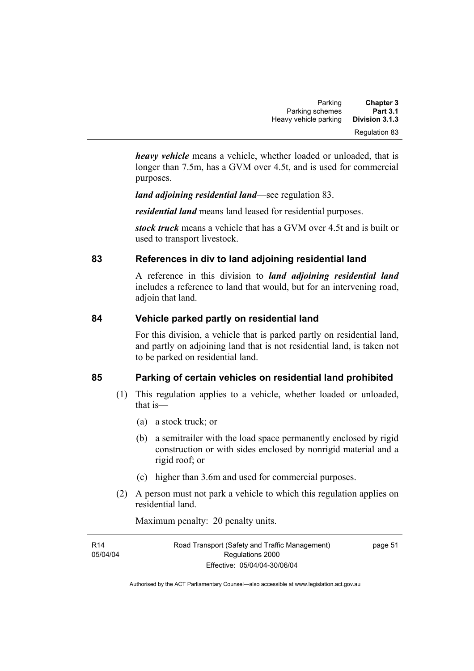| Parking               | <b>Chapter 3</b> |
|-----------------------|------------------|
| Parking schemes       | <b>Part 3.1</b>  |
| Heavy vehicle parking | Division 3.1.3   |
|                       | Regulation 83    |

*heavy vehicle* means a vehicle, whether loaded or unloaded, that is longer than 7.5m, has a GVM over 4.5t, and is used for commercial purposes.

*land adjoining residential land*—see regulation 83.

*residential land* means land leased for residential purposes.

*stock truck* means a vehicle that has a GVM over 4.5t and is built or used to transport livestock.

# **83 References in div to land adjoining residential land**

A reference in this division to *land adjoining residential land* includes a reference to land that would, but for an intervening road, adjoin that land.

# **84 Vehicle parked partly on residential land**

For this division, a vehicle that is parked partly on residential land, and partly on adjoining land that is not residential land, is taken not to be parked on residential land.

# **85 Parking of certain vehicles on residential land prohibited**

- (1) This regulation applies to a vehicle, whether loaded or unloaded, that is—
	- (a) a stock truck; or
	- (b) a semitrailer with the load space permanently enclosed by rigid construction or with sides enclosed by nonrigid material and a rigid roof; or
	- (c) higher than 3.6m and used for commercial purposes.
- (2) A person must not park a vehicle to which this regulation applies on residential land.

Maximum penalty: 20 penalty units.

| R14      | Road Transport (Safety and Traffic Management) | page 51 |
|----------|------------------------------------------------|---------|
| 05/04/04 | Regulations 2000                               |         |
|          | Effective: 05/04/04-30/06/04                   |         |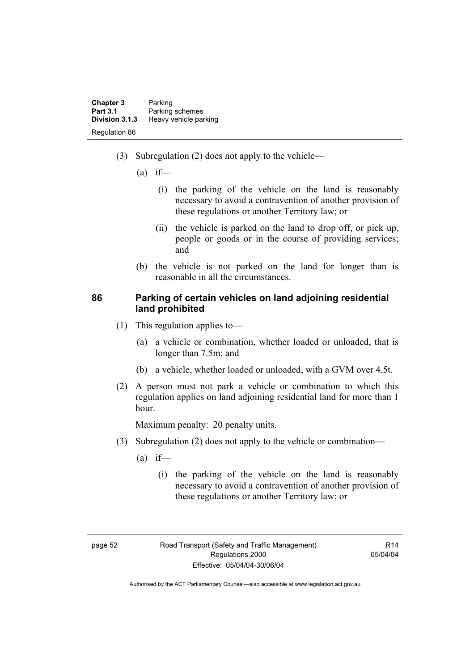| <b>Chapter 3</b> | Parking               |
|------------------|-----------------------|
| <b>Part 3.1</b>  | Parking schemes       |
| Division 3.1.3   | Heavy vehicle parking |
| Regulation 86    |                       |

- (3) Subregulation (2) does not apply to the vehicle—
	- $(a)$  if—
		- (i) the parking of the vehicle on the land is reasonably necessary to avoid a contravention of another provision of these regulations or another Territory law; or
		- (ii) the vehicle is parked on the land to drop off, or pick up, people or goods or in the course of providing services; and
	- (b) the vehicle is not parked on the land for longer than is reasonable in all the circumstances.

#### **86 Parking of certain vehicles on land adjoining residential land prohibited**

- (1) This regulation applies to—
	- (a) a vehicle or combination, whether loaded or unloaded, that is longer than 7.5m; and
	- (b) a vehicle, whether loaded or unloaded, with a GVM over 4.5t.
- (2) A person must not park a vehicle or combination to which this regulation applies on land adjoining residential land for more than 1 hour.

Maximum penalty: 20 penalty units.

- (3) Subregulation (2) does not apply to the vehicle or combination—
	- $(a)$  if—
		- (i) the parking of the vehicle on the land is reasonably necessary to avoid a contravention of another provision of these regulations or another Territory law; or

 $R14$ 05/04/04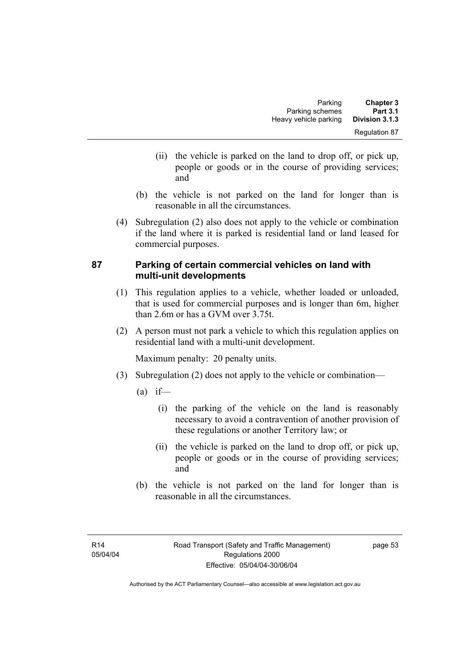- (ii) the vehicle is parked on the land to drop off, or pick up, people or goods or in the course of providing services; and
- (b) the vehicle is not parked on the land for longer than is reasonable in all the circumstances.
- (4) Subregulation (2) also does not apply to the vehicle or combination if the land where it is parked is residential land or land leased for commercial purposes.

# **87 Parking of certain commercial vehicles on land with multi-unit developments**

- (1) This regulation applies to a vehicle, whether loaded or unloaded, that is used for commercial purposes and is longer than 6m, higher than 2.6m or has a GVM over 3.75t.
- (2) A person must not park a vehicle to which this regulation applies on residential land with a multi-unit development.

Maximum penalty: 20 penalty units.

- (3) Subregulation (2) does not apply to the vehicle or combination—
	- $(a)$  if—
		- (i) the parking of the vehicle on the land is reasonably necessary to avoid a contravention of another provision of these regulations or another Territory law; or
		- (ii) the vehicle is parked on the land to drop off, or pick up, people or goods or in the course of providing services; and
	- (b) the vehicle is not parked on the land for longer than is reasonable in all the circumstances.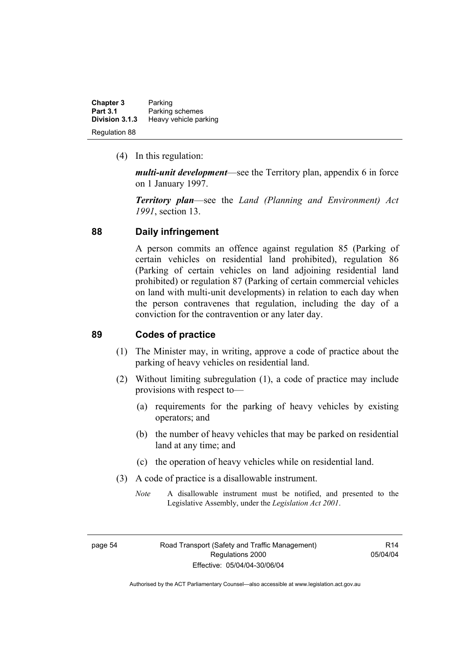| <b>Chapter 3</b> | Parking               |
|------------------|-----------------------|
| <b>Part 3.1</b>  | Parking schemes       |
| Division 3.1.3   | Heavy vehicle parking |
| Regulation 88    |                       |

(4) In this regulation:

*multi-unit development*—see the Territory plan, appendix 6 in force on 1 January 1997.

*Territory plan*—see the *Land (Planning and Environment) Act 1991*, section 13.

#### **88 Daily infringement**

A person commits an offence against regulation 85 (Parking of certain vehicles on residential land prohibited), regulation 86 (Parking of certain vehicles on land adjoining residential land prohibited) or regulation 87 (Parking of certain commercial vehicles on land with multi-unit developments) in relation to each day when the person contravenes that regulation, including the day of a conviction for the contravention or any later day.

#### **89 Codes of practice**

- (1) The Minister may, in writing, approve a code of practice about the parking of heavy vehicles on residential land.
- (2) Without limiting subregulation (1), a code of practice may include provisions with respect to—
	- (a) requirements for the parking of heavy vehicles by existing operators; and
	- (b) the number of heavy vehicles that may be parked on residential land at any time; and
	- (c) the operation of heavy vehicles while on residential land.
- (3) A code of practice is a disallowable instrument.
	- *Note* A disallowable instrument must be notified, and presented to the Legislative Assembly, under the *Legislation Act 2001*.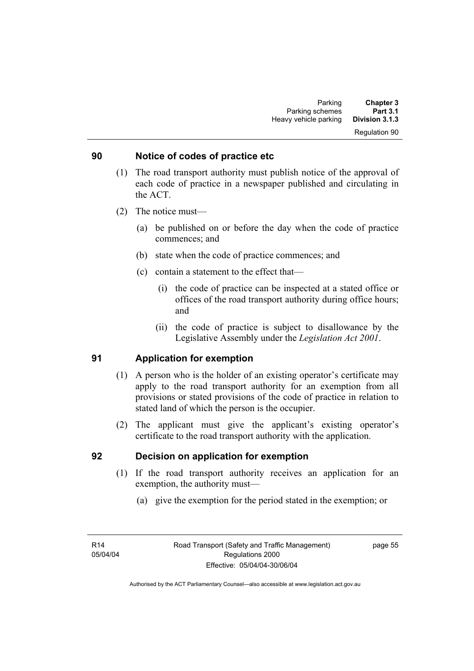#### Regulation 90

#### **90 Notice of codes of practice etc**

- (1) The road transport authority must publish notice of the approval of each code of practice in a newspaper published and circulating in the ACT.
- (2) The notice must—
	- (a) be published on or before the day when the code of practice commences; and
	- (b) state when the code of practice commences; and
	- (c) contain a statement to the effect that—
		- (i) the code of practice can be inspected at a stated office or offices of the road transport authority during office hours; and
		- (ii) the code of practice is subject to disallowance by the Legislative Assembly under the *Legislation Act 2001*.

#### **91 Application for exemption**

- (1) A person who is the holder of an existing operator's certificate may apply to the road transport authority for an exemption from all provisions or stated provisions of the code of practice in relation to stated land of which the person is the occupier.
- (2) The applicant must give the applicant's existing operator's certificate to the road transport authority with the application.

#### **92 Decision on application for exemption**

- (1) If the road transport authority receives an application for an exemption, the authority must—
	- (a) give the exemption for the period stated in the exemption; or

page 55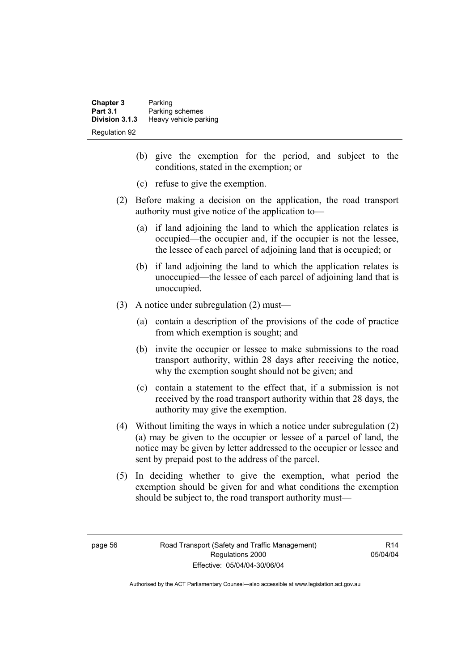| <b>Chapter 3</b> | Parking               |
|------------------|-----------------------|
| <b>Part 3.1</b>  | Parking schemes       |
| Division 3.1.3   | Heavy vehicle parking |
| Regulation 92    |                       |

- (b) give the exemption for the period, and subject to the conditions, stated in the exemption; or
- (c) refuse to give the exemption.
- (2) Before making a decision on the application, the road transport authority must give notice of the application to—
	- (a) if land adjoining the land to which the application relates is occupied—the occupier and, if the occupier is not the lessee, the lessee of each parcel of adjoining land that is occupied; or
	- (b) if land adjoining the land to which the application relates is unoccupied—the lessee of each parcel of adjoining land that is unoccupied.
- (3) A notice under subregulation (2) must—
	- (a) contain a description of the provisions of the code of practice from which exemption is sought; and
	- (b) invite the occupier or lessee to make submissions to the road transport authority, within 28 days after receiving the notice, why the exemption sought should not be given; and
	- (c) contain a statement to the effect that, if a submission is not received by the road transport authority within that 28 days, the authority may give the exemption.
- (4) Without limiting the ways in which a notice under subregulation (2) (a) may be given to the occupier or lessee of a parcel of land, the notice may be given by letter addressed to the occupier or lessee and sent by prepaid post to the address of the parcel.
- (5) In deciding whether to give the exemption, what period the exemption should be given for and what conditions the exemption should be subject to, the road transport authority must—

R14 05/04/04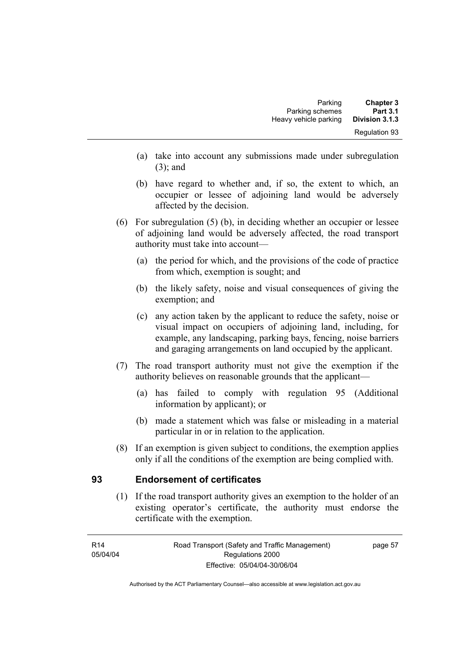- (a) take into account any submissions made under subregulation (3); and
- (b) have regard to whether and, if so, the extent to which, an occupier or lessee of adjoining land would be adversely affected by the decision.
- (6) For subregulation (5) (b), in deciding whether an occupier or lessee of adjoining land would be adversely affected, the road transport authority must take into account—
	- (a) the period for which, and the provisions of the code of practice from which, exemption is sought; and
	- (b) the likely safety, noise and visual consequences of giving the exemption; and
	- (c) any action taken by the applicant to reduce the safety, noise or visual impact on occupiers of adjoining land, including, for example, any landscaping, parking bays, fencing, noise barriers and garaging arrangements on land occupied by the applicant.
- (7) The road transport authority must not give the exemption if the authority believes on reasonable grounds that the applicant—
	- (a) has failed to comply with regulation 95 (Additional information by applicant); or
	- (b) made a statement which was false or misleading in a material particular in or in relation to the application.
- (8) If an exemption is given subject to conditions, the exemption applies only if all the conditions of the exemption are being complied with.

# **93 Endorsement of certificates**

 (1) If the road transport authority gives an exemption to the holder of an existing operator's certificate, the authority must endorse the certificate with the exemption.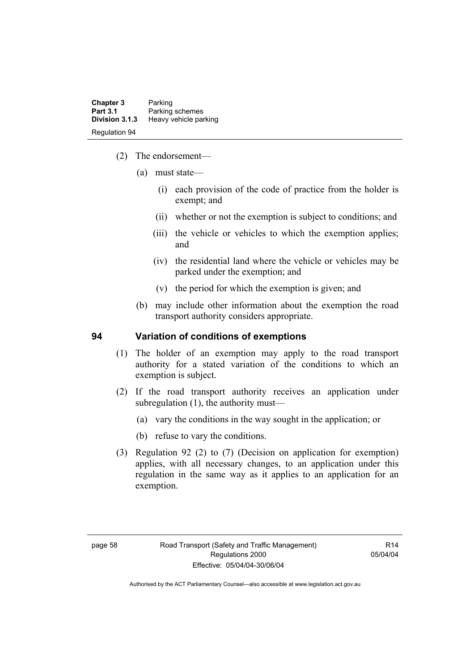| Chapter 3<br><b>Part 3.1</b> | Parking<br>Parking schemes |
|------------------------------|----------------------------|
| Division 3.1.3               | Heavy vehicle parking      |
| <b>Regulation 94</b>         |                            |

- (2) The endorsement—
	- (a) must state—
		- (i) each provision of the code of practice from the holder is exempt; and
		- (ii) whether or not the exemption is subject to conditions; and
		- (iii) the vehicle or vehicles to which the exemption applies; and
		- (iv) the residential land where the vehicle or vehicles may be parked under the exemption; and
		- (v) the period for which the exemption is given; and
	- (b) may include other information about the exemption the road transport authority considers appropriate.

#### **94 Variation of conditions of exemptions**

- (1) The holder of an exemption may apply to the road transport authority for a stated variation of the conditions to which an exemption is subject.
- (2) If the road transport authority receives an application under subregulation (1), the authority must—
	- (a) vary the conditions in the way sought in the application; or
	- (b) refuse to vary the conditions.
- (3) Regulation 92 (2) to (7) (Decision on application for exemption) applies, with all necessary changes, to an application under this regulation in the same way as it applies to an application for an exemption.

R14 05/04/04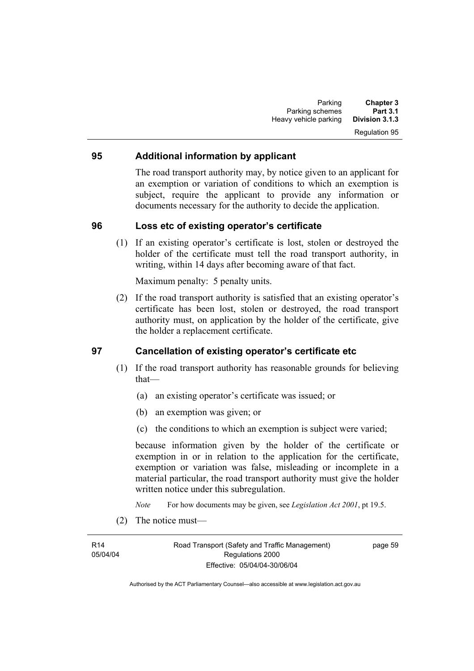#### **95 Additional information by applicant**

The road transport authority may, by notice given to an applicant for an exemption or variation of conditions to which an exemption is subject, require the applicant to provide any information or documents necessary for the authority to decide the application.

#### **96 Loss etc of existing operator's certificate**

 (1) If an existing operator's certificate is lost, stolen or destroyed the holder of the certificate must tell the road transport authority, in writing, within 14 days after becoming aware of that fact.

Maximum penalty: 5 penalty units.

 (2) If the road transport authority is satisfied that an existing operator's certificate has been lost, stolen or destroyed, the road transport authority must, on application by the holder of the certificate, give the holder a replacement certificate.

#### **97 Cancellation of existing operator's certificate etc**

- (1) If the road transport authority has reasonable grounds for believing that—
	- (a) an existing operator's certificate was issued; or
	- (b) an exemption was given; or
	- (c) the conditions to which an exemption is subject were varied;

because information given by the holder of the certificate or exemption in or in relation to the application for the certificate, exemption or variation was false, misleading or incomplete in a material particular, the road transport authority must give the holder written notice under this subregulation.

*Note* For how documents may be given, see *Legislation Act 2001*, pt 19.5.

(2) The notice must—

R14 05/04/04 Road Transport (Safety and Traffic Management) Regulations 2000 Effective: 05/04/04-30/06/04

page 59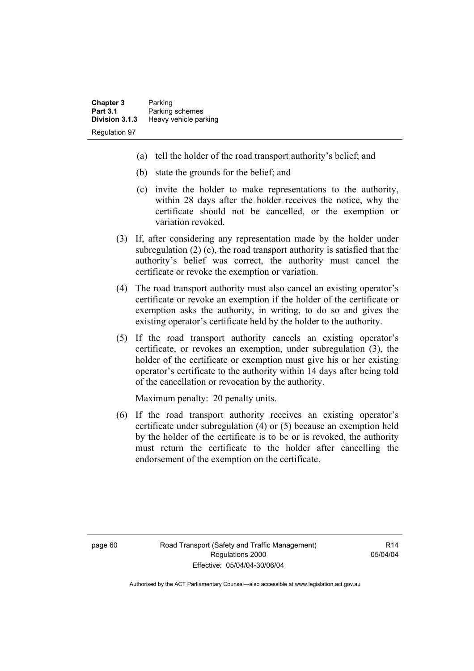- (a) tell the holder of the road transport authority's belief; and
- (b) state the grounds for the belief; and
- (c) invite the holder to make representations to the authority, within 28 days after the holder receives the notice, why the certificate should not be cancelled, or the exemption or variation revoked.
- (3) If, after considering any representation made by the holder under subregulation (2) (c), the road transport authority is satisfied that the authority's belief was correct, the authority must cancel the certificate or revoke the exemption or variation.
- (4) The road transport authority must also cancel an existing operator's certificate or revoke an exemption if the holder of the certificate or exemption asks the authority, in writing, to do so and gives the existing operator's certificate held by the holder to the authority.
- (5) If the road transport authority cancels an existing operator's certificate, or revokes an exemption, under subregulation (3), the holder of the certificate or exemption must give his or her existing operator's certificate to the authority within 14 days after being told of the cancellation or revocation by the authority.

Maximum penalty: 20 penalty units.

 (6) If the road transport authority receives an existing operator's certificate under subregulation (4) or (5) because an exemption held by the holder of the certificate is to be or is revoked, the authority must return the certificate to the holder after cancelling the endorsement of the exemption on the certificate.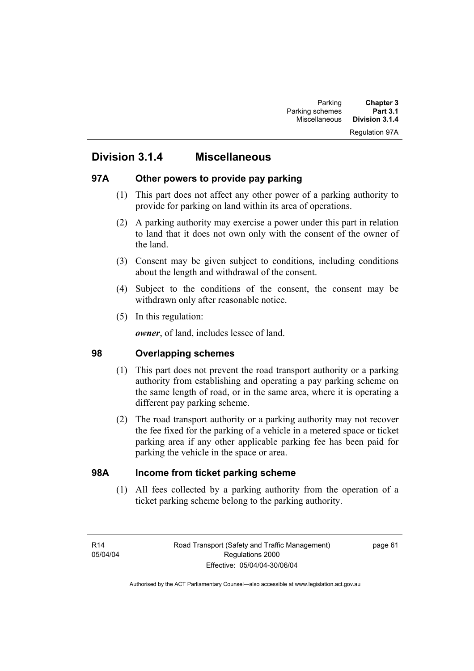#### Regulation 97A

# **Division 3.1.4 Miscellaneous**

#### **97A Other powers to provide pay parking**

- (1) This part does not affect any other power of a parking authority to provide for parking on land within its area of operations.
- (2) A parking authority may exercise a power under this part in relation to land that it does not own only with the consent of the owner of the land.
- (3) Consent may be given subject to conditions, including conditions about the length and withdrawal of the consent.
- (4) Subject to the conditions of the consent, the consent may be withdrawn only after reasonable notice.
- (5) In this regulation:

*owner*, of land, includes lessee of land.

### **98 Overlapping schemes**

- (1) This part does not prevent the road transport authority or a parking authority from establishing and operating a pay parking scheme on the same length of road, or in the same area, where it is operating a different pay parking scheme.
- (2) The road transport authority or a parking authority may not recover the fee fixed for the parking of a vehicle in a metered space or ticket parking area if any other applicable parking fee has been paid for parking the vehicle in the space or area.

# **98A Income from ticket parking scheme**

 (1) All fees collected by a parking authority from the operation of a ticket parking scheme belong to the parking authority.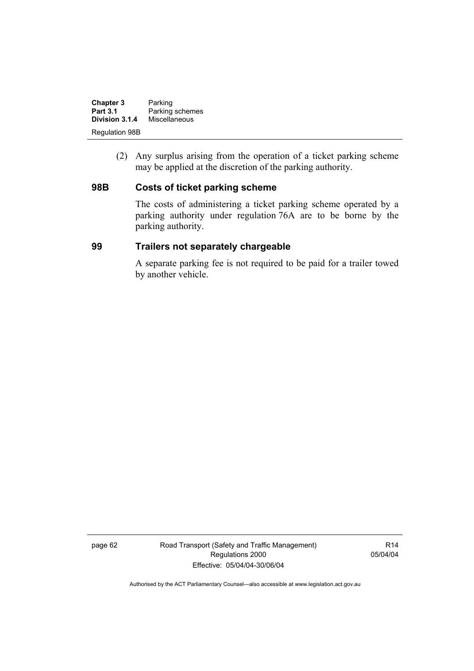| <b>Chapter 3</b>      | Parking         |
|-----------------------|-----------------|
| <b>Part 3.1</b>       | Parking schemes |
| Division 3.1.4        | Miscellaneous   |
| <b>Regulation 98B</b> |                 |

 (2) Any surplus arising from the operation of a ticket parking scheme may be applied at the discretion of the parking authority.

#### **98B Costs of ticket parking scheme**

The costs of administering a ticket parking scheme operated by a parking authority under regulation 76A are to be borne by the parking authority.

#### **99 Trailers not separately chargeable**

A separate parking fee is not required to be paid for a trailer towed by another vehicle.

page 62 Road Transport (Safety and Traffic Management) Regulations 2000 Effective: 05/04/04-30/06/04

R14 05/04/04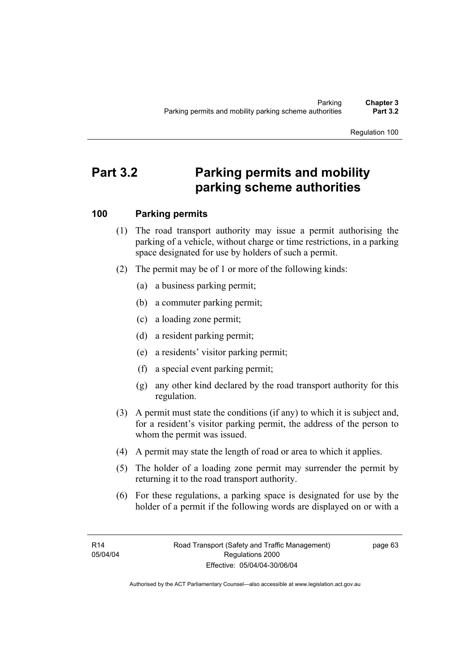# **Part 3.2 Parking permits and mobility parking scheme authorities**

# **100 Parking permits**

- (1) The road transport authority may issue a permit authorising the parking of a vehicle, without charge or time restrictions, in a parking space designated for use by holders of such a permit.
- (2) The permit may be of 1 or more of the following kinds:
	- (a) a business parking permit;
	- (b) a commuter parking permit;
	- (c) a loading zone permit;
	- (d) a resident parking permit;
	- (e) a residents' visitor parking permit;
	- (f) a special event parking permit;
	- (g) any other kind declared by the road transport authority for this regulation.
- (3) A permit must state the conditions (if any) to which it is subject and, for a resident's visitor parking permit, the address of the person to whom the permit was issued.
- (4) A permit may state the length of road or area to which it applies.
- (5) The holder of a loading zone permit may surrender the permit by returning it to the road transport authority.
- (6) For these regulations, a parking space is designated for use by the holder of a permit if the following words are displayed on or with a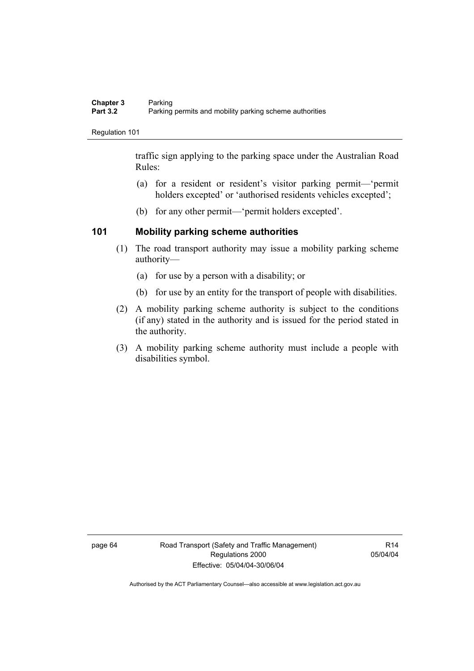traffic sign applying to the parking space under the Australian Road Rules:

- (a) for a resident or resident's visitor parking permit—'permit holders excepted' or 'authorised residents vehicles excepted';
- (b) for any other permit—'permit holders excepted'.

# **101 Mobility parking scheme authorities**

- (1) The road transport authority may issue a mobility parking scheme authority—
	- (a) for use by a person with a disability; or
	- (b) for use by an entity for the transport of people with disabilities.
- (2) A mobility parking scheme authority is subject to the conditions (if any) stated in the authority and is issued for the period stated in the authority.
- (3) A mobility parking scheme authority must include a people with disabilities symbol.

page 64 Road Transport (Safety and Traffic Management) Regulations 2000 Effective: 05/04/04-30/06/04

R14 05/04/04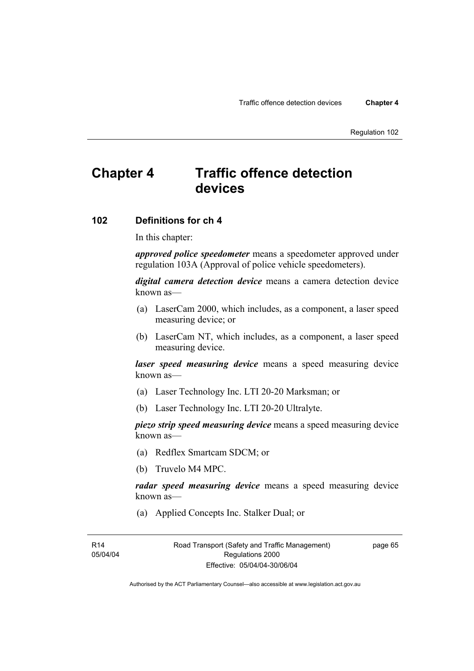# **Chapter 4 Traffic offence detection devices**

## **102 Definitions for ch 4**

In this chapter:

*approved police speedometer* means a speedometer approved under regulation 103A (Approval of police vehicle speedometers).

*digital camera detection device* means a camera detection device known as—

- (a) LaserCam 2000, which includes, as a component, a laser speed measuring device; or
- (b) LaserCam NT, which includes, as a component, a laser speed measuring device.

*laser speed measuring device* means a speed measuring device known as—

- (a) Laser Technology Inc. LTI 20-20 Marksman; or
- (b) Laser Technology Inc. LTI 20-20 Ultralyte.

*piezo strip speed measuring device* means a speed measuring device known as—

- (a) Redflex Smartcam SDCM; or
- (b) Truvelo M4 MPC.

*radar speed measuring device* means a speed measuring device known as—

(a) Applied Concepts Inc. Stalker Dual; or

Road Transport (Safety and Traffic Management) Regulations 2000 Effective: 05/04/04-30/06/04

page 65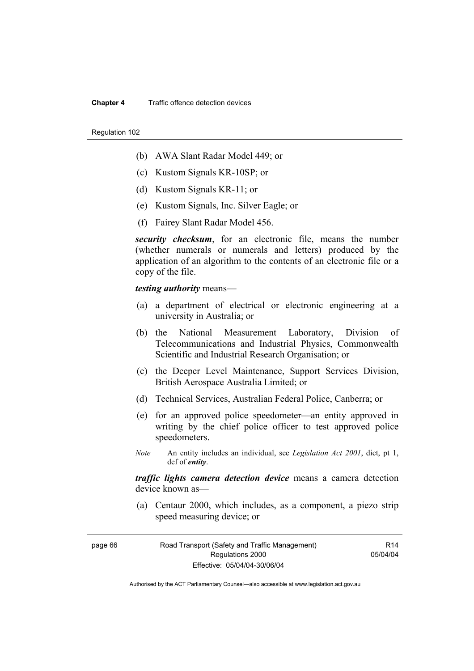#### **Chapter 4** Traffic offence detection devices

#### Regulation 102

- (b) AWA Slant Radar Model 449; or
- (c) Kustom Signals KR-10SP; or
- (d) Kustom Signals KR-11; or
- (e) Kustom Signals, Inc. Silver Eagle; or
- (f) Fairey Slant Radar Model 456.

*security checksum*, for an electronic file, means the number (whether numerals or numerals and letters) produced by the application of an algorithm to the contents of an electronic file or a copy of the file.

*testing authority* means—

- (a) a department of electrical or electronic engineering at a university in Australia; or
- (b) the National Measurement Laboratory, Division of Telecommunications and Industrial Physics, Commonwealth Scientific and Industrial Research Organisation; or
- (c) the Deeper Level Maintenance, Support Services Division, British Aerospace Australia Limited; or
- (d) Technical Services, Australian Federal Police, Canberra; or
- (e) for an approved police speedometer—an entity approved in writing by the chief police officer to test approved police speedometers.
- *Note* An entity includes an individual, see *Legislation Act 2001*, dict, pt 1, def of *entity*.

*traffic lights camera detection device* means a camera detection device known as—

 (a) Centaur 2000, which includes, as a component, a piezo strip speed measuring device; or

page 66 Road Transport (Safety and Traffic Management) Regulations 2000 Effective: 05/04/04-30/06/04

R14 05/04/04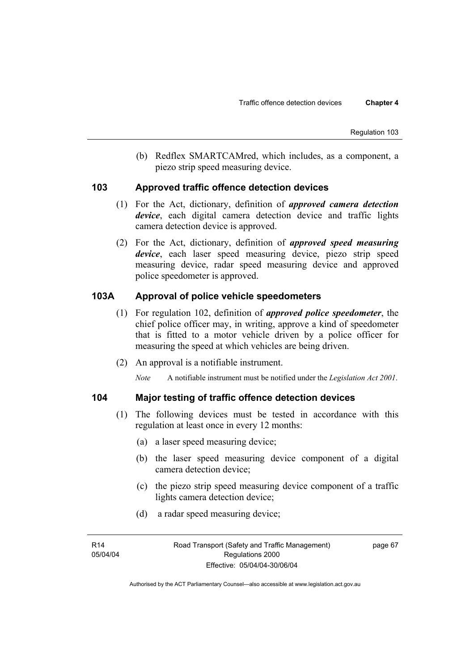(b) Redflex SMARTCAMred, which includes, as a component, a piezo strip speed measuring device.

## **103 Approved traffic offence detection devices**

- (1) For the Act, dictionary, definition of *approved camera detection device*, each digital camera detection device and traffic lights camera detection device is approved.
- (2) For the Act, dictionary, definition of *approved speed measuring device*, each laser speed measuring device, piezo strip speed measuring device, radar speed measuring device and approved police speedometer is approved.

# **103A Approval of police vehicle speedometers**

- (1) For regulation 102, definition of *approved police speedometer*, the chief police officer may, in writing, approve a kind of speedometer that is fitted to a motor vehicle driven by a police officer for measuring the speed at which vehicles are being driven.
- (2) An approval is a notifiable instrument.

*Note* A notifiable instrument must be notified under the *Legislation Act 2001*.

# **104 Major testing of traffic offence detection devices**

- (1) The following devices must be tested in accordance with this regulation at least once in every 12 months:
	- (a) a laser speed measuring device;
	- (b) the laser speed measuring device component of a digital camera detection device;
	- (c) the piezo strip speed measuring device component of a traffic lights camera detection device;
	- (d) a radar speed measuring device;

page 67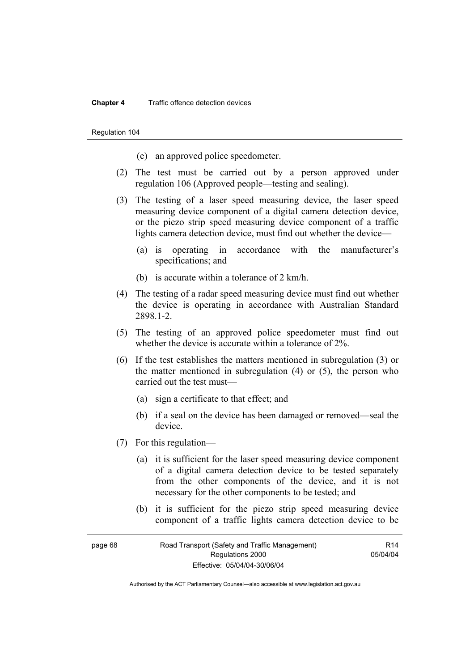#### **Chapter 4** Traffic offence detection devices

Regulation 104

- (e) an approved police speedometer.
- (2) The test must be carried out by a person approved under regulation 106 (Approved people—testing and sealing).
- (3) The testing of a laser speed measuring device, the laser speed measuring device component of a digital camera detection device, or the piezo strip speed measuring device component of a traffic lights camera detection device, must find out whether the device—
	- (a) is operating in accordance with the manufacturer's specifications; and
	- (b) is accurate within a tolerance of 2 km/h.
- (4) The testing of a radar speed measuring device must find out whether the device is operating in accordance with Australian Standard 2898.1-2.
- (5) The testing of an approved police speedometer must find out whether the device is accurate within a tolerance of 2%.
- (6) If the test establishes the matters mentioned in subregulation (3) or the matter mentioned in subregulation (4) or (5), the person who carried out the test must—
	- (a) sign a certificate to that effect; and
	- (b) if a seal on the device has been damaged or removed—seal the device.
- (7) For this regulation—
	- (a) it is sufficient for the laser speed measuring device component of a digital camera detection device to be tested separately from the other components of the device, and it is not necessary for the other components to be tested; and
	- (b) it is sufficient for the piezo strip speed measuring device component of a traffic lights camera detection device to be

| page 68 | Road Transport (Safety and Traffic Management) |          |
|---------|------------------------------------------------|----------|
|         | Regulations 2000                               | 05/04/04 |
|         | Effective: 05/04/04-30/06/04                   |          |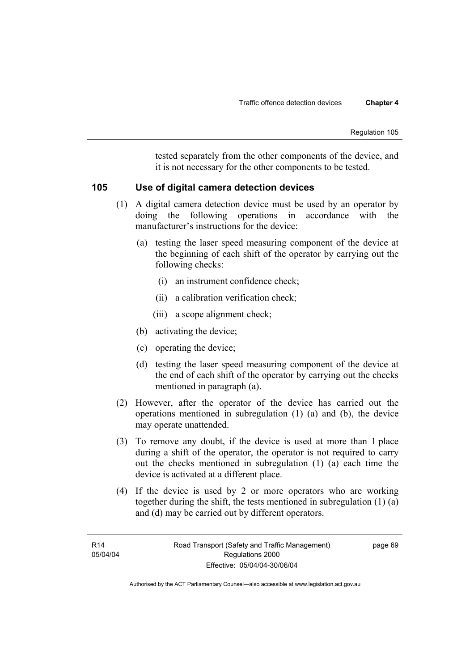tested separately from the other components of the device, and it is not necessary for the other components to be tested.

# **105 Use of digital camera detection devices**

- (1) A digital camera detection device must be used by an operator by doing the following operations in accordance with the manufacturer's instructions for the device:
	- (a) testing the laser speed measuring component of the device at the beginning of each shift of the operator by carrying out the following checks:
		- (i) an instrument confidence check;
		- (ii) a calibration verification check;
		- (iii) a scope alignment check;
	- (b) activating the device;
	- (c) operating the device;
	- (d) testing the laser speed measuring component of the device at the end of each shift of the operator by carrying out the checks mentioned in paragraph (a).
- (2) However, after the operator of the device has carried out the operations mentioned in subregulation (1) (a) and (b), the device may operate unattended.
- (3) To remove any doubt, if the device is used at more than 1 place during a shift of the operator, the operator is not required to carry out the checks mentioned in subregulation (1) (a) each time the device is activated at a different place.
- (4) If the device is used by 2 or more operators who are working together during the shift, the tests mentioned in subregulation (1) (a) and (d) may be carried out by different operators.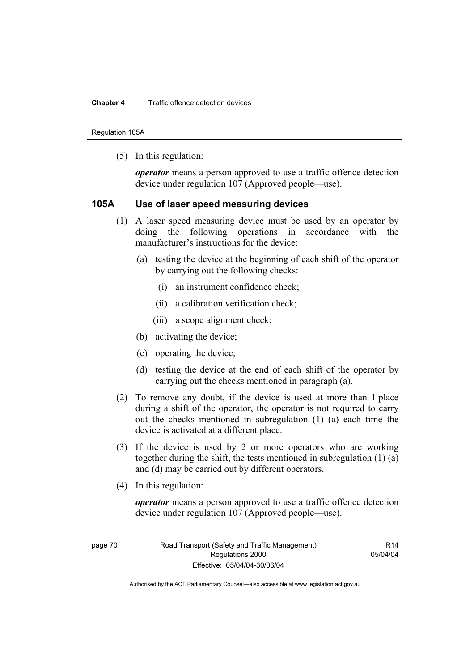Regulation 105A

(5) In this regulation:

*operator* means a person approved to use a traffic offence detection device under regulation 107 (Approved people—use).

## **105A Use of laser speed measuring devices**

- (1) A laser speed measuring device must be used by an operator by doing the following operations in accordance with the manufacturer's instructions for the device:
	- (a) testing the device at the beginning of each shift of the operator by carrying out the following checks:
		- (i) an instrument confidence check;
		- (ii) a calibration verification check;
		- (iii) a scope alignment check;
	- (b) activating the device;
	- (c) operating the device;
	- (d) testing the device at the end of each shift of the operator by carrying out the checks mentioned in paragraph (a).
- (2) To remove any doubt, if the device is used at more than 1 place during a shift of the operator, the operator is not required to carry out the checks mentioned in subregulation (1) (a) each time the device is activated at a different place.
- (3) If the device is used by 2 or more operators who are working together during the shift, the tests mentioned in subregulation (1) (a) and (d) may be carried out by different operators.
- (4) In this regulation:

*operator* means a person approved to use a traffic offence detection device under regulation 107 (Approved people—use).

page 70 Road Transport (Safety and Traffic Management) Regulations 2000 Effective: 05/04/04-30/06/04

 $R14$ 05/04/04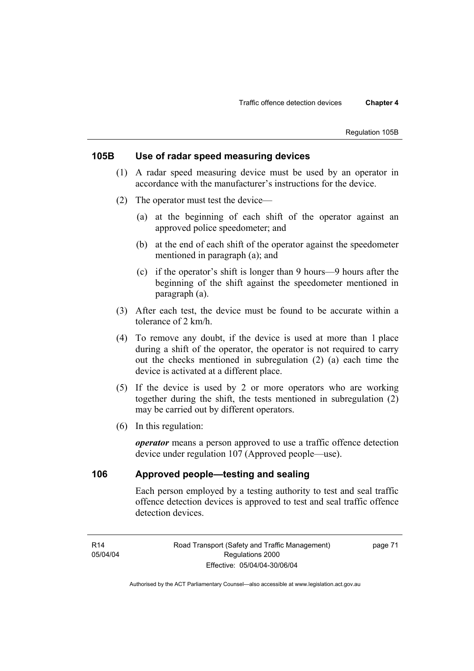# **105B Use of radar speed measuring devices**

- (1) A radar speed measuring device must be used by an operator in accordance with the manufacturer's instructions for the device.
- (2) The operator must test the device—
	- (a) at the beginning of each shift of the operator against an approved police speedometer; and
	- (b) at the end of each shift of the operator against the speedometer mentioned in paragraph (a); and
	- (c) if the operator's shift is longer than 9 hours—9 hours after the beginning of the shift against the speedometer mentioned in paragraph (a).
- (3) After each test, the device must be found to be accurate within a tolerance of 2 km/h.
- (4) To remove any doubt, if the device is used at more than 1 place during a shift of the operator, the operator is not required to carry out the checks mentioned in subregulation (2) (a) each time the device is activated at a different place.
- (5) If the device is used by 2 or more operators who are working together during the shift, the tests mentioned in subregulation (2) may be carried out by different operators.
- (6) In this regulation:

*operator* means a person approved to use a traffic offence detection device under regulation 107 (Approved people—use).

# **106 Approved people—testing and sealing**

Each person employed by a testing authority to test and seal traffic offence detection devices is approved to test and seal traffic offence detection devices.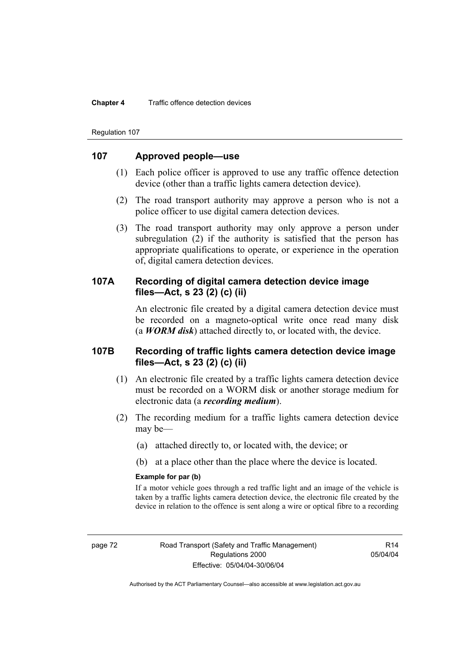#### **Chapter 4** Traffic offence detection devices

Regulation 107

## **107 Approved people—use**

- (1) Each police officer is approved to use any traffic offence detection device (other than a traffic lights camera detection device).
- (2) The road transport authority may approve a person who is not a police officer to use digital camera detection devices.
- (3) The road transport authority may only approve a person under subregulation (2) if the authority is satisfied that the person has appropriate qualifications to operate, or experience in the operation of, digital camera detection devices.

# **107A Recording of digital camera detection device image files—Act, s 23 (2) (c) (ii)**

An electronic file created by a digital camera detection device must be recorded on a magneto-optical write once read many disk (a *WORM disk*) attached directly to, or located with, the device.

## **107B Recording of traffic lights camera detection device image files—Act, s 23 (2) (c) (ii)**

- (1) An electronic file created by a traffic lights camera detection device must be recorded on a WORM disk or another storage medium for electronic data (a *recording medium*).
- (2) The recording medium for a traffic lights camera detection device may be—
	- (a) attached directly to, or located with, the device; or
	- (b) at a place other than the place where the device is located.

## **Example for par (b)**

If a motor vehicle goes through a red traffic light and an image of the vehicle is taken by a traffic lights camera detection device, the electronic file created by the device in relation to the offence is sent along a wire or optical fibre to a recording

R14 05/04/04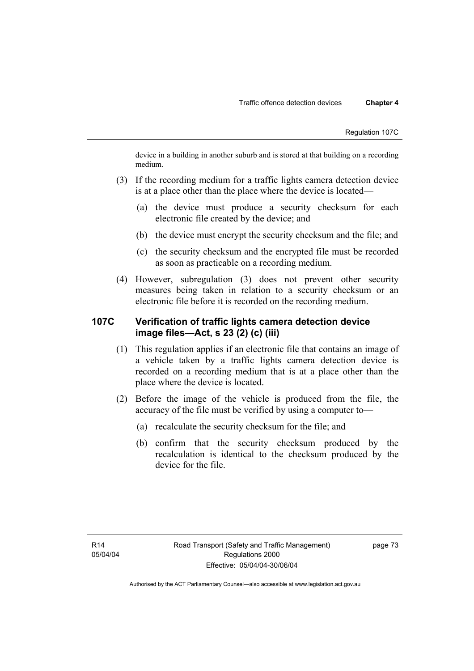device in a building in another suburb and is stored at that building on a recording medium.

- (3) If the recording medium for a traffic lights camera detection device is at a place other than the place where the device is located—
	- (a) the device must produce a security checksum for each electronic file created by the device; and
	- (b) the device must encrypt the security checksum and the file; and
	- (c) the security checksum and the encrypted file must be recorded as soon as practicable on a recording medium.
- (4) However, subregulation (3) does not prevent other security measures being taken in relation to a security checksum or an electronic file before it is recorded on the recording medium.

# **107C Verification of traffic lights camera detection device image files—Act, s 23 (2) (c) (iii)**

- (1) This regulation applies if an electronic file that contains an image of a vehicle taken by a traffic lights camera detection device is recorded on a recording medium that is at a place other than the place where the device is located.
- (2) Before the image of the vehicle is produced from the file, the accuracy of the file must be verified by using a computer to—
	- (a) recalculate the security checksum for the file; and
	- (b) confirm that the security checksum produced by the recalculation is identical to the checksum produced by the device for the file.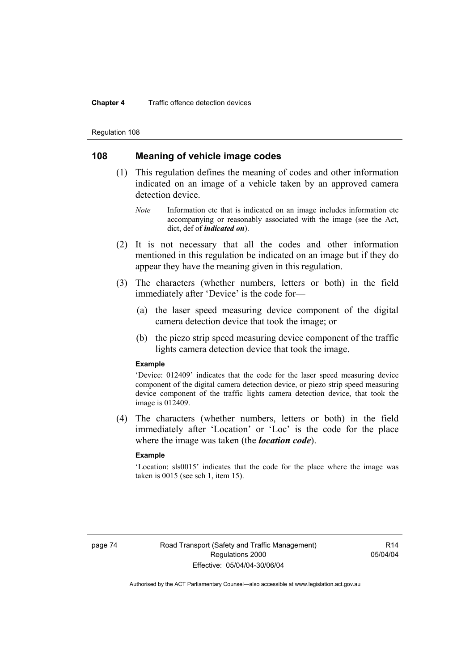#### **Chapter 4** Traffic offence detection devices

Regulation 108

# **108 Meaning of vehicle image codes**

- (1) This regulation defines the meaning of codes and other information indicated on an image of a vehicle taken by an approved camera detection device.
	- *Note* Information etc that is indicated on an image includes information etc accompanying or reasonably associated with the image (see the Act, dict, def of *indicated on*).
- (2) It is not necessary that all the codes and other information mentioned in this regulation be indicated on an image but if they do appear they have the meaning given in this regulation.
- (3) The characters (whether numbers, letters or both) in the field immediately after 'Device' is the code for—
	- (a) the laser speed measuring device component of the digital camera detection device that took the image; or
	- (b) the piezo strip speed measuring device component of the traffic lights camera detection device that took the image.

#### **Example**

'Device: 012409' indicates that the code for the laser speed measuring device component of the digital camera detection device, or piezo strip speed measuring device component of the traffic lights camera detection device, that took the image is 012409.

 (4) The characters (whether numbers, letters or both) in the field immediately after 'Location' or 'Loc' is the code for the place where the image was taken (the *location code*).

### **Example**

'Location: sls0015' indicates that the code for the place where the image was taken is 0015 (see sch 1, item 15).

 $R14$ 05/04/04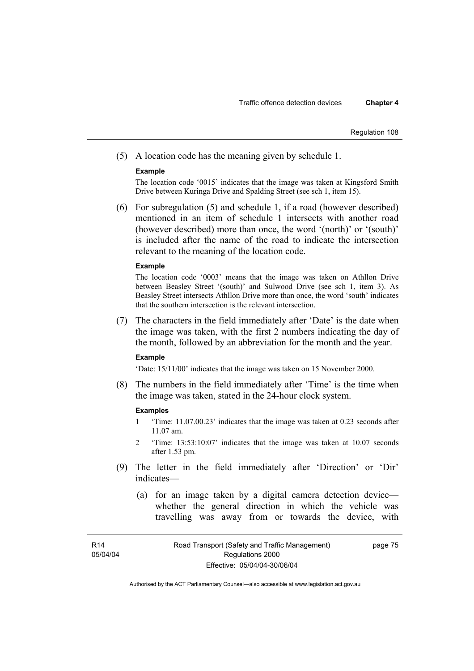(5) A location code has the meaning given by schedule 1.

### **Example**

The location code '0015' indicates that the image was taken at Kingsford Smith Drive between Kuringa Drive and Spalding Street (see sch 1, item 15).

 (6) For subregulation (5) and schedule 1, if a road (however described) mentioned in an item of schedule 1 intersects with another road (however described) more than once, the word '(north)' or '(south)' is included after the name of the road to indicate the intersection relevant to the meaning of the location code.

#### **Example**

The location code '0003' means that the image was taken on Athllon Drive between Beasley Street '(south)' and Sulwood Drive (see sch 1, item 3). As Beasley Street intersects Athllon Drive more than once, the word 'south' indicates that the southern intersection is the relevant intersection.

 (7) The characters in the field immediately after 'Date' is the date when the image was taken, with the first 2 numbers indicating the day of the month, followed by an abbreviation for the month and the year.

#### **Example**

'Date: 15/11/00' indicates that the image was taken on 15 November 2000.

 (8) The numbers in the field immediately after 'Time' is the time when the image was taken, stated in the 24-hour clock system.

#### **Examples**

- 1 'Time: 11.07.00.23' indicates that the image was taken at 0.23 seconds after 11.07 am.
- 2 'Time: 13:53:10:07' indicates that the image was taken at 10.07 seconds after 1.53 pm.
- (9) The letter in the field immediately after 'Direction' or 'Dir' indicates—
	- (a) for an image taken by a digital camera detection device whether the general direction in which the vehicle was travelling was away from or towards the device, with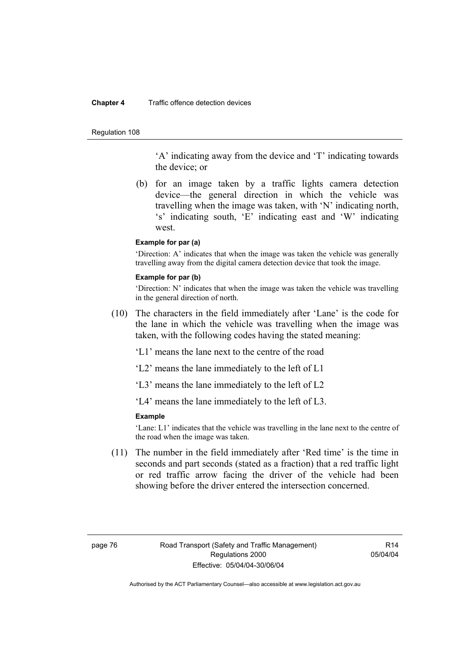#### **Chapter 4** Traffic offence detection devices

#### Regulation 108

'A' indicating away from the device and 'T' indicating towards the device; or

 (b) for an image taken by a traffic lights camera detection device—the general direction in which the vehicle was travelling when the image was taken, with 'N' indicating north, 's' indicating south, 'E' indicating east and 'W' indicating west.

## **Example for par (a)**

'Direction: A' indicates that when the image was taken the vehicle was generally travelling away from the digital camera detection device that took the image.

#### **Example for par (b)**

'Direction: N' indicates that when the image was taken the vehicle was travelling in the general direction of north.

 (10) The characters in the field immediately after 'Lane' is the code for the lane in which the vehicle was travelling when the image was taken, with the following codes having the stated meaning:

'L1' means the lane next to the centre of the road

'L2' means the lane immediately to the left of L1

'L3' means the lane immediately to the left of L2

'L4' means the lane immediately to the left of L3.

## **Example**

'Lane: L1' indicates that the vehicle was travelling in the lane next to the centre of the road when the image was taken.

 (11) The number in the field immediately after 'Red time' is the time in seconds and part seconds (stated as a fraction) that a red traffic light or red traffic arrow facing the driver of the vehicle had been showing before the driver entered the intersection concerned.

 $R14$ 05/04/04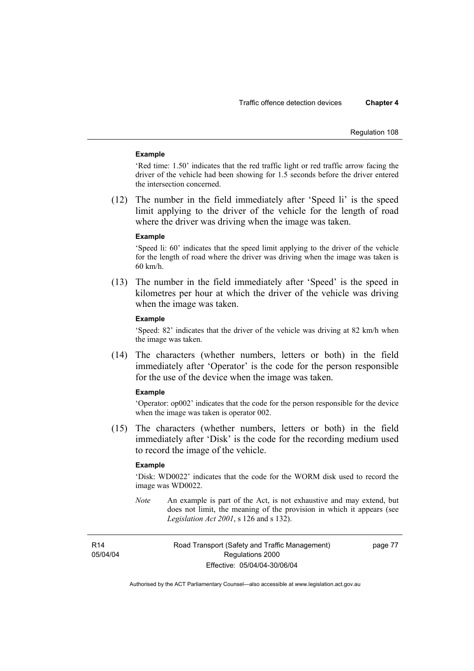#### **Example**

'Red time: 1.50' indicates that the red traffic light or red traffic arrow facing the driver of the vehicle had been showing for 1.5 seconds before the driver entered the intersection concerned.

 (12) The number in the field immediately after 'Speed li' is the speed limit applying to the driver of the vehicle for the length of road where the driver was driving when the image was taken.

#### **Example**

'Speed li: 60' indicates that the speed limit applying to the driver of the vehicle for the length of road where the driver was driving when the image was taken is 60 km/h.

 (13) The number in the field immediately after 'Speed' is the speed in kilometres per hour at which the driver of the vehicle was driving when the image was taken.

## **Example**

'Speed: 82' indicates that the driver of the vehicle was driving at 82 km/h when the image was taken.

 (14) The characters (whether numbers, letters or both) in the field immediately after 'Operator' is the code for the person responsible for the use of the device when the image was taken.

#### **Example**

'Operator: op002' indicates that the code for the person responsible for the device when the image was taken is operator 002.

 (15) The characters (whether numbers, letters or both) in the field immediately after 'Disk' is the code for the recording medium used to record the image of the vehicle.

#### **Example**

'Disk: WD0022' indicates that the code for the WORM disk used to record the image was WD0022.

*Note* An example is part of the Act, is not exhaustive and may extend, but does not limit, the meaning of the provision in which it appears (see *Legislation Act 2001*, s 126 and s 132).

R14 05/04/04 Road Transport (Safety and Traffic Management) Regulations 2000 Effective: 05/04/04-30/06/04

page 77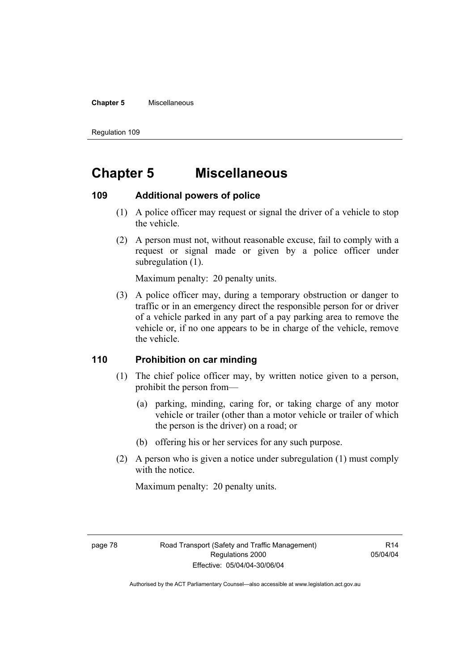#### **Chapter 5** Miscellaneous

Regulation 109

# **Chapter 5 Miscellaneous**

# **109 Additional powers of police**

- (1) A police officer may request or signal the driver of a vehicle to stop the vehicle.
- (2) A person must not, without reasonable excuse, fail to comply with a request or signal made or given by a police officer under subregulation  $(1)$ .

Maximum penalty: 20 penalty units.

 (3) A police officer may, during a temporary obstruction or danger to traffic or in an emergency direct the responsible person for or driver of a vehicle parked in any part of a pay parking area to remove the vehicle or, if no one appears to be in charge of the vehicle, remove the vehicle.

## **110 Prohibition on car minding**

- (1) The chief police officer may, by written notice given to a person, prohibit the person from—
	- (a) parking, minding, caring for, or taking charge of any motor vehicle or trailer (other than a motor vehicle or trailer of which the person is the driver) on a road; or
	- (b) offering his or her services for any such purpose.
- (2) A person who is given a notice under subregulation (1) must comply with the notice.

Maximum penalty: 20 penalty units.

R14 05/04/04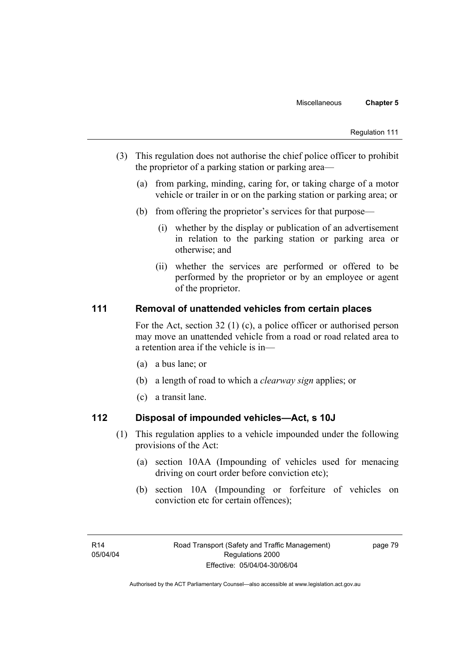- (3) This regulation does not authorise the chief police officer to prohibit the proprietor of a parking station or parking area—
	- (a) from parking, minding, caring for, or taking charge of a motor vehicle or trailer in or on the parking station or parking area; or
	- (b) from offering the proprietor's services for that purpose—
		- (i) whether by the display or publication of an advertisement in relation to the parking station or parking area or otherwise; and
		- (ii) whether the services are performed or offered to be performed by the proprietor or by an employee or agent of the proprietor.

# **111 Removal of unattended vehicles from certain places**

For the Act, section 32 (1) (c), a police officer or authorised person may move an unattended vehicle from a road or road related area to a retention area if the vehicle is in—

- (a) a bus lane; or
- (b) a length of road to which a *clearway sign* applies; or
- (c) a transit lane.

# **112 Disposal of impounded vehicles—Act, s 10J**

- (1) This regulation applies to a vehicle impounded under the following provisions of the Act:
	- (a) section 10AA (Impounding of vehicles used for menacing driving on court order before conviction etc);
	- (b) section 10A (Impounding or forfeiture of vehicles on conviction etc for certain offences);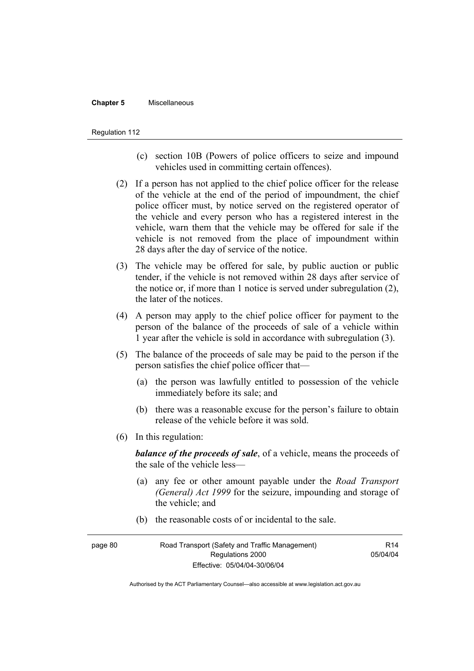#### **Chapter 5** Miscellaneous

#### Regulation 112

- (c) section 10B (Powers of police officers to seize and impound vehicles used in committing certain offences).
- (2) If a person has not applied to the chief police officer for the release of the vehicle at the end of the period of impoundment, the chief police officer must, by notice served on the registered operator of the vehicle and every person who has a registered interest in the vehicle, warn them that the vehicle may be offered for sale if the vehicle is not removed from the place of impoundment within 28 days after the day of service of the notice.
- (3) The vehicle may be offered for sale, by public auction or public tender, if the vehicle is not removed within 28 days after service of the notice or, if more than 1 notice is served under subregulation (2), the later of the notices.
- (4) A person may apply to the chief police officer for payment to the person of the balance of the proceeds of sale of a vehicle within 1 year after the vehicle is sold in accordance with subregulation (3).
- (5) The balance of the proceeds of sale may be paid to the person if the person satisfies the chief police officer that—
	- (a) the person was lawfully entitled to possession of the vehicle immediately before its sale; and
	- (b) there was a reasonable excuse for the person's failure to obtain release of the vehicle before it was sold.
- (6) In this regulation:

*balance of the proceeds of sale*, of a vehicle, means the proceeds of the sale of the vehicle less—

- (a) any fee or other amount payable under the *Road Transport (General) Act 1999* for the seizure, impounding and storage of the vehicle; and
- (b) the reasonable costs of or incidental to the sale.

| page 80 | Road Transport (Safety and Traffic Management) |          |
|---------|------------------------------------------------|----------|
|         | Regulations 2000                               | 05/04/04 |
|         | Effective: 05/04/04-30/06/04                   |          |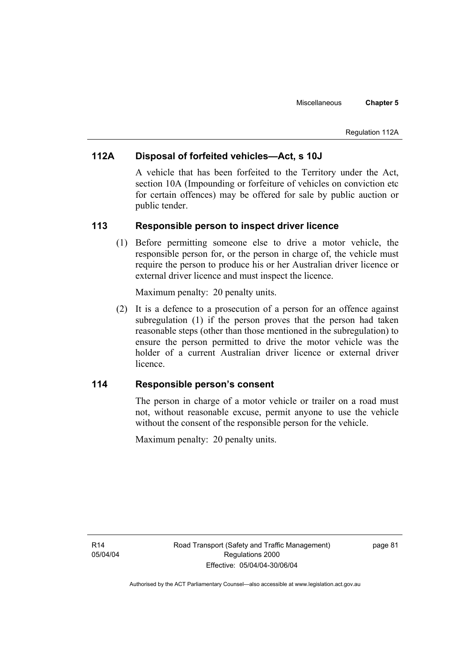#### Regulation 112A

# **112A Disposal of forfeited vehicles—Act, s 10J**

A vehicle that has been forfeited to the Territory under the Act, section 10A (Impounding or forfeiture of vehicles on conviction etc for certain offences) may be offered for sale by public auction or public tender.

## **113 Responsible person to inspect driver licence**

 (1) Before permitting someone else to drive a motor vehicle, the responsible person for, or the person in charge of, the vehicle must require the person to produce his or her Australian driver licence or external driver licence and must inspect the licence.

Maximum penalty: 20 penalty units.

 (2) It is a defence to a prosecution of a person for an offence against subregulation (1) if the person proves that the person had taken reasonable steps (other than those mentioned in the subregulation) to ensure the person permitted to drive the motor vehicle was the holder of a current Australian driver licence or external driver licence.

# **114 Responsible person's consent**

The person in charge of a motor vehicle or trailer on a road must not, without reasonable excuse, permit anyone to use the vehicle without the consent of the responsible person for the vehicle.

Maximum penalty: 20 penalty units.

page 81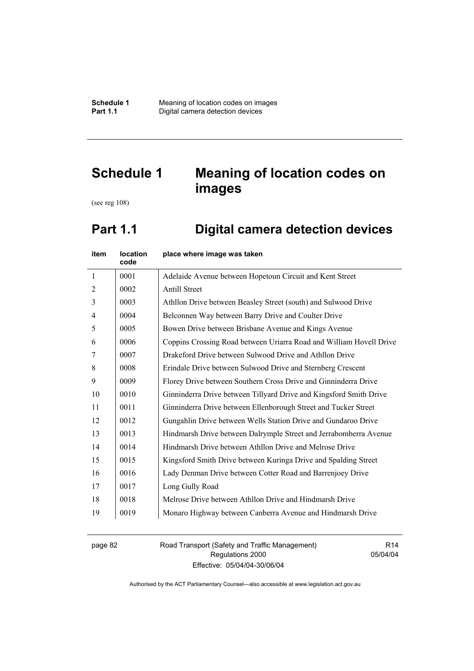# **Schedule 1 Meaning of location codes on images**

(see reg 108)

# **Part 1.1 Digital camera detection devices**

| item           | location<br>code | place where image was taken                                         |
|----------------|------------------|---------------------------------------------------------------------|
| $\mathbf{1}$   | 0001             | Adelaide Avenue between Hopetoun Circuit and Kent Street            |
| $\overline{2}$ | 0002             | <b>Antill Street</b>                                                |
| 3              | 0003             | Athllon Drive between Beasley Street (south) and Sulwood Drive      |
| $\overline{4}$ | 0004             | Belconnen Way between Barry Drive and Coulter Drive                 |
| 5              | 0005             | Bowen Drive between Brisbane Avenue and Kings Avenue                |
| 6              | 0006             | Coppins Crossing Road between Uriarra Road and William Hovell Drive |
| 7              | 0007             | Drakeford Drive between Sulwood Drive and Athllon Drive             |
| 8              | 0008             | Erindale Drive between Sulwood Drive and Sternberg Crescent         |
| 9              | 0009             | Florey Drive between Southern Cross Drive and Ginninderra Drive     |
| 10             | 0010             | Ginninderra Drive between Tillyard Drive and Kingsford Smith Drive  |
| 11             | 0011             | Ginninderra Drive between Ellenborough Street and Tucker Street     |
| 12             | 0012             | Gungahlin Drive between Wells Station Drive and Gundaroo Drive      |
| 13             | 0013             | Hindmarsh Drive between Dalrymple Street and Jerrabomberra Avenue   |
| 14             | 0014             | Hindmarsh Drive between Athllon Drive and Melrose Drive             |
| 15             | 0015             | Kingsford Smith Drive between Kuringa Drive and Spalding Street     |
| 16             | 0016             | Lady Denman Drive between Cotter Road and Barrenjoey Drive          |
| 17             | 0017             | Long Gully Road                                                     |
| 18             | 0018             | Melrose Drive between Athllon Drive and Hindmarsh Drive             |
| 19             | 0019             | Monaro Highway between Canberra Avenue and Hindmarsh Drive          |

page 82 Road Transport (Safety and Traffic Management) Regulations 2000 Effective: 05/04/04-30/06/04

R14 05/04/04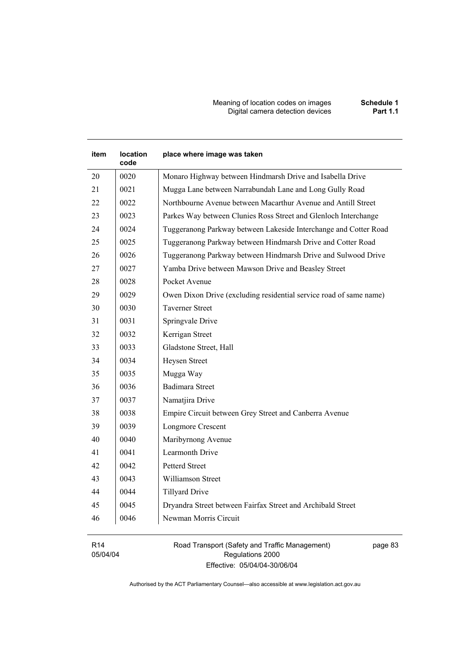Meaning of location codes on images **Schedule 1 Digital camera detection devices** 

# **item location code place where image was taken**  20 | 0020 | Monaro Highway between Hindmarsh Drive and Isabella Drive 21 | 0021 | Mugga Lane between Narrabundah Lane and Long Gully Road 22 | 0022 | Northbourne Avenue between Macarthur Avenue and Antill Street 23 0023 Parkes Way between Clunies Ross Street and Glenloch Interchange 24 | 0024 | Tuggeranong Parkway between Lakeside Interchange and Cotter Road 25 0025 Tuggeranong Parkway between Hindmarsh Drive and Cotter Road 26 | 0026 | Tuggeranong Parkway between Hindmarsh Drive and Sulwood Drive 27 0027 Yamba Drive between Mawson Drive and Beasley Street 28 0028 Pocket Avenue 29 | 0029 | Owen Dixon Drive (excluding residential service road of same name) 30 0030 Taverner Street 31 0031 Springvale Drive 32 0032 Kerrigan Street 33 0033 Gladstone Street, Hall 34 0034 Heysen Street 35 0035 Mugga Way 36 0036 Badimara Street 37 0037 Namatjira Drive 38 0038 Empire Circuit between Grey Street and Canberra Avenue 39 0039 Longmore Crescent 40 0040 Maribyrnong Avenue 41 0041 Learmonth Drive 42 0042 Petterd Street 43 0043 Williamson Street 44 0044 Tillyard Drive 45 0045 Dryandra Street between Fairfax Street and Archibald Street 46 0046 Newman Morris Circuit

R14 05/04/04 Road Transport (Safety and Traffic Management) Regulations 2000 Effective: 05/04/04-30/06/04

page 83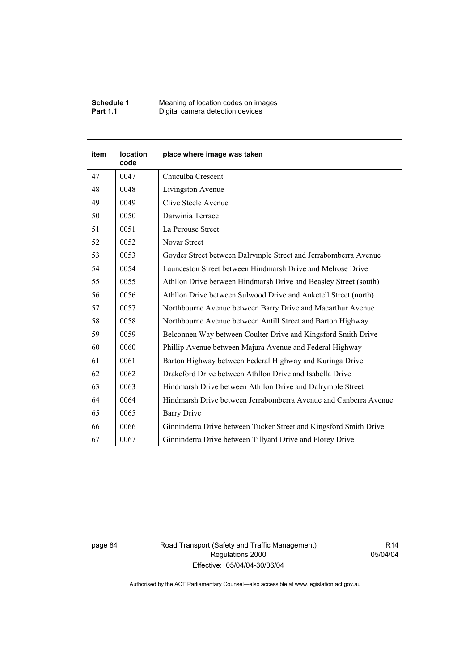| <b>Schedule 1</b> | Meaning of location codes on images |
|-------------------|-------------------------------------|
| <b>Part 1.1</b>   | Digital camera detection devices    |

| <b>item</b> | location<br>code | place where image was taken                                       |
|-------------|------------------|-------------------------------------------------------------------|
| 47          | 0047             | Chuculba Crescent                                                 |
| 48          | 0048             | Livingston Avenue                                                 |
| 49          | 0049             | Clive Steele Avenue                                               |
| 50          | 0050             | Darwinia Terrace                                                  |
| 51          | 0051             | La Perouse Street                                                 |
| 52          | 0052             | Novar Street                                                      |
| 53          | 0053             | Goyder Street between Dalrymple Street and Jerrabomberra Avenue   |
| 54          | 0054             | Launceston Street between Hindmarsh Drive and Melrose Drive       |
| 55          | 0055             | Athllon Drive between Hindmarsh Drive and Beasley Street (south)  |
| 56          | 0056             | Athllon Drive between Sulwood Drive and Anketell Street (north)   |
| 57          | 0057             | Northbourne Avenue between Barry Drive and Macarthur Avenue       |
| 58          | 0058             | Northbourne Avenue between Antill Street and Barton Highway       |
| 59          | 0059             | Belconnen Way between Coulter Drive and Kingsford Smith Drive     |
| 60          | 0060             | Phillip Avenue between Majura Avenue and Federal Highway          |
| 61          | 0061             | Barton Highway between Federal Highway and Kuringa Drive          |
| 62          | 0062             | Drakeford Drive between Athllon Drive and Isabella Drive          |
| 63          | 0063             | Hindmarsh Drive between Athllon Drive and Dalrymple Street        |
| 64          | 0064             | Hindmarsh Drive between Jerrabomberra Avenue and Canberra Avenue  |
| 65          | 0065             | <b>Barry Drive</b>                                                |
| 66          | 0066             | Ginninderra Drive between Tucker Street and Kingsford Smith Drive |
| 67          | 0067             | Ginninderra Drive between Tillyard Drive and Florey Drive         |

page 84 Road Transport (Safety and Traffic Management) Regulations 2000 Effective: 05/04/04-30/06/04

R14 05/04/04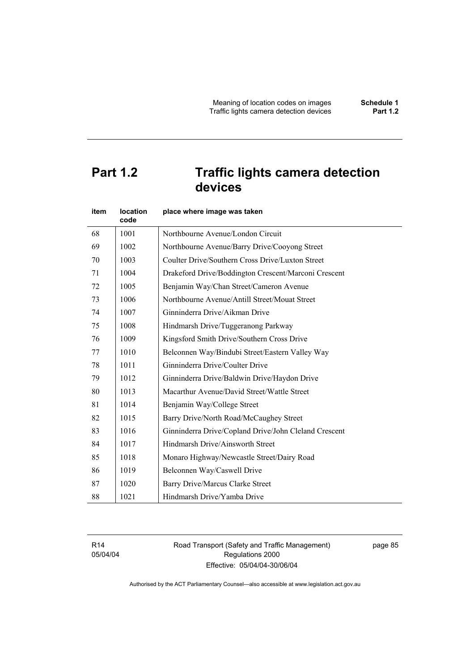# **Part 1.2 Traffic lights camera detection devices**

| item | <b>location</b><br>code | place where image was taken                           |
|------|-------------------------|-------------------------------------------------------|
| 68   | 1001                    | Northbourne Avenue/London Circuit                     |
| 69   | 1002                    | Northbourne Avenue/Barry Drive/Cooyong Street         |
| 70   | 1003                    | Coulter Drive/Southern Cross Drive/Luxton Street      |
| 71   | 1004                    | Drakeford Drive/Boddington Crescent/Marconi Crescent  |
| 72   | 1005                    | Benjamin Way/Chan Street/Cameron Avenue               |
| 73   | 1006                    | Northbourne Avenue/Antill Street/Mouat Street         |
| 74   | 1007                    | Ginninderra Drive/Aikman Drive                        |
| 75   | 1008                    | Hindmarsh Drive/Tuggeranong Parkway                   |
| 76   | 1009                    | Kingsford Smith Drive/Southern Cross Drive            |
| 77   | 1010                    | Belconnen Way/Bindubi Street/Eastern Valley Way       |
| 78   | 1011                    | Ginninderra Drive/Coulter Drive                       |
| 79   | 1012                    | Ginninderra Drive/Baldwin Drive/Haydon Drive          |
| 80   | 1013                    | Macarthur Avenue/David Street/Wattle Street           |
| 81   | 1014                    | Benjamin Way/College Street                           |
| 82   | 1015                    | Barry Drive/North Road/McCaughey Street               |
| 83   | 1016                    | Ginninderra Drive/Copland Drive/John Cleland Crescent |
| 84   | 1017                    | Hindmarsh Drive/Ainsworth Street                      |
| 85   | 1018                    | Monaro Highway/Newcastle Street/Dairy Road            |
| 86   | 1019                    | Belconnen Way/Caswell Drive                           |
| 87   | 1020                    | Barry Drive/Marcus Clarke Street                      |
| 88   | 1021                    | Hindmarsh Drive/Yamba Drive                           |

R14 05/04/04 Road Transport (Safety and Traffic Management) Regulations 2000 Effective: 05/04/04-30/06/04

page 85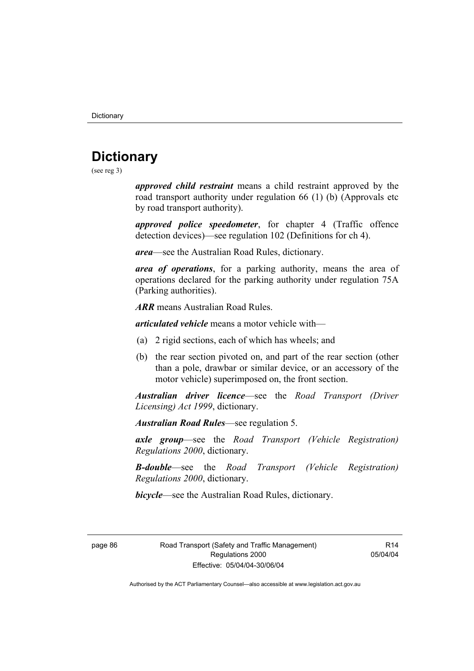# **Dictionary**

(see reg 3)

*approved child restraint* means a child restraint approved by the road transport authority under regulation 66 (1) (b) (Approvals etc by road transport authority).

*approved police speedometer*, for chapter 4 (Traffic offence detection devices)—see regulation 102 (Definitions for ch 4).

*area*—see the Australian Road Rules, dictionary.

*area of operations*, for a parking authority, means the area of operations declared for the parking authority under regulation 75A (Parking authorities).

*ARR* means Australian Road Rules.

*articulated vehicle* means a motor vehicle with—

- (a) 2 rigid sections, each of which has wheels; and
- (b) the rear section pivoted on, and part of the rear section (other than a pole, drawbar or similar device, or an accessory of the motor vehicle) superimposed on, the front section.

*Australian driver licence*—see the *Road Transport (Driver Licensing) Act 1999*, dictionary.

*Australian Road Rules*—see regulation 5.

*axle group*—see the *Road Transport (Vehicle Registration) Regulations 2000*, dictionary.

*B-double*—see the *Road Transport (Vehicle Registration) Regulations 2000*, dictionary.

*bicycle*—see the Australian Road Rules, dictionary.

page 86 Road Transport (Safety and Traffic Management) Regulations 2000 Effective: 05/04/04-30/06/04

R14 05/04/04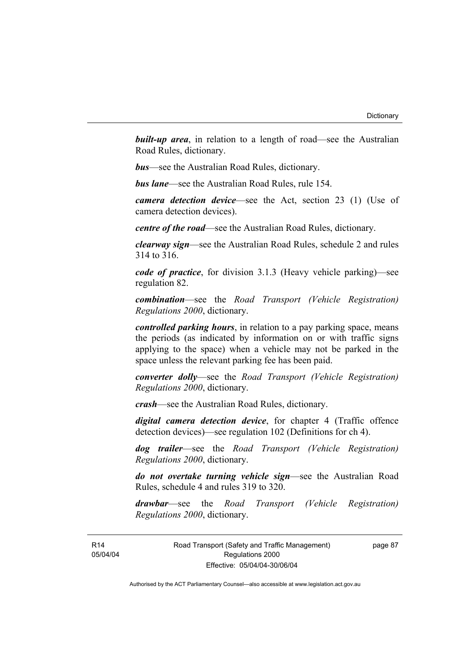**built-up area**, in relation to a length of road—see the Australian Road Rules, dictionary.

*bus*—see the Australian Road Rules, dictionary.

*bus lane*—see the Australian Road Rules, rule 154.

*camera detection device*—see the Act, section 23 (1) (Use of camera detection devices).

*centre of the road*—see the Australian Road Rules, dictionary.

*clearway sign*—see the Australian Road Rules, schedule 2 and rules 314 to 316.

*code of practice*, for division 3.1.3 (Heavy vehicle parking)—see regulation 82.

*combination*—see the *Road Transport (Vehicle Registration) Regulations 2000*, dictionary.

*controlled parking hours*, in relation to a pay parking space, means the periods (as indicated by information on or with traffic signs applying to the space) when a vehicle may not be parked in the space unless the relevant parking fee has been paid.

*converter dolly*—see the *Road Transport (Vehicle Registration) Regulations 2000*, dictionary.

*crash*—see the Australian Road Rules, dictionary.

*digital camera detection device*, for chapter 4 (Traffic offence detection devices)—see regulation 102 (Definitions for ch 4).

*dog trailer*—see the *Road Transport (Vehicle Registration) Regulations 2000*, dictionary.

*do not overtake turning vehicle sign*—see the Australian Road Rules, schedule 4 and rules 319 to 320.

*drawbar*—see the *Road Transport (Vehicle Registration) Regulations 2000*, dictionary.

R14 05/04/04 Road Transport (Safety and Traffic Management) Regulations 2000 Effective: 05/04/04-30/06/04

page 87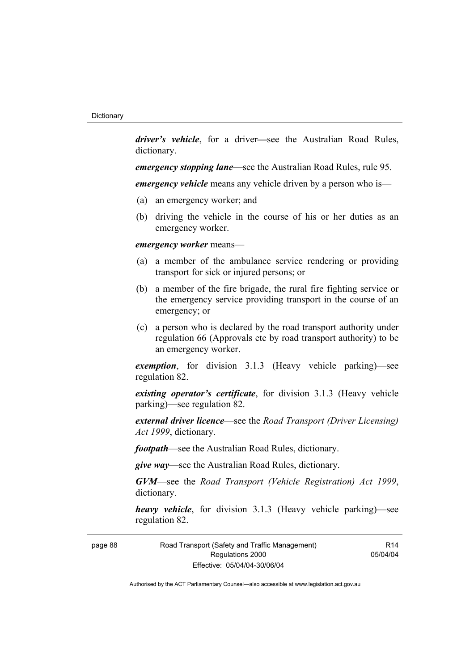*driver's vehicle*, for a driver*—*see the Australian Road Rules, dictionary.

*emergency stopping lane*—see the Australian Road Rules, rule 95.

*emergency vehicle* means any vehicle driven by a person who is—

- (a) an emergency worker; and
- (b) driving the vehicle in the course of his or her duties as an emergency worker.

## *emergency worker* means—

- (a) a member of the ambulance service rendering or providing transport for sick or injured persons; or
- (b) a member of the fire brigade, the rural fire fighting service or the emergency service providing transport in the course of an emergency; or
- (c) a person who is declared by the road transport authority under regulation 66 (Approvals etc by road transport authority) to be an emergency worker.

*exemption*, for division 3.1.3 (Heavy vehicle parking)—see regulation 82.

*existing operator's certificate*, for division 3.1.3 (Heavy vehicle parking)—see regulation 82.

*external driver licence*—see the *Road Transport (Driver Licensing) Act 1999*, dictionary.

*footpath*—see the Australian Road Rules, dictionary.

*give way*—see the Australian Road Rules, dictionary.

*GVM*—see the *Road Transport (Vehicle Registration) Act 1999*, dictionary.

*heavy vehicle*, for division 3.1.3 (Heavy vehicle parking)—see regulation 82.

page 88 Road Transport (Safety and Traffic Management) Regulations 2000 Effective: 05/04/04-30/06/04

R14 05/04/04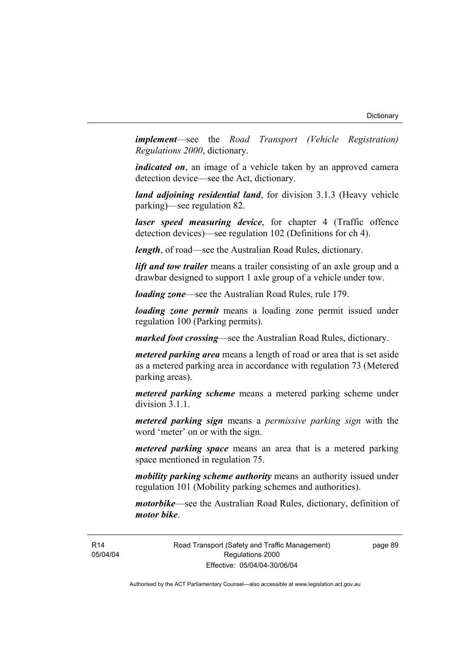*implement*—see the *Road Transport (Vehicle Registration) Regulations 2000*, dictionary.

*indicated on*, an image of a vehicle taken by an approved camera detection device—see the Act, dictionary.

*land adjoining residential land*, for division 3.1.3 (Heavy vehicle parking)—see regulation 82.

*laser speed measuring device*, for chapter 4 (Traffic offence detection devices)—see regulation 102 (Definitions for ch 4).

*length*, of road—see the Australian Road Rules, dictionary.

*lift and tow trailer* means a trailer consisting of an axle group and a drawbar designed to support 1 axle group of a vehicle under tow.

*loading zone*—see the Australian Road Rules, rule 179.

*loading zone permit* means a loading zone permit issued under regulation 100 (Parking permits).

*marked foot crossing*—see the Australian Road Rules, dictionary.

*metered parking area* means a length of road or area that is set aside as a metered parking area in accordance with regulation 73 (Metered parking areas).

*metered parking scheme* means a metered parking scheme under division 3.1.1.

*metered parking sign* means a *permissive parking sign* with the word 'meter' on or with the sign.

*metered parking space* means an area that is a metered parking space mentioned in regulation 75.

*mobility parking scheme authority* means an authority issued under regulation 101 (Mobility parking schemes and authorities).

*motorbike*—see the Australian Road Rules, dictionary, definition of *motor bike*.

R14 05/04/04 Road Transport (Safety and Traffic Management) Regulations 2000 Effective: 05/04/04-30/06/04

page 89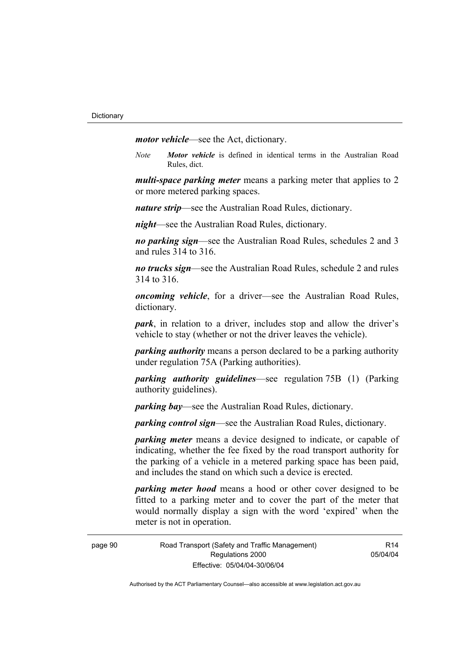*motor vehicle*—see the Act, dictionary.

*Note Motor vehicle* is defined in identical terms in the Australian Road Rules, dict.

*multi-space parking meter* means a parking meter that applies to 2 or more metered parking spaces.

*nature strip*—see the Australian Road Rules, dictionary.

*night*—see the Australian Road Rules, dictionary.

*no parking sign*—see the Australian Road Rules, schedules 2 and 3 and rules 314 to 316.

*no trucks sign*—see the Australian Road Rules, schedule 2 and rules 314 to 316.

*oncoming vehicle*, for a driver—see the Australian Road Rules, dictionary.

*park*, in relation to a driver, includes stop and allow the driver's vehicle to stay (whether or not the driver leaves the vehicle).

*parking authority* means a person declared to be a parking authority under regulation 75A (Parking authorities).

*parking authority guidelines*—see regulation 75B (1) (Parking authority guidelines).

*parking bay*—see the Australian Road Rules, dictionary.

*parking control sign*—see the Australian Road Rules, dictionary.

*parking meter* means a device designed to indicate, or capable of indicating, whether the fee fixed by the road transport authority for the parking of a vehicle in a metered parking space has been paid, and includes the stand on which such a device is erected.

*parking meter hood* means a hood or other cover designed to be fitted to a parking meter and to cover the part of the meter that would normally display a sign with the word 'expired' when the meter is not in operation.

 $R14$ 05/04/04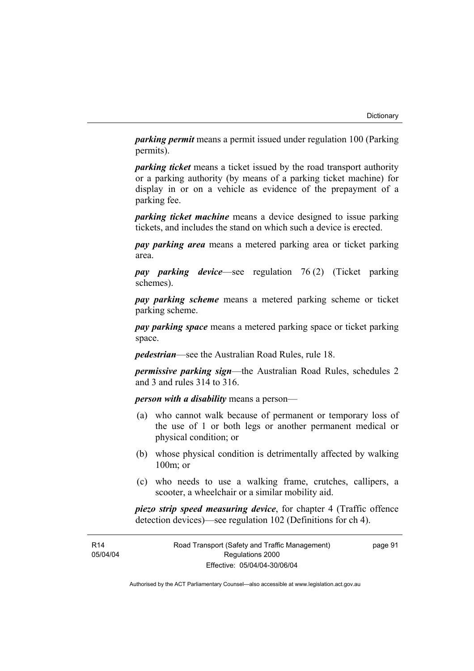*parking permit* means a permit issued under regulation 100 (Parking permits).

*parking ticket* means a ticket issued by the road transport authority or a parking authority (by means of a parking ticket machine) for display in or on a vehicle as evidence of the prepayment of a parking fee.

*parking ticket machine* means a device designed to issue parking tickets, and includes the stand on which such a device is erected.

*pay parking area* means a metered parking area or ticket parking area.

*pay parking device*—see regulation 76 (2) (Ticket parking schemes).

*pay parking scheme* means a metered parking scheme or ticket parking scheme.

*pay parking space* means a metered parking space or ticket parking space.

*pedestrian*—see the Australian Road Rules, rule 18.

*permissive parking sign*—the Australian Road Rules, schedules 2 and 3 and rules 314 to 316.

*person with a disability* means a person—

- (a) who cannot walk because of permanent or temporary loss of the use of 1 or both legs or another permanent medical or physical condition; or
- (b) whose physical condition is detrimentally affected by walking 100m; or
- (c) who needs to use a walking frame, crutches, callipers, a scooter, a wheelchair or a similar mobility aid.

*piezo strip speed measuring device*, for chapter 4 (Traffic offence detection devices)—see regulation 102 (Definitions for ch 4).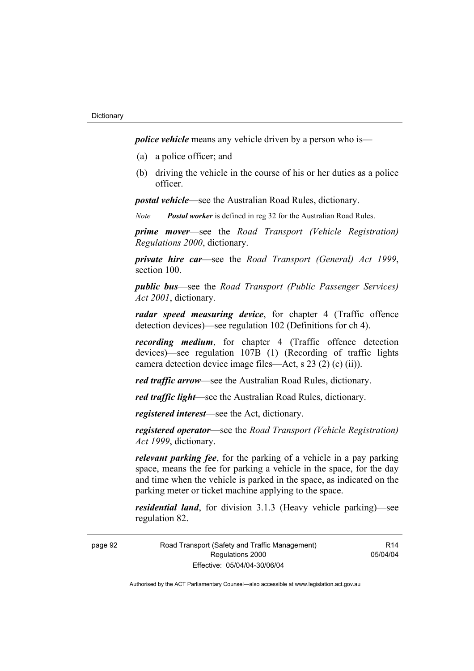*police vehicle* means any vehicle driven by a person who is—

- (a) a police officer; and
- (b) driving the vehicle in the course of his or her duties as a police officer.

*postal vehicle*—see the Australian Road Rules, dictionary.

*Note Postal worker* is defined in reg 32 for the Australian Road Rules.

*prime mover*—see the *Road Transport (Vehicle Registration) Regulations 2000*, dictionary.

*private hire car*—see the *Road Transport (General) Act 1999*, section 100.

*public bus*—see the *Road Transport (Public Passenger Services) Act 2001*, dictionary.

*radar speed measuring device*, for chapter 4 (Traffic offence detection devices)—see regulation 102 (Definitions for ch 4).

*recording medium*, for chapter 4 (Traffic offence detection devices)—see regulation 107B (1) (Recording of traffic lights camera detection device image files—Act, s 23 (2) (c) (ii)).

*red traffic arrow*—see the Australian Road Rules, dictionary.

*red traffic light*—see the Australian Road Rules, dictionary.

*registered interest*—see the Act, dictionary.

*registered operator*—see the *Road Transport (Vehicle Registration) Act 1999*, dictionary.

*relevant parking fee*, for the parking of a vehicle in a pay parking space, means the fee for parking a vehicle in the space, for the day and time when the vehicle is parked in the space, as indicated on the parking meter or ticket machine applying to the space.

*residential land*, for division 3.1.3 (Heavy vehicle parking)—see regulation 82.

page 92 Road Transport (Safety and Traffic Management) Regulations 2000 Effective: 05/04/04-30/06/04

R14 05/04/04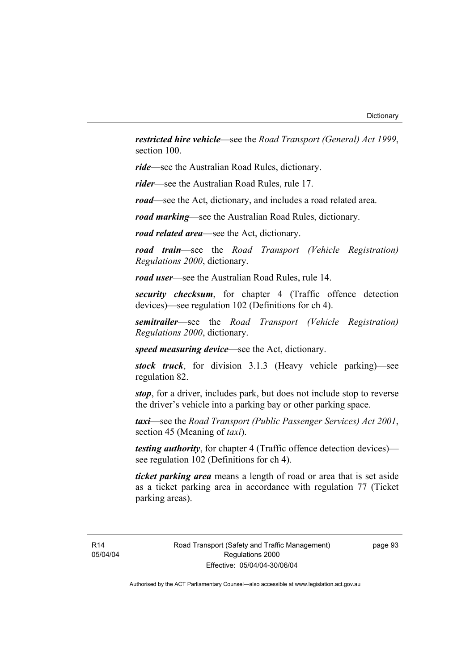*restricted hire vehicle*—see the *Road Transport (General) Act 1999*, section 100.

*ride*—see the Australian Road Rules, dictionary.

*rider*—see the Australian Road Rules, rule 17.

*road*—see the Act, dictionary, and includes a road related area.

*road marking*—see the Australian Road Rules, dictionary.

*road related area*—see the Act, dictionary.

*road train*—see the *Road Transport (Vehicle Registration) Regulations 2000*, dictionary.

*road user*—see the Australian Road Rules, rule 14.

*security checksum*, for chapter 4 (Traffic offence detection devices)—see regulation 102 (Definitions for ch 4).

*semitrailer*—see the *Road Transport (Vehicle Registration) Regulations 2000*, dictionary.

*speed measuring device*—see the Act, dictionary.

*stock truck*, for division 3.1.3 (Heavy vehicle parking)—see regulation 82.

*stop*, for a driver, includes park, but does not include stop to reverse the driver's vehicle into a parking bay or other parking space.

*taxi*—see the *Road Transport (Public Passenger Services) Act 2001*, section 45 (Meaning of *taxi*).

*testing authority*, for chapter 4 (Traffic offence detection devices) see regulation 102 (Definitions for ch 4).

*ticket parking area* means a length of road or area that is set aside as a ticket parking area in accordance with regulation 77 (Ticket parking areas).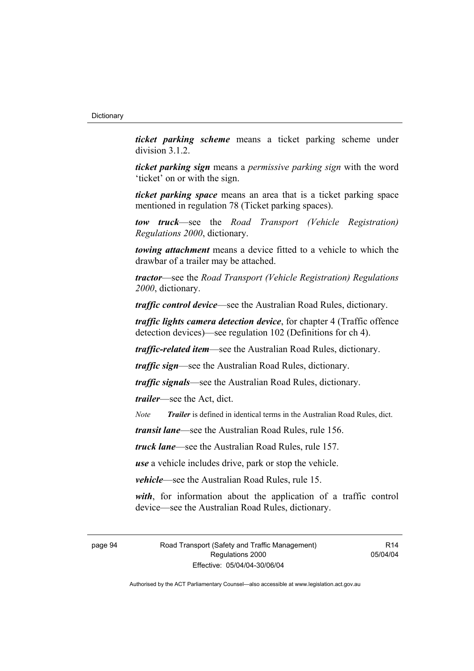*ticket parking scheme* means a ticket parking scheme under division 3.1.2.

*ticket parking sign* means a *permissive parking sign* with the word 'ticket' on or with the sign.

*ticket parking space* means an area that is a ticket parking space mentioned in regulation 78 (Ticket parking spaces).

*tow truck*—see the *Road Transport (Vehicle Registration) Regulations 2000*, dictionary.

*towing attachment* means a device fitted to a vehicle to which the drawbar of a trailer may be attached.

*tractor*—see the *Road Transport (Vehicle Registration) Regulations 2000*, dictionary.

*traffic control device*—see the Australian Road Rules, dictionary.

*traffic lights camera detection device*, for chapter 4 (Traffic offence detection devices)—see regulation 102 (Definitions for ch 4).

*traffic-related item*—see the Australian Road Rules, dictionary.

*traffic sign*—see the Australian Road Rules, dictionary.

*traffic signals*—see the Australian Road Rules, dictionary.

*trailer*—see the Act, dict.

*Note Trailer* is defined in identical terms in the Australian Road Rules, dict.

*transit lane*—see the Australian Road Rules, rule 156.

*truck lane*—see the Australian Road Rules, rule 157.

*use* a vehicle includes drive, park or stop the vehicle.

*vehicle*—see the Australian Road Rules, rule 15.

*with*, for information about the application of a traffic control device—see the Australian Road Rules, dictionary.

page 94 Road Transport (Safety and Traffic Management) Regulations 2000 Effective: 05/04/04-30/06/04

R14 05/04/04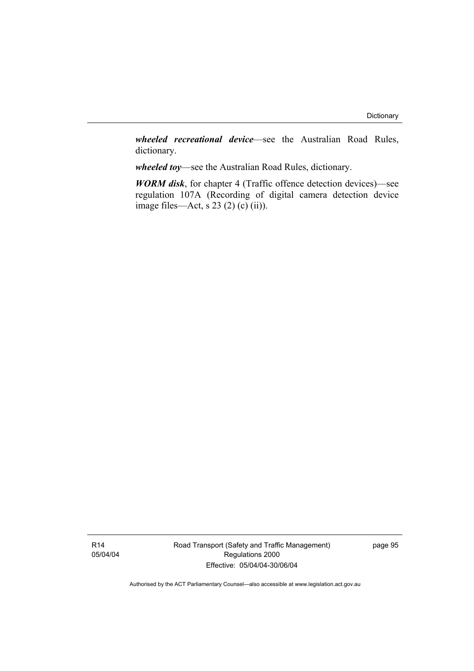*wheeled recreational device*—see the Australian Road Rules, dictionary.

*wheeled toy*—see the Australian Road Rules, dictionary.

*WORM disk*, for chapter 4 (Traffic offence detection devices)—see regulation 107A (Recording of digital camera detection device image files—Act, s  $23(2)(c)(ii)$ .

Road Transport (Safety and Traffic Management) Regulations 2000 Effective: 05/04/04-30/06/04

page 95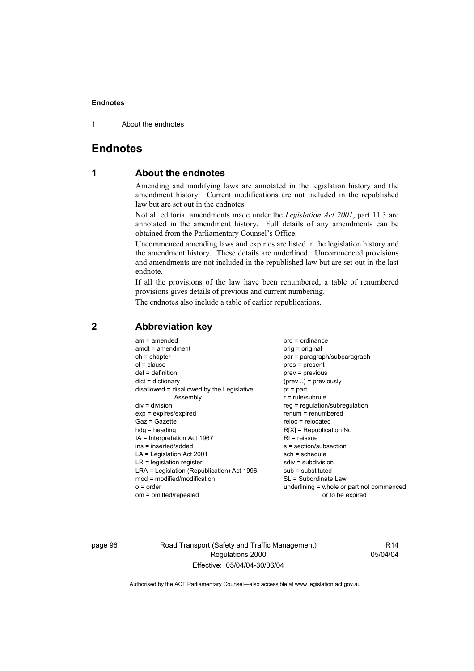#### **Endnotes**

1 About the endnotes

# **Endnotes**

# **1 About the endnotes**

Amending and modifying laws are annotated in the legislation history and the amendment history. Current modifications are not included in the republished law but are set out in the endnotes.

Not all editorial amendments made under the *Legislation Act 2001*, part 11.3 are annotated in the amendment history. Full details of any amendments can be obtained from the Parliamentary Counsel's Office.

Uncommenced amending laws and expiries are listed in the legislation history and the amendment history. These details are underlined. Uncommenced provisions and amendments are not included in the republished law but are set out in the last endnote.

If all the provisions of the law have been renumbered, a table of renumbered provisions gives details of previous and current numbering.

The endnotes also include a table of earlier republications.

| $am = amended$<br>$amdt = amendment$<br>$ch = chapter$<br>$cl = clause$<br>$def = definition$<br>$dict = dictionary$<br>disallowed = disallowed by the Legislative<br>Assembly<br>$div =$ division<br>$exp = expires/expired$<br>$Gaz = Gazette$<br>$hda =$ heading<br>IA = Interpretation Act 1967<br>ins = inserted/added<br>$LA =$ Legislation Act 2001<br>$LR =$ legislation register<br>LRA = Legislation (Republication) Act 1996<br>$mod = modified/modification$ | $ord = ordinance$<br>orig = original<br>par = paragraph/subparagraph<br>$pres = present$<br>$prev = previous$<br>$(\text{prev})$ = previously<br>$pt = part$<br>$r = rule/subrule$<br>reg = regulation/subregulation<br>$renum = renumbered$<br>$reloc = relocated$<br>$R[X]$ = Republication No<br>$RI = reissue$<br>$s = section/subsection$<br>$sch = schedule$<br>$sdiv = subdivision$<br>$sub =$ substituted<br>SL = Subordinate Law |
|--------------------------------------------------------------------------------------------------------------------------------------------------------------------------------------------------------------------------------------------------------------------------------------------------------------------------------------------------------------------------------------------------------------------------------------------------------------------------|-------------------------------------------------------------------------------------------------------------------------------------------------------------------------------------------------------------------------------------------------------------------------------------------------------------------------------------------------------------------------------------------------------------------------------------------|
| $o = order$<br>om = omitted/repealed                                                                                                                                                                                                                                                                                                                                                                                                                                     | underlining = whole or part not commenced<br>or to be expired                                                                                                                                                                                                                                                                                                                                                                             |
|                                                                                                                                                                                                                                                                                                                                                                                                                                                                          |                                                                                                                                                                                                                                                                                                                                                                                                                                           |

## **2 Abbreviation key**

page 96 Road Transport (Safety and Traffic Management) Regulations 2000 Effective: 05/04/04-30/06/04

R14 05/04/04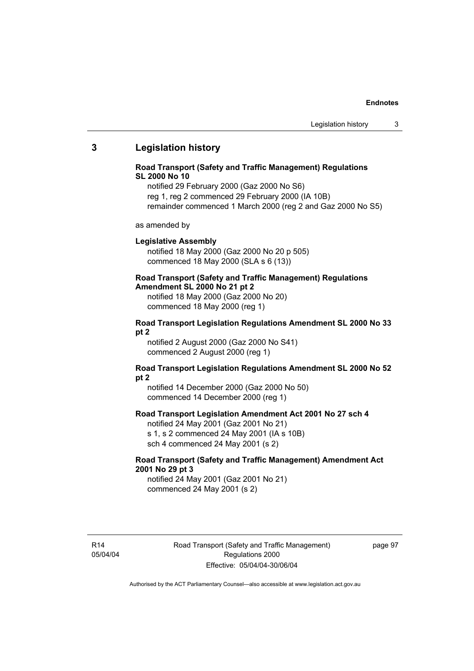#### **Endnotes**

## **3 Legislation history**

### **Road Transport (Safety and Traffic Management) Regulations SL 2000 No 10**

notified 29 February 2000 (Gaz 2000 No S6) reg 1, reg 2 commenced 29 February 2000 (IA 10B) remainder commenced 1 March 2000 (reg 2 and Gaz 2000 No S5)

as amended by

#### **Legislative Assembly**

notified 18 May 2000 (Gaz 2000 No 20 p 505) commenced 18 May 2000 (SLA s 6 (13))

# **Road Transport (Safety and Traffic Management) Regulations**

**Amendment SL 2000 No 21 pt 2** 

notified 18 May 2000 (Gaz 2000 No 20) commenced 18 May 2000 (reg 1)

#### **Road Transport Legislation Regulations Amendment SL 2000 No 33 pt 2**

notified 2 August 2000 (Gaz 2000 No S41) commenced 2 August 2000 (reg 1)

### **Road Transport Legislation Regulations Amendment SL 2000 No 52 pt 2**

notified 14 December 2000 (Gaz 2000 No 50) commenced 14 December 2000 (reg 1)

## **Road Transport Legislation Amendment Act 2001 No 27 sch 4**

notified 24 May 2001 (Gaz 2001 No 21) s 1, s 2 commenced 24 May 2001 (IA s 10B) sch 4 commenced 24 May 2001 (s 2)

## **Road Transport (Safety and Traffic Management) Amendment Act 2001 No 29 pt 3**

notified 24 May 2001 (Gaz 2001 No 21) commenced 24 May 2001 (s 2)

R14 05/04/04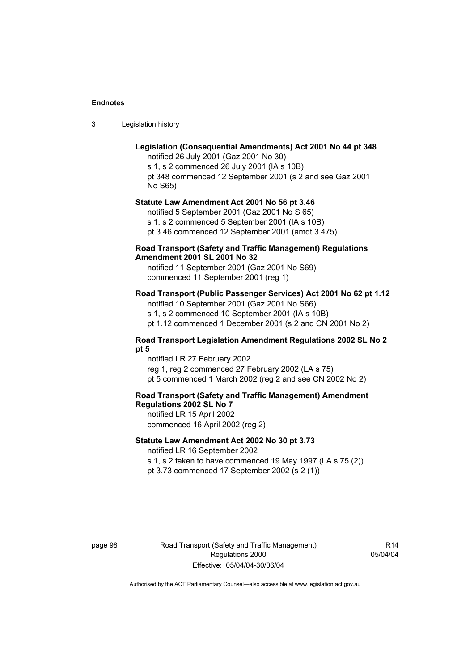#### **Endnotes**

3 Legislation history

## **Legislation (Consequential Amendments) Act 2001 No 44 pt 348**

notified 26 July 2001 (Gaz 2001 No 30) s 1, s 2 commenced 26 July 2001 (IA s 10B) pt 348 commenced 12 September 2001 (s 2 and see Gaz 2001 No S65)

## **Statute Law Amendment Act 2001 No 56 pt 3.46**

notified 5 September 2001 (Gaz 2001 No S 65) s 1, s 2 commenced 5 September 2001 (IA s 10B) pt 3.46 commenced 12 September 2001 (amdt 3.475)

## **Road Transport (Safety and Traffic Management) Regulations Amendment 2001 SL 2001 No 32**

notified 11 September 2001 (Gaz 2001 No S69) commenced 11 September 2001 (reg 1)

## **Road Transport (Public Passenger Services) Act 2001 No 62 pt 1.12**

notified 10 September 2001 (Gaz 2001 No S66) s 1, s 2 commenced 10 September 2001 (IA s 10B)

pt 1.12 commenced 1 December 2001 (s 2 and CN 2001 No 2)

## **Road Transport Legislation Amendment Regulations 2002 SL No 2 pt 5**

notified LR 27 February 2002 reg 1, reg 2 commenced 27 February 2002 (LA s 75) pt 5 commenced 1 March 2002 (reg 2 and see CN 2002 No 2)

## **Road Transport (Safety and Traffic Management) Amendment Regulations 2002 SL No 7**

notified LR 15 April 2002 commenced 16 April 2002 (reg 2)

## **Statute Law Amendment Act 2002 No 30 pt 3.73**

notified LR 16 September 2002

s 1, s 2 taken to have commenced 19 May 1997 (LA s 75 (2)) pt 3.73 commenced 17 September 2002 (s 2 (1))

page 98 Road Transport (Safety and Traffic Management) Regulations 2000 Effective: 05/04/04-30/06/04

R14 05/04/04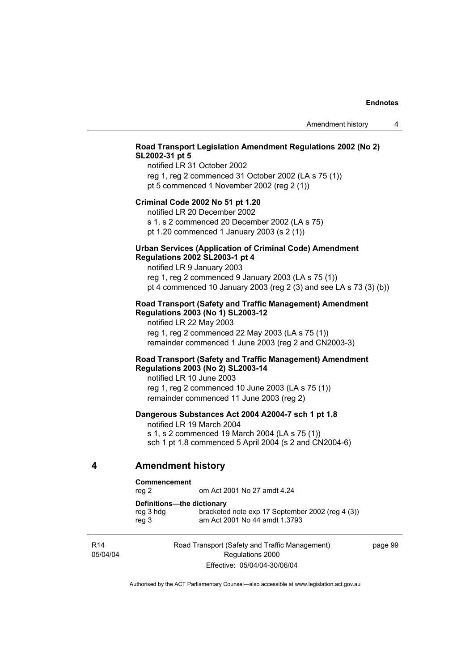# **Road Transport Legislation Amendment Regulations 2002 (No 2) SL2002-31 pt 5**

notified LR 31 October 2002 reg 1, reg 2 commenced 31 October 2002 (LA s 75 (1)) pt 5 commenced 1 November 2002 (reg 2 (1))

### **Criminal Code 2002 No 51 pt 1.20**

notified LR 20 December 2002

s 1, s 2 commenced 20 December 2002 (LA s 75) pt 1.20 commenced 1 January 2003 (s 2 (1))

### **Urban Services (Application of Criminal Code) Amendment Regulations 2002 SL2003-1 pt 4**

notified LR 9 January 2003 reg 1, reg 2 commenced 9 January 2003 (LA s 75 (1)) pt 4 commenced 10 January 2003 (reg 2 (3) and see LA s 73 (3) (b))

### **Road Transport (Safety and Traffic Management) Amendment Regulations 2003 (No 1) SL2003-12**

notified LR 22 May 2003 reg 1, reg 2 commenced 22 May 2003 (LA s 75 (1)) remainder commenced 1 June 2003 (reg 2 and CN2003-3)

### **Road Transport (Safety and Traffic Management) Amendment Regulations 2003 (No 2) SL2003-14**

notified LR 10 June 2003 reg 1, reg 2 commenced 10 June 2003 (LA s 75 (1)) remainder commenced 11 June 2003 (reg 2)

# **Dangerous Substances Act 2004 A2004-7 sch 1 pt 1.8**

notified LR 19 March 2004 s 1, s 2 commenced 19 March 2004 (LA s 75 (1)) sch 1 pt 1.8 commenced 5 April 2004 (s 2 and CN2004-6)

### **4 Amendment history**

#### **Commencement**

reg 2 om Act 2001 No 27 amdt 4.24

**Definitions—the dictionary** 

| reg 3 hdg | bracketed note exp 17 September 2002 (reg 4 (3)) |
|-----------|--------------------------------------------------|
| reg 3     | am Act 2001 No 44 amdt 1.3793                    |

R14 05/04/04 Road Transport (Safety and Traffic Management) Regulations 2000 Effective: 05/04/04-30/06/04

page 99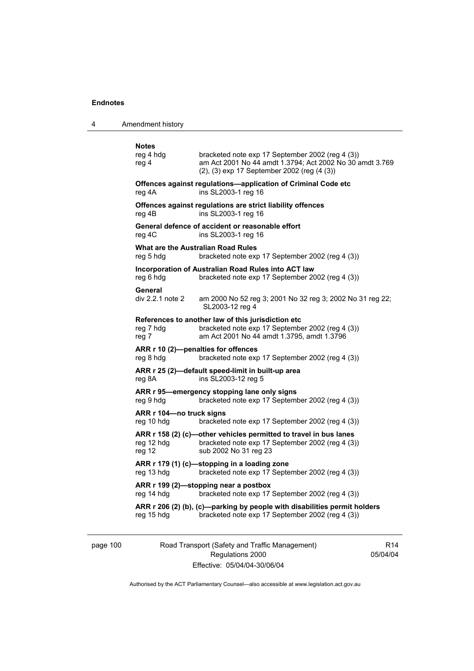4 Amendment history

| <b>Notes</b><br>reg 4 hdg<br>reg 4                     | bracketed note exp 17 September 2002 (reg 4 (3))<br>am Act 2001 No 44 amdt 1.3794; Act 2002 No 30 amdt 3.769<br>(2), (3) exp 17 September 2002 (reg (4 (3)) |
|--------------------------------------------------------|-------------------------------------------------------------------------------------------------------------------------------------------------------------|
| reg 4A                                                 | Offences against regulations-application of Criminal Code etc<br>ins SL2003-1 reg 16                                                                        |
| reg 4B                                                 | Offences against regulations are strict liability offences<br>ins SL2003-1 reg 16                                                                           |
| reg 4C                                                 | General defence of accident or reasonable effort<br>ins SL2003-1 reg 16                                                                                     |
| <b>What are the Australian Road Rules</b><br>reg 5 hdg | bracketed note exp 17 September 2002 (reg 4 (3))                                                                                                            |
| reg 6 hdg                                              | Incorporation of Australian Road Rules into ACT law<br>bracketed note exp 17 September 2002 (reg 4 (3))                                                     |
| General<br>div 2.2.1 note 2                            | am 2000 No 52 reg 3; 2001 No 32 reg 3; 2002 No 31 reg 22;<br>SL2003-12 reg 4                                                                                |
| reg 7 hdg<br>reg 7                                     | References to another law of this jurisdiction etc<br>bracketed note exp 17 September 2002 (reg 4 (3))<br>am Act 2001 No 44 amdt 1.3795, amdt 1.3796        |
| ARR r 10 (2)-penalties for offences<br>reg 8 hdg       | bracketed note exp 17 September 2002 (reg 4 (3))                                                                                                            |
| reg 8A                                                 | ARR r 25 (2)-default speed-limit in built-up area<br>ins SL2003-12 reg 5                                                                                    |
| reg 9 hdg                                              | ARR r 95-emergency stopping lane only signs<br>bracketed note exp 17 September 2002 (reg 4 (3))                                                             |
| ARR r 104-no truck signs<br>reg 10 hdg                 | bracketed note exp 17 September 2002 (reg 4 (3))                                                                                                            |
| reg 12 hdg<br>reg 12                                   | ARR r 158 (2) (c)—other vehicles permitted to travel in bus lanes<br>bracketed note exp 17 September 2002 (reg 4 (3))<br>sub 2002 No 31 reg 23              |
| reg 13 hdg                                             | ARR r 179 (1) (c)—stopping in a loading zone<br>bracketed note exp 17 September 2002 (reg 4 (3))                                                            |
| reg 14 hdg                                             | ARR r 199 (2)-stopping near a postbox<br>bracketed note exp 17 September 2002 (reg 4 (3))                                                                   |
| reg 15 hdg                                             | ARR r 206 (2) (b), (c)-parking by people with disabilities permit holders<br>bracketed note exp 17 September 2002 (reg 4 (3))                               |
|                                                        |                                                                                                                                                             |

page 100 Road Transport (Safety and Traffic Management) Regulations 2000 Effective: 05/04/04-30/06/04

R14 05/04/04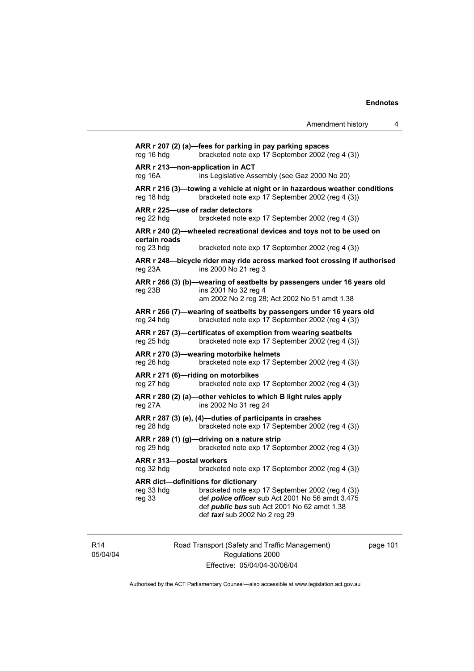**ARR r 207 (2) (a)—fees for parking in pay parking spaces**  reg 16 hdg bracketed note exp 17 September 2002 (reg 4 (3)) **ARR r 213—non-application in ACT**  reg 16A ins Legislative Assembly (see Gaz 2000 No 20) **ARR r 216 (3)—towing a vehicle at night or in hazardous weather conditions**  reg 18 hdg bracketed note exp 17 September 2002 (reg 4 (3)) **ARR r 225—use of radar detectors**  reg 22 hdg bracketed note exp 17 September 2002 (reg 4 (3)) **ARR r 240 (2)—wheeled recreational devices and toys not to be used on certain roads**  reg 23 hdg bracketed note exp 17 September 2002 (reg 4 (3)) **ARR r 248—bicycle rider may ride across marked foot crossing if authorised**  reg 23A ins 2000 No 21 reg 3 **ARR r 266 (3) (b)—wearing of seatbelts by passengers under 16 years old**  reg 23B ins 2001 No 32 reg 4 am 2002 No 2 reg 28; Act 2002 No 51 amdt 1.38 **ARR r 266 (7)—wearing of seatbelts by passengers under 16 years old**  reg 24 hdg bracketed note exp 17 September 2002 (reg 4 (3)) **ARR r 267 (3)—certificates of exemption from wearing seatbelts**  reg 25 hdg bracketed note exp 17 September 2002 (reg 4 (3)) **ARR r 270 (3)—wearing motorbike helmets**  reg 26 hdg bracketed note exp 17 September 2002 (reg 4 (3)) **ARR r 271 (6)—riding on motorbikes**  reg 27 hdg bracketed note exp 17 September 2002 (reg 4 (3)) **ARR r 280 (2) (a)—other vehicles to which B light rules apply**  reg 27A ins 2002 No 31 reg 24 **ARR r 287 (3) (e), (4)—duties of participants in crashes**  reg 28 hdg bracketed note exp 17 September 2002 (reg 4 (3)) **ARR r 289 (1) (g)—driving on a nature strip**  reg 29 hdg bracketed note exp 17 September 2002 (reg 4 (3)) **ARR r 313—postal workers**  reg 32 hdg bracketed note exp 17 September 2002 (reg 4 (3)) **ARR dict—definitions for dictionary**  reg 33 hdg bracketed note exp 17 September 2002 (reg 4 (3)) reg 33 def *police officer* sub Act 2001 No 56 amdt 3.475 def *public bus* sub Act 2001 No 62 amdt 1.38 def *taxi* sub 2002 No 2 reg 29

R14 05/04/04 Road Transport (Safety and Traffic Management) Regulations 2000 Effective: 05/04/04-30/06/04

page 101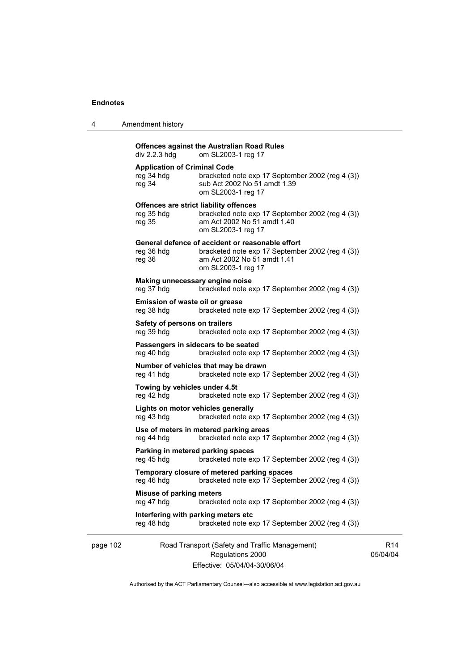| Amendment history<br>4 |  |
|------------------------|--|
|------------------------|--|

#### **Offences against the Australian Road Rules**

div 2.2.3 hdg om SL2003-1 reg 17

#### **Application of Criminal Code**

| reg 34 hdg | bracketed note exp 17 September 2002 (reg 4 (3)) |
|------------|--------------------------------------------------|
| reg 34     | sub Act 2002 No 51 amdt 1.39                     |
|            | om SL2003-1 reg 17                               |

#### **Offences are strict liability offences**

| reg 35 hdg | bracketed note exp 17 September 2002 (reg 4 (3)) |
|------------|--------------------------------------------------|
| reg 35     | am Act 2002 No 51 amdt 1.40                      |
|            | om SL2003-1 reg 17                               |

### **General defence of accident or reasonable effort**

| reg 36 hdg | bracketed note exp 17 September 2002 (reg 4 (3)) |
|------------|--------------------------------------------------|
| reg 36     | am Act 2002 No 51 amdt 1.41                      |
|            | om SL2003-1 reg 17                               |

#### **Making unnecessary engine noise**

reg 37 hdg bracketed note exp 17 September 2002 (reg 4 (3))

# **Emission of waste oil or grease**  reg 38 hdg bracketed note exp 17 September 2002 (reg 4 (3)) **Safety of persons on trailers**

reg 39 hdg bracketed note exp 17 September 2002 (reg 4 (3))

#### **Passengers in sidecars to be seated**  reg 40 hdg bracketed note exp 17 September 2002 (reg 4 (3))

**Number of vehicles that may be drawn**  reg 41 hdg bracketed note exp 17 September 2002 (reg 4 (3))

# **Towing by vehicles under 4.5t**

reg 42 hdg bracketed note exp 17 September 2002 (reg 4 (3))

**Lights on motor vehicles generally**  reg 43 hdg bracketed note exp 17 September 2002 (reg 4 (3))

**Use of meters in metered parking areas**  reg 44 hdg bracketed note exp 17 September 2002 (reg 4 (3))

### **Parking in metered parking spaces**  reg 45 hdg bracketed note exp 17 September 2002 (reg 4 (3))

**Temporary closure of metered parking spaces**  reg 46 hdg bracketed note exp 17 September 2002 (reg 4 (3))

**Misuse of parking meters**  bracketed note exp 17 September 2002 (reg 4 (3))

#### **Interfering with parking meters etc**  reg 48 hdg bracketed note exp 17 September 2002 (reg 4 (3))

### page 102 Road Transport (Safety and Traffic Management) Regulations 2000 Effective: 05/04/04-30/06/04

R14 05/04/04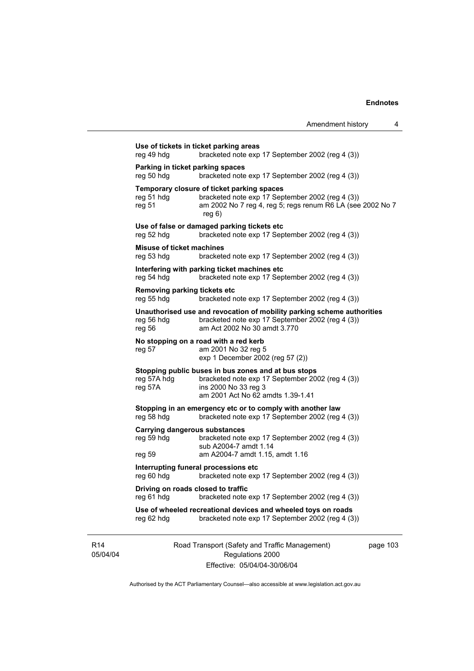| Amendment history          |  |
|----------------------------|--|
|                            |  |
| ieptember 2002 (rea 4 (3)) |  |

Road Transport (Safety and Traffic Management) **Use of tickets in ticket parking areas**  reg 49 hdg bracketed note exp 17 September 2002 **Parking in ticket parking spaces**<br>reg 50 hdg bracketed note bracketed note exp 17 September 2002 (reg 4 (3)) **Temporary closure of ticket parking spaces**  reg 51 hdg bracketed note exp 17 September 2002 (reg 4 (3)) reg 51 am 2002 No 7 reg 4, reg 5; regs renum R6 LA (see 2002 No 7 reg 6) **Use of false or damaged parking tickets etc**  reg 52 hdg bracketed note exp 17 September 2002 (reg 4 (3)) **Misuse of ticket machines**  reg 53 hdg bracketed note exp 17 September 2002 (reg 4 (3)) **Interfering with parking ticket machines etc**  reg 54 hdg bracketed note exp 17 September 2002 (reg 4 (3)) **Removing parking tickets etc**  reg 55 hdg bracketed note exp 17 September 2002 (reg 4 (3)) **Unauthorised use and revocation of mobility parking scheme authorities**  reg 56 hdg bracketed note exp 17 September 2002 (reg 4 (3)) reg 56 am Act 2002 No 30 amdt 3.770 **No stopping on a road with a red kerb**  reg 57 am 2001 No 32 reg 5 exp 1 December 2002 (reg 57 (2)) **Stopping public buses in bus zones and at bus stops**  reg 57A hdg bracketed note exp 17 September 2002 (reg 4 (3)) reg 57A ins 2000 No 33 reg 3 ins 2000 No 33 reg 3 am 2001 Act No 62 amdts 1.39-1.41 **Stopping in an emergency etc or to comply with another law reg 58 hdg bracketed note exp 17 September 2002 (reg** bracketed note exp 17 September 2002 (reg 4 (3)) **Carrying dangerous substances**  reg 59 hdg bracketed note exp 17 September 2002 (reg 4 (3)) sub A2004-7 amdt 1.14 reg 59 am A2004-7 amdt 1.15, amdt 1.16 **Interrupting funeral processions etc**  reg 60 hdg bracketed note exp 17 September 2002 (reg 4 (3)) **Driving on roads closed to traffic**  reg 61 hdg bracketed note exp 17 September 2002 (reg 4 (3)) **Use of wheeled recreational devices and wheeled toys on roads**  reg 62 hdg bracketed note exp 17 September 2002 (reg 4 (3))

R14 05/04/04

Regulations 2000 Effective: 05/04/04-30/06/04 page 103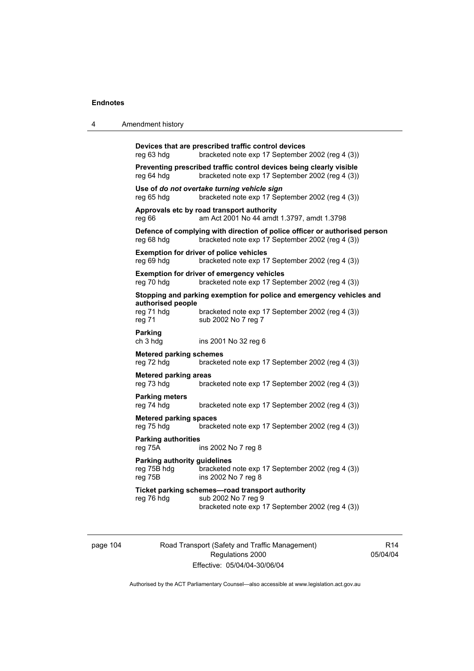4 Amendment history

| reg 63 hdg                                             | Devices that are prescribed traffic control devices<br>bracketed note exp 17 September 2002 (reg 4 (3))                                         |
|--------------------------------------------------------|-------------------------------------------------------------------------------------------------------------------------------------------------|
| reg 64 hdg                                             | Preventing prescribed traffic control devices being clearly visible<br>bracketed note exp 17 September 2002 (reg 4 (3))                         |
| reg 65 hdg                                             | Use of do not overtake turning vehicle sign<br>bracketed note exp 17 September 2002 (reg 4 (3))                                                 |
| reg 66                                                 | Approvals etc by road transport authority<br>am Act 2001 No 44 amdt 1.3797, amdt 1.3798                                                         |
| reg 68 hdg                                             | Defence of complying with direction of police officer or authorised person<br>bracketed note exp 17 September 2002 (reg 4 (3))                  |
| reg 69 hdg                                             | <b>Exemption for driver of police vehicles</b><br>bracketed note exp 17 September 2002 (reg 4 (3))                                              |
| reg 70 hdg                                             | <b>Exemption for driver of emergency vehicles</b><br>bracketed note exp 17 September 2002 (reg 4 (3))                                           |
| authorised people<br>reg 71 hdg<br>reg 71              | Stopping and parking exemption for police and emergency vehicles and<br>bracketed note exp 17 September 2002 (reg 4 (3))<br>sub 2002 No 7 reg 7 |
| <b>Parking</b><br>ch 3 hdg                             | ins 2001 No 32 reg 6                                                                                                                            |
| <b>Metered parking schemes</b><br>reg 72 hdg           | bracketed note exp 17 September 2002 (reg 4 (3))                                                                                                |
| <b>Metered parking areas</b><br>reg 73 hdg             | bracketed note exp 17 September 2002 (reg 4 (3))                                                                                                |
| <b>Parking meters</b><br>reg 74 hdg                    | bracketed note exp 17 September 2002 (reg 4 (3))                                                                                                |
| <b>Metered parking spaces</b><br>reg 75 hdg            | bracketed note exp 17 September 2002 (reg 4 (3))                                                                                                |
| <b>Parking authorities</b><br>reg 75A                  | ins 2002 No 7 reg 8                                                                                                                             |
| Parking authority guidelines<br>reg 75B hdg<br>reg 75B | bracketed note exp 17 September 2002 (reg 4 (3))<br>ins 2002 No 7 reg 8                                                                         |
| reg 76 hdg                                             | Ticket parking schemes-road transport authority<br>sub 2002 No 7 reg 9<br>bracketed note exp 17 September 2002 (reg 4 (3))                      |
|                                                        |                                                                                                                                                 |

page 104 Road Transport (Safety and Traffic Management) Regulations 2000 Effective: 05/04/04-30/06/04

R14 05/04/04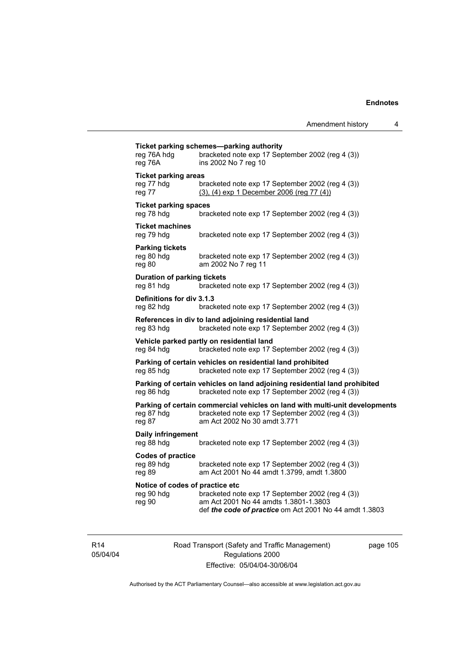| reg 76A hdg<br>reg 76A                                  | bracketed note exp 17 September 2002 (reg 4 (3))<br>ins 2002 No 7 reg 10                                                                                        |
|---------------------------------------------------------|-----------------------------------------------------------------------------------------------------------------------------------------------------------------|
| <b>Ticket parking areas</b><br>reg 77 hdg<br>reg 77     | bracketed note exp 17 September 2002 (reg 4 (3))<br>(3), (4) exp 1 December 2006 (reg 77 (4))                                                                   |
| <b>Ticket parking spaces</b><br>reg 78 hdg              | bracketed note exp 17 September 2002 (reg 4 (3))                                                                                                                |
| <b>Ticket machines</b><br>reg 79 hdg                    | bracketed note exp 17 September 2002 (reg 4 (3))                                                                                                                |
| <b>Parking tickets</b><br>reg 80 hdg<br>reg 80          | bracketed note exp 17 September 2002 (reg 4 (3))<br>am 2002 No 7 reg 11                                                                                         |
| <b>Duration of parking tickets</b><br>reg 81 hdg        | bracketed note exp 17 September 2002 (reg 4 (3))                                                                                                                |
| Definitions for div 3.1.3<br>reg 82 hdg                 | bracketed note exp 17 September 2002 (reg 4 (3))                                                                                                                |
| reg 83 hdg                                              | References in div to land adjoining residential land<br>bracketed note exp 17 September 2002 (reg 4 (3))                                                        |
| reg 84 hdg                                              | Vehicle parked partly on residential land<br>bracketed note exp 17 September 2002 (reg 4 (3))                                                                   |
| reg 85 hdg                                              | Parking of certain vehicles on residential land prohibited<br>bracketed note exp 17 September 2002 (reg 4 (3))                                                  |
| reg 86 hdg                                              | Parking of certain vehicles on land adjoining residential land prohibited<br>bracketed note exp 17 September 2002 (reg 4 (3))                                   |
| reg 87 hdg<br>reg 87                                    | Parking of certain commercial vehicles on land with multi-unit developments<br>bracketed note exp 17 September 2002 (reg 4 (3))<br>am Act 2002 No 30 amdt 3.771 |
| Daily infringement<br>reg 88 hdg                        | bracketed note exp 17 September 2002 (reg 4 (3))                                                                                                                |
| <b>Codes of practice</b><br>reg 89 hdg<br>reg 89        | bracketed note exp 17 September 2002 (reg 4 (3))<br>am Act 2001 No 44 amdt 1.3799, amdt 1.3800                                                                  |
| Notice of codes of practice etc<br>reg 90 hdg<br>reg 90 | bracketed note exp 17 September 2002 (reg 4 (3))<br>am Act 2001 No 44 amdts 1.3801-1.3803<br>def the code of practice om Act 2001 No 44 amdt 1.3803             |

R14 05/04/04 Road Transport (Safety and Traffic Management) Regulations 2000 Effective: 05/04/04-30/06/04

page 105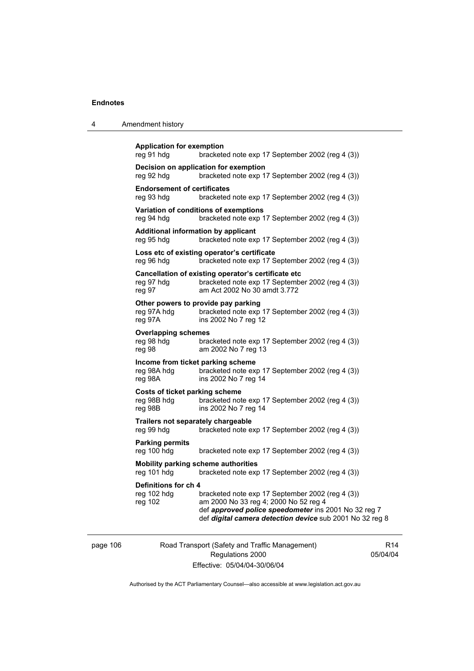4 Amendment history

| <b>Application for exemption</b><br>reg 91 hdg              | bracketed note exp 17 September 2002 (reg 4 (3))                                                                                                                                                              |
|-------------------------------------------------------------|---------------------------------------------------------------------------------------------------------------------------------------------------------------------------------------------------------------|
| reg 92 hdg                                                  | Decision on application for exemption<br>bracketed note exp 17 September 2002 (reg 4 (3))                                                                                                                     |
| <b>Endorsement of certificates</b><br>reg 93 hdg            | bracketed note exp 17 September 2002 (reg 4 (3))                                                                                                                                                              |
| reg 94 hdg                                                  | Variation of conditions of exemptions<br>bracketed note exp 17 September 2002 (reg 4 (3))                                                                                                                     |
| Additional information by applicant<br>reg 95 hdg           | bracketed note exp 17 September 2002 (reg 4 (3))                                                                                                                                                              |
| reg 96 hdg                                                  | Loss etc of existing operator's certificate<br>bracketed note exp 17 September 2002 (reg 4 (3))                                                                                                               |
| reg 97 hdg<br>reg 97                                        | Cancellation of existing operator's certificate etc<br>bracketed note exp 17 September 2002 (reg 4 (3))<br>am Act 2002 No 30 amdt 3.772                                                                       |
| reg 97A hdg<br>reg 97A                                      | Other powers to provide pay parking<br>bracketed note exp 17 September 2002 (reg 4 (3))<br>ins 2002 No 7 reg 12                                                                                               |
| <b>Overlapping schemes</b><br>reg 98 hdg<br>reg 98          | bracketed note exp 17 September 2002 (reg 4 (3))<br>am 2002 No 7 reg 13                                                                                                                                       |
| Income from ticket parking scheme<br>reg 98A hdg<br>reg 98A | bracketed note exp 17 September 2002 (reg 4 (3))<br>ins 2002 No 7 reg 14                                                                                                                                      |
| Costs of ticket parking scheme<br>reg 98B hdg<br>reg 98B    | bracketed note exp 17 September 2002 (reg 4 (3))<br>ins 2002 No 7 reg 14                                                                                                                                      |
| Trailers not separately chargeable<br>reg 99 hdg            | bracketed note exp 17 September 2002 (reg 4 (3))                                                                                                                                                              |
| <b>Parking permits</b><br>reg 100 hdg                       | bracketed note exp 17 September 2002 (reg 4 (3))                                                                                                                                                              |
| <b>Mobility parking scheme authorities</b><br>reg 101 hdg   | bracketed note exp 17 September 2002 (reg 4 (3))                                                                                                                                                              |
| Definitions for ch 4<br>reg 102 hdg<br>reg 102              | bracketed note exp 17 September 2002 (reg 4 (3))<br>am 2000 No 33 reg 4; 2000 No 52 reg 4<br>def approved police speedometer ins 2001 No 32 reg 7<br>def digital camera detection device sub 2001 No 32 reg 8 |

page 106 Road Transport (Safety and Traffic Management) Regulations 2000 Effective: 05/04/04-30/06/04

R14 05/04/04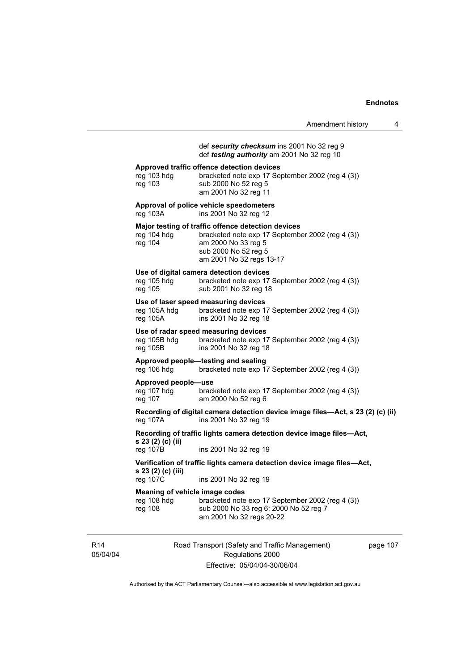| Amendment history |  |
|-------------------|--|
|                   |  |

### def *security checksum* ins 2001 No 32 reg 9 def *testing authority* am 2001 No 32 reg 10

#### **Approved traffic offence detection devices**

reg 103 hdg bracketed note exp 17 September 2002 (reg 4 (3)) reg 103 sub 2000 No 52 reg 5 am 2001 No 32 reg 11

**Approval of police vehicle speedometers**  reg 103A ins 2001 No 32 reg 12

#### **Major testing of traffic offence detection devices**

| reg 104 hdg | bracketed note exp 17 September 2002 (req 4 (3)) |
|-------------|--------------------------------------------------|
| reg 104     | am 2000 No 33 reg 5                              |
|             | sub 2000 No 52 reg 5                             |
|             | am 2001 No 32 regs 13-17                         |
|             |                                                  |

#### **Use of digital camera detection devices**

| reg 105 hdg | bracketed note exp 17 September 2002 (reg 4 (3)) |
|-------------|--------------------------------------------------|
| reg 105     | sub 2001 No 32 reg 18                            |

#### **Use of laser speed measuring devices**

| reg 105A hdg | bracketed note exp 17 September 2002 (reg 4 (3)) |
|--------------|--------------------------------------------------|
| reg 105A     | ins 2001 No 32 reg 18                            |

### **Use of radar speed measuring devices**

reg 105B hdg bracketed note exp 17 September 2002 (reg 4 (3)) reg 105B ins 2001 No 32 reg 18

### **Approved people—testing and sealing**

reg 106 hdg bracketed note exp 17 September 2002 (reg 4 (3))

#### **Approved people—use**

reg 107 hdg bracketed note exp 17 September 2002 (reg 4 (3)) reg 107 am 2000 No 52 reg 6 am 2000 No 52 reg 6

**Recording of digital camera detection device image files—Act, s 23 (2) (c) (ii)**  reg 107A ins 2001 No 32 reg 19

**Recording of traffic lights camera detection device image files—Act, s 23 (2) (c) (ii)** reg 107B

ins 2001 No 32 reg 19

#### **Verification of traffic lights camera detection device image files—Act, s 23 (2) (c) (iii)**  reg 107C ins 2001 No 32 reg 19

**Meaning of vehicle image codes** 

| <b>INGRUITILY OF VEITIGLE IIIIQUE COUPS</b> |                                                  |  |
|---------------------------------------------|--------------------------------------------------|--|
| rea 108 hda                                 | bracketed note exp 17 September 2002 (req 4 (3)) |  |
| reg 108                                     | sub 2000 No 33 reg 6; 2000 No 52 reg 7           |  |
|                                             | am 2001 No 32 regs 20-22                         |  |

R14 05/04/04 Road Transport (Safety and Traffic Management) Regulations 2000 Effective: 05/04/04-30/06/04

page 107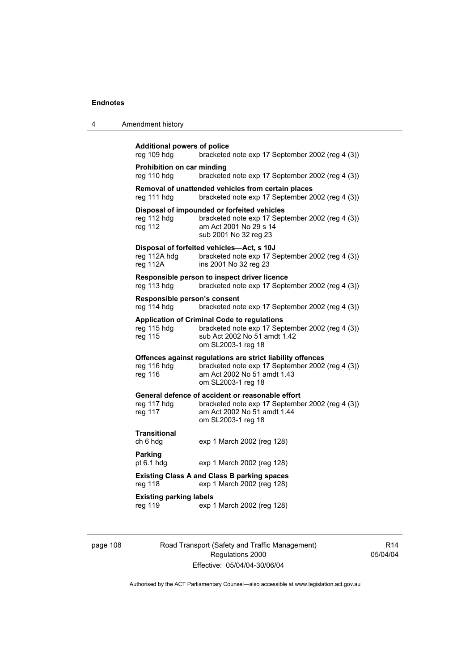4 Amendment history

| reg 109 hdg                                 | bracketed note exp 17 September 2002 (reg 4 (3))                                                                                                                    |
|---------------------------------------------|---------------------------------------------------------------------------------------------------------------------------------------------------------------------|
| Prohibition on car minding<br>reg 110 hdg   | bracketed note exp 17 September 2002 (reg 4 (3))                                                                                                                    |
| reg 111 hdg                                 | Removal of unattended vehicles from certain places<br>bracketed note exp 17 September 2002 (reg 4 (3))                                                              |
| reg 112 hdg<br>reg 112                      | Disposal of impounded or forfeited vehicles<br>bracketed note exp 17 September 2002 (reg 4 (3))<br>am Act 2001 No 29 s 14<br>sub 2001 No 32 reg 23                  |
| reg 112A hdg<br>reg 112A                    | Disposal of forfeited vehicles-Act, s 10J<br>bracketed note exp 17 September 2002 (reg 4 (3))<br>ins 2001 No 32 reg 23                                              |
| reg 113 hdg                                 | Responsible person to inspect driver licence<br>bracketed note exp 17 September 2002 (reg 4 (3))                                                                    |
| Responsible person's consent<br>reg 114 hdg | bracketed note exp 17 September 2002 (reg 4 (3))                                                                                                                    |
| reg 115 hdg<br>reg 115                      | <b>Application of Criminal Code to regulations</b><br>bracketed note exp 17 September 2002 (reg 4 (3))<br>sub Act 2002 No 51 amdt 1.42<br>om SL2003-1 reg 18        |
| reg 116 hdg<br>reg 116                      | Offences against regulations are strict liability offences<br>bracketed note exp 17 September 2002 (reg 4 (3))<br>am Act 2002 No 51 amdt 1.43<br>om SL2003-1 reg 18 |
| reg 117 hdg<br>reg 117                      | General defence of accident or reasonable effort<br>bracketed note exp 17 September 2002 (reg 4 (3))<br>am Act 2002 No 51 amdt 1.44<br>om SL2003-1 reg 18           |
| <b>Transitional</b><br>ch 6 hdg             | exp 1 March 2002 (reg 128)                                                                                                                                          |
| Parking                                     | exp 1 March 2002 (reg 128)                                                                                                                                          |
|                                             |                                                                                                                                                                     |
| pt 6.1 hdg<br>reg 118                       | <b>Existing Class A and Class B parking spaces</b><br>exp 1 March 2002 (reg 128)                                                                                    |

page 108 Road Transport (Safety and Traffic Management) Regulations 2000 Effective: 05/04/04-30/06/04

R14 05/04/04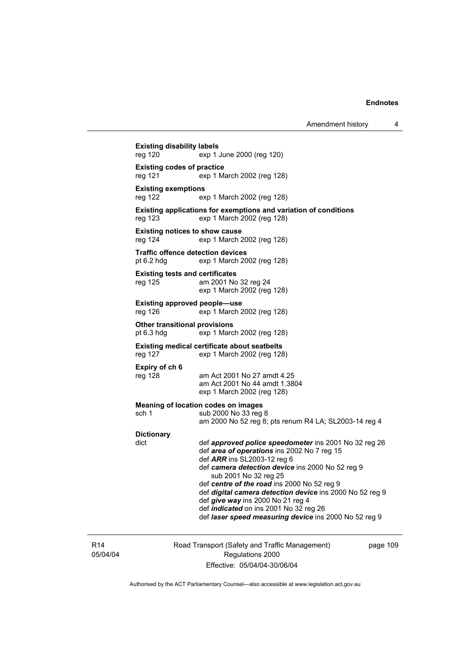**Existing disability labels**  reg 120 exp 1 June 2000 (reg 120) **Existing codes of practice**  reg 121 exp 1 March 2002 (reg 128) **Existing exemptions**  reg 122 exp 1 March 2002 (reg 128) **Existing applications for exemptions and variation of conditions**  reg 123 exp 1 March 2002 (reg 128) **Existing notices to show cause**  reg 124 exp 1 March 2002 (reg 128) **Traffic offence detection devices**  pt 6.2 hdg exp 1 March 2002 (reg 128) **Existing tests and certificates**  reg 125 am 2001 No 32 reg 24 exp 1 March 2002 (reg 128) **Existing approved people—use**  reg 126 exp 1 March 2002 (reg 128) **Other transitional provisions**  pt 6.3 hdg exp 1 March 2002 (reg 128) **Existing medical certificate about seatbelts**<br>reg 127 exp 1 March 2002 (reg 128 exp 1 March 2002 (reg 128) **Expiry of ch 6**  reg 128 am Act 2001 No 27 amdt 4.25 am Act 2001 No 44 amdt 1.3804 exp 1 March 2002 (reg 128) **Meaning of location codes on images**  sch 1 sub 2000 No 33 reg 8 am 2000 No 52 reg 8; pts renum R4 LA; SL2003-14 reg 4 **Dictionary**  dict def *approved police speedometer* ins 2001 No 32 reg 26 def *area of operations* ins 2002 No 7 reg 15 def *ARR* ins SL2003-12 reg 6 def *camera detection device* ins 2000 No 52 reg 9 sub 2001 No 32 reg 25 def *centre of the road* ins 2000 No 52 reg 9 def *digital camera detection device* ins 2000 No 52 reg 9 def *give way* ins 2000 No 21 reg 4 def *indicated* on ins 2001 No 32 reg 26 def *laser speed measuring device* ins 2000 No 52 reg 9

R14 05/04/04 Road Transport (Safety and Traffic Management) Regulations 2000 Effective: 05/04/04-30/06/04

page 109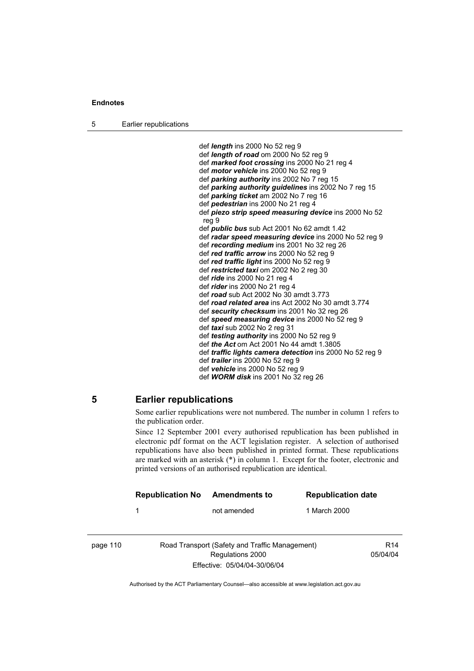5 Earlier republications

 def *length* ins 2000 No 52 reg 9 def *length of road* om 2000 No 52 reg 9 def *marked foot crossing* ins 2000 No 21 reg 4 def *motor vehicle* ins 2000 No 52 reg 9 def *parking authority* ins 2002 No 7 reg 15 def *parking authority guidelines* ins 2002 No 7 reg 15 def *parking ticket* am 2002 No 7 reg 16 def *pedestrian* ins 2000 No 21 reg 4 def *piezo strip speed measuring device* ins 2000 No 52 reg 9 def *public bus* sub Act 2001 No 62 amdt 1.42 def *radar speed measuring device* ins 2000 No 52 reg 9 def *recording medium* ins 2001 No 32 reg 26 def *red traffic arrow* ins 2000 No 52 reg 9 def *red traffic light* ins 2000 No 52 reg 9 def *restricted taxi* om 2002 No 2 reg 30 def *ride* ins 2000 No 21 reg 4 def *rider* ins 2000 No 21 reg 4 def *road* sub Act 2002 No 30 amdt 3.773 def *road related area* ins Act 2002 No 30 amdt 3.774 def *security checksum* ins 2001 No 32 reg 26 def *speed measuring device* ins 2000 No 52 reg 9 def *taxi* sub 2002 No 2 reg 31 def *testing authority* ins 2000 No 52 reg 9 def *the Act* om Act 2001 No 44 amdt 1.3805 def *traffic lights camera detection* ins 2000 No 52 reg 9 def *trailer* ins 2000 No 52 reg 9 def *vehicle* ins 2000 No 52 reg 9 def *WORM disk* ins 2001 No 32 reg 26

### **5 Earlier republications**

Some earlier republications were not numbered. The number in column 1 refers to the publication order.

Since 12 September 2001 every authorised republication has been published in electronic pdf format on the ACT legislation register. A selection of authorised republications have also been published in printed format. These republications are marked with an asterisk (\*) in column 1. Except for the footer, electronic and printed versions of an authorised republication are identical.

|          | <b>Republication No</b> | <b>Amendments to</b>                           | <b>Republication date</b> |                 |
|----------|-------------------------|------------------------------------------------|---------------------------|-----------------|
|          | 1                       | not amended                                    | 1 March 2000              |                 |
|          |                         |                                                |                           |                 |
| page 110 |                         | Road Transport (Safety and Traffic Management) |                           | R <sub>14</sub> |
|          |                         | Regulations 2000                               |                           | 05/04/04        |
|          |                         | Effective: 05/04/04-30/06/04                   |                           |                 |